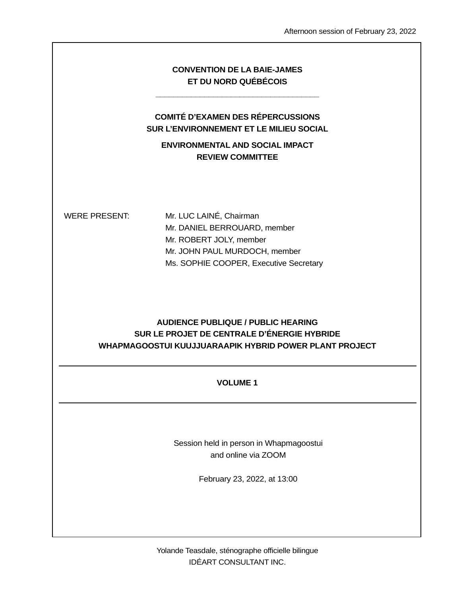|                      | <b>CONVENTION DE LA BAIE-JAMES</b><br>ET DU NORD QUÉBÉCOIS                                                                                                    |
|----------------------|---------------------------------------------------------------------------------------------------------------------------------------------------------------|
|                      | <b>COMITÉ D'EXAMEN DES RÉPERCUSSIONS</b><br><b>SUR L'ENVIRONNEMENT ET LE MILIEU SOCIAL</b>                                                                    |
|                      | <b>ENVIRONMENTAL AND SOCIAL IMPACT</b><br><b>REVIEW COMMITTEE</b>                                                                                             |
| <b>WERE PRESENT:</b> | Mr. LUC LAINÉ, Chairman<br>Mr. DANIEL BERROUARD, member<br>Mr. ROBERT JOLY, member<br>Mr. JOHN PAUL MURDOCH, member<br>Ms. SOPHIE COOPER, Executive Secretary |
|                      | <b>AUDIENCE PUBLIQUE / PUBLIC HEARING</b><br>SUR LE PROJET DE CENTRALE D'ÉNERGIE HYBRIDE<br>WHAPMAGOOSTUI KUUJJUARAAPIK HYBRID POWER PLANT PROJECT            |
|                      | <b>VOLUME 1</b>                                                                                                                                               |

Session held in person in Whapmagoostui and online via ZOOM

February 23, 2022, at 13:00

Yolande Teasdale, sténographe officielle bilingue IDÉART CONSULTANT INC.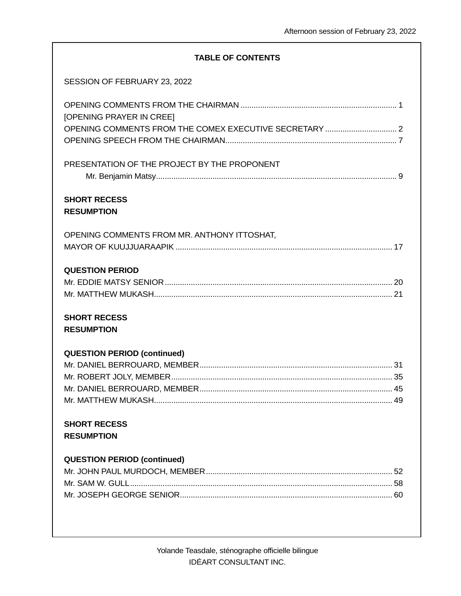## **TABLE OF CONTENTS**

| SESSION OF FEBRUARY 23, 2022                 |
|----------------------------------------------|
| <b>[OPENING PRAYER IN CREE]</b>              |
| PRESENTATION OF THE PROJECT BY THE PROPONENT |
| <b>SHORT RECESS</b><br><b>RESUMPTION</b>     |
| OPENING COMMENTS FROM MR. ANTHONY ITTOSHAT,  |
| <b>QUESTION PERIOD</b>                       |
| <b>SHORT RECESS</b><br><b>RESUMPTION</b>     |
| <b>QUESTION PERIOD (continued)</b>           |
|                                              |
|                                              |
|                                              |
|                                              |
| <b>SHORT RECESS</b><br><b>RESUMPTION</b>     |
| <b>QUESTION PERIOD (continued)</b>           |
|                                              |
|                                              |
|                                              |
|                                              |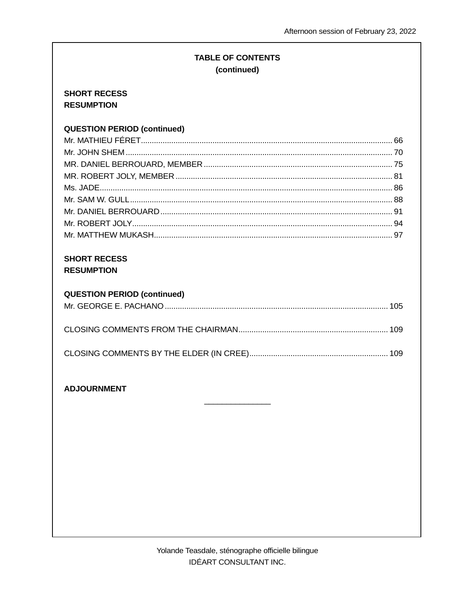# **TABLE OF CONTENTS** (continued)

## **SHORT RECESS RESUMPTION**

# **QUESTION PERIOD (continued)**

## **SHORT RECESS RESUMPTION**

## **QUESTION PERIOD (continued)**

## **ADJOURNMENT**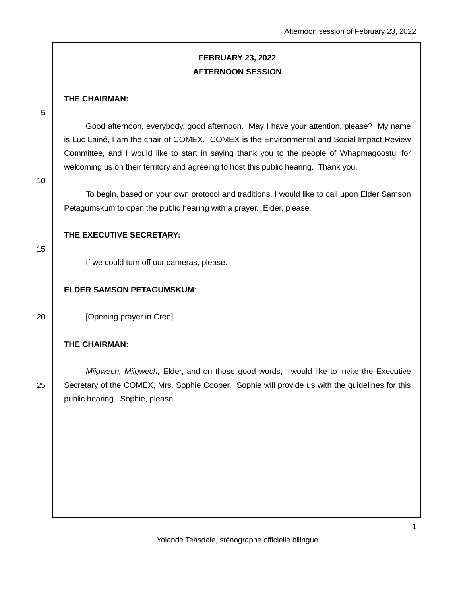# **FEBRUARY 23, 2022 AFTERNOON SESSION**

### **THE CHAIRMAN:**

5

 Good afternoon, everybody, good afternoon. May I have your attention, please? My name is Luc Lainé, I am the chair of COMEX. COMEX is the Environmental and Social Impact Review Committee, and I would like to start in saying thank you to the people of Whapmagoostui for welcoming us on their territory and agreeing to host this public hearing. Thank you.

10

To begin, based on your own protocol and traditions, I would like to call upon Elder Samson Petagumskum to open the public hearing with a prayer. Elder, please.

### **THE EXECUTIVE SECRETARY:**

15

If we could turn off our cameras, please.

### **ELDER SAMSON PETAGUMSKUM**:

20 **[Opening prayer in Cree]** 

## **THE CHAIRMAN:**

Miigwech, Miigwech, Elder, and on those good words, I would like to invite the Executive 25 Secretary of the COMEX, Mrs. Sophie Cooper. Sophie will provide us with the guidelines for this public hearing. Sophie, please.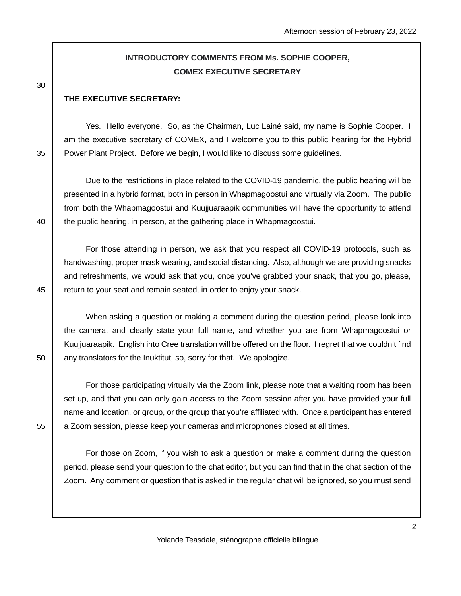# **INTRODUCTORY COMMENTS FROM Ms. SOPHIE COOPER, COMEX EXECUTIVE SECRETARY**

30

### **THE EXECUTIVE SECRETARY:**

 Yes. Hello everyone. So, as the Chairman, Luc Lainé said, my name is Sophie Cooper. I am the executive secretary of COMEX, and I welcome you to this public hearing for the Hybrid 35 | Power Plant Project. Before we begin, I would like to discuss some guidelines.

 Due to the restrictions in place related to the COVID-19 pandemic, the public hearing will be presented in a hybrid format, both in person in Whapmagoostui and virtually via Zoom. The public from both the Whapmagoostui and Kuujjuaraapik communities will have the opportunity to attend 40 the public hearing, in person, at the gathering place in Whapmagoostui.

 For those attending in person, we ask that you respect all COVID-19 protocols, such as handwashing, proper mask wearing, and social distancing. Also, although we are providing snacks and refreshments, we would ask that you, once you've grabbed your snack, that you go, please, 45 | return to your seat and remain seated, in order to enjoy your snack.

 When asking a question or making a comment during the question period, please look into the camera, and clearly state your full name, and whether you are from Whapmagoostui or Kuujjuaraapik. English into Cree translation will be offered on the floor. I regret that we couldn't find  $50$  any translators for the Inuktitut, so, sorry for that. We apologize.

 For those participating virtually via the Zoom link, please note that a waiting room has been set up, and that you can only gain access to the Zoom session after you have provided your full name and location, or group, or the group that you're affiliated with. Once a participant has entered 55 a Zoom session, please keep your cameras and microphones closed at all times.

 For those on Zoom, if you wish to ask a question or make a comment during the question period, please send your question to the chat editor, but you can find that in the chat section of the Zoom. Any comment or question that is asked in the regular chat will be ignored, so you must send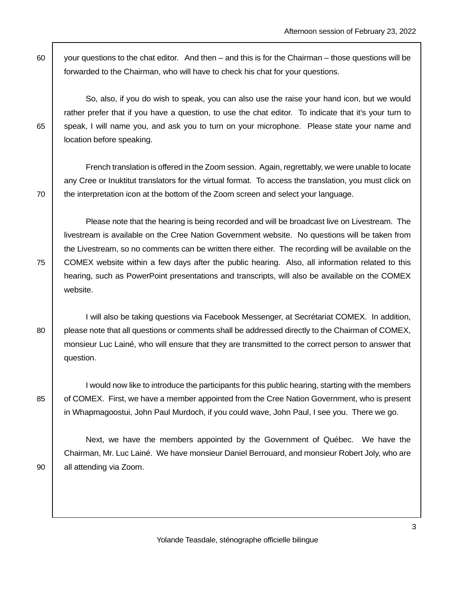60 vour questions to the chat editor. And then – and this is for the Chairman – those questions will be forwarded to the Chairman, who will have to check his chat for your questions.

 So, also, if you do wish to speak, you can also use the raise your hand icon, but we would rather prefer that if you have a question, to use the chat editor. To indicate that it's your turn to 65 speak, I will name you, and ask you to turn on your microphone. Please state your name and location before speaking.

 French translation is offered in the Zoom session. Again, regrettably, we were unable to locate any Cree or Inuktitut translators for the virtual format. To access the translation, you must click on  $70$   $\parallel$  the interpretation icon at the bottom of the Zoom screen and select your language.

 Please note that the hearing is being recorded and will be broadcast live on Livestream. The livestream is available on the Cree Nation Government website. No questions will be taken from the Livestream, so no comments can be written there either. The recording will be available on the 75 COMEX website within a few days after the public hearing. Also, all information related to this hearing, such as PowerPoint presentations and transcripts, will also be available on the COMEX website.

 I will also be taking questions via Facebook Messenger, at Secrétariat COMEX. In addition, 80 | please note that all questions or comments shall be addressed directly to the Chairman of COMEX, monsieur Luc Lainé, who will ensure that they are transmitted to the correct person to answer that question.

 I would now like to introduce the participants for this public hearing, starting with the members 85 of COMEX. First, we have a member appointed from the Cree Nation Government, who is present in Whapmagoostui, John Paul Murdoch, if you could wave, John Paul, I see you. There we go.

 Next, we have the members appointed by the Government of Québec. We have the Chairman, Mr. Luc Lainé. We have monsieur Daniel Berrouard, and monsieur Robert Joly, who are 90 all attending via Zoom.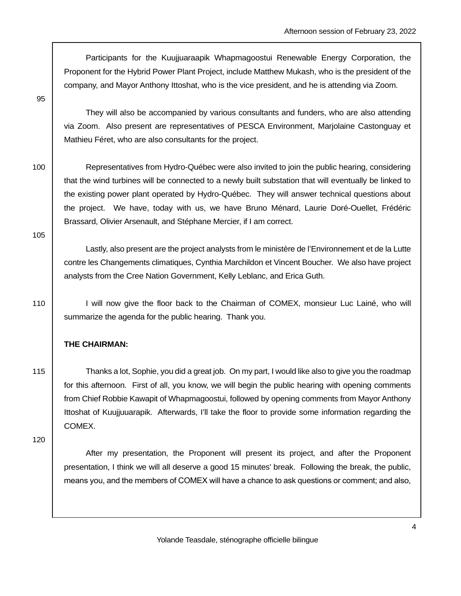Participants for the Kuujjuaraapik Whapmagoostui Renewable Energy Corporation, the Proponent for the Hybrid Power Plant Project, include Matthew Mukash, who is the president of the company, and Mayor Anthony Ittoshat, who is the vice president, and he is attending via Zoom.

95

 They will also be accompanied by various consultants and funders, who are also attending via Zoom. Also present are representatives of PESCA Environment, Marjolaine Castonguay et Mathieu Féret, who are also consultants for the project.

100 Representatives from Hydro-Québec were also invited to join the public hearing, considering that the wind turbines will be connected to a newly built substation that will eventually be linked to the existing power plant operated by Hydro-Québec. They will answer technical questions about the project. We have, today with us, we have Bruno Ménard, Laurie Doré-Ouellet, Frédéric Brassard, Olivier Arsenault, and Stéphane Mercier, if I am correct.

105

 Lastly, also present are the project analysts from le ministère de l'Environnement et de la Lutte contre les Changements climatiques, Cynthia Marchildon et Vincent Boucher. We also have project analysts from the Cree Nation Government, Kelly Leblanc, and Erica Guth.

110 I will now give the floor back to the Chairman of COMEX, monsieur Luc Lainé, who will summarize the agenda for the public hearing. Thank you.

### **THE CHAIRMAN:**

115 Thanks a lot, Sophie, you did a great job. On my part, I would like also to give you the roadmap for this afternoon. First of all, you know, we will begin the public hearing with opening comments from Chief Robbie Kawapit of Whapmagoostui, followed by opening comments from Mayor Anthony Ittoshat of Kuujjuuarapik. Afterwards, I'll take the floor to provide some information regarding the COMEX.

120

 After my presentation, the Proponent will present its project, and after the Proponent presentation, I think we will all deserve a good 15 minutes' break. Following the break, the public, means you, and the members of COMEX will have a chance to ask questions or comment; and also,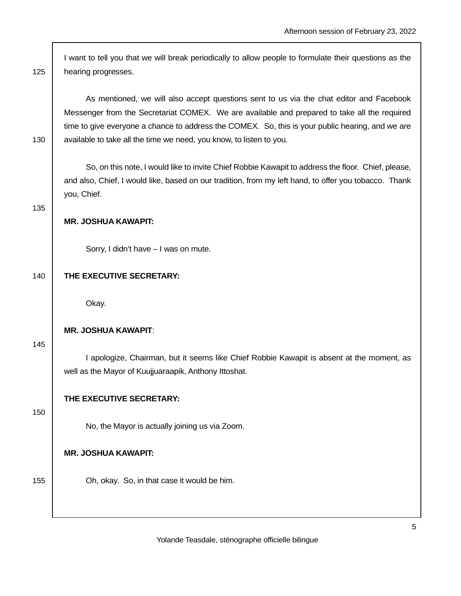I want to tell you that we will break periodically to allow people to formulate their questions as the 125 | hearing progresses.

 As mentioned, we will also accept questions sent to us via the chat editor and Facebook Messenger from the Secretariat COMEX. We are available and prepared to take all the required time to give everyone a chance to address the COMEX. So, this is your public hearing, and we are 130 available to take all the time we need, you know, to listen to you.

 So, on this note, I would like to invite Chief Robbie Kawapit to address the floor. Chief, please, and also, Chief, I would like, based on our tradition, from my left hand, to offer you tobacco. Thank you, Chief.

135

### **MR. JOSHUA KAWAPIT:**

Sorry, I didn't have – I was on mute.

### 140 **THE EXECUTIVE SECRETARY:**

Okay.

### **MR. JOSHUA KAWAPIT**:

145

 I apologize, Chairman, but it seems like Chief Robbie Kawapit is absent at the moment, as well as the Mayor of Kuujjuaraapik, Anthony Ittoshat.

### **THE EXECUTIVE SECRETARY:**

#### 150

No, the Mayor is actually joining us via Zoom.

#### **MR. JOSHUA KAWAPIT:**

155 **Oh, okay.** So, in that case it would be him.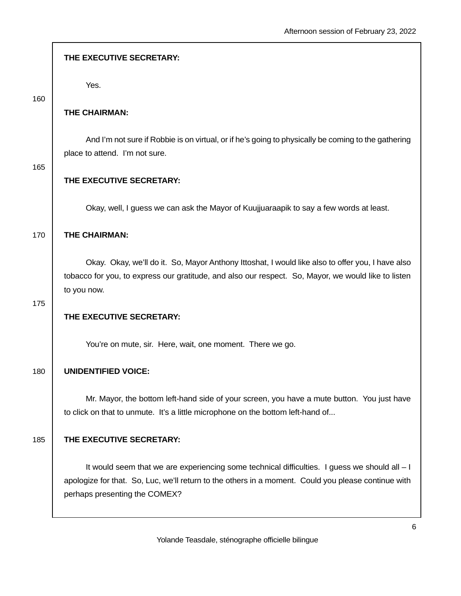| THE EXECUTIVE SECRETARY:                                                                                                                                                                                                               |
|----------------------------------------------------------------------------------------------------------------------------------------------------------------------------------------------------------------------------------------|
| Yes.                                                                                                                                                                                                                                   |
| THE CHAIRMAN:                                                                                                                                                                                                                          |
| And I'm not sure if Robbie is on virtual, or if he's going to physically be coming to the gathering<br>place to attend. I'm not sure.                                                                                                  |
| THE EXECUTIVE SECRETARY:                                                                                                                                                                                                               |
| Okay, well, I guess we can ask the Mayor of Kuujjuaraapik to say a few words at least.                                                                                                                                                 |
| THE CHAIRMAN:                                                                                                                                                                                                                          |
| Okay. Okay, we'll do it. So, Mayor Anthony Ittoshat, I would like also to offer you, I have also<br>tobacco for you, to express our gratitude, and also our respect. So, Mayor, we would like to listen<br>to you now.                 |
| THE EXECUTIVE SECRETARY:                                                                                                                                                                                                               |
| You're on mute, sir. Here, wait, one moment. There we go.                                                                                                                                                                              |
| <b>UNIDENTIFIED VOICE:</b>                                                                                                                                                                                                             |
| Mr. Mayor, the bottom left-hand side of your screen, you have a mute button. You just have<br>to click on that to unmute. It's a little microphone on the bottom left-hand of                                                          |
| THE EXECUTIVE SECRETARY:                                                                                                                                                                                                               |
| It would seem that we are experiencing some technical difficulties. I guess we should all $-1$<br>apologize for that. So, Luc, we'll return to the others in a moment. Could you please continue with<br>perhaps presenting the COMEX? |
|                                                                                                                                                                                                                                        |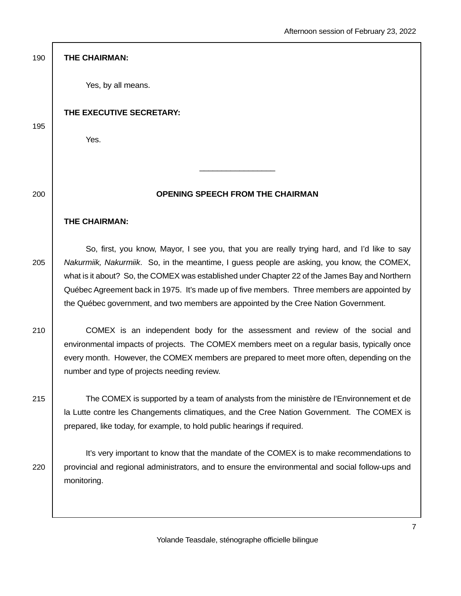| 190 | THE CHAIRMAN:                                                                                                                                                                                                                                                                                                            |
|-----|--------------------------------------------------------------------------------------------------------------------------------------------------------------------------------------------------------------------------------------------------------------------------------------------------------------------------|
|     | Yes, by all means.                                                                                                                                                                                                                                                                                                       |
| 195 | THE EXECUTIVE SECRETARY:                                                                                                                                                                                                                                                                                                 |
|     | Yes.                                                                                                                                                                                                                                                                                                                     |
|     |                                                                                                                                                                                                                                                                                                                          |
| 200 | <b>OPENING SPEECH FROM THE CHAIRMAN</b>                                                                                                                                                                                                                                                                                  |
|     | <b>THE CHAIRMAN:</b>                                                                                                                                                                                                                                                                                                     |
| 205 | So, first, you know, Mayor, I see you, that you are really trying hard, and I'd like to say<br>Nakurmiik, Nakurmiik. So, in the meantime, I guess people are asking, you know, the COMEX,<br>what is it about? So, the COMEX was established under Chapter 22 of the James Bay and Northern                              |
|     | Québec Agreement back in 1975. It's made up of five members. Three members are appointed by<br>the Québec government, and two members are appointed by the Cree Nation Government.                                                                                                                                       |
| 210 | COMEX is an independent body for the assessment and review of the social and<br>environmental impacts of projects. The COMEX members meet on a regular basis, typically once<br>every month. However, the COMEX members are prepared to meet more often, depending on the<br>number and type of projects needing review. |
| 215 | The COMEX is supported by a team of analysts from the ministère de l'Environnement et de<br>la Lutte contre les Changements climatiques, and the Cree Nation Government. The COMEX is<br>prepared, like today, for example, to hold public hearings if required.                                                         |
| 220 | It's very important to know that the mandate of the COMEX is to make recommendations to<br>provincial and regional administrators, and to ensure the environmental and social follow-ups and<br>monitoring.                                                                                                              |
|     |                                                                                                                                                                                                                                                                                                                          |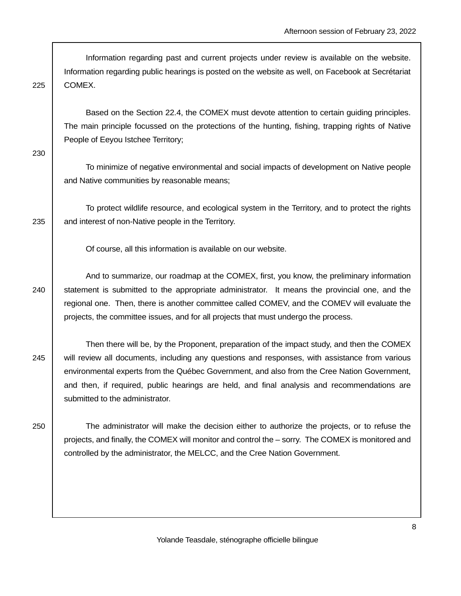Information regarding past and current projects under review is available on the website. Information regarding public hearings is posted on the website as well, on Facebook at Secrétariat 225 COMEX.

 Based on the Section 22.4, the COMEX must devote attention to certain guiding principles. The main principle focussed on the protections of the hunting, fishing, trapping rights of Native People of Eeyou Istchee Territory;

230

 To minimize of negative environmental and social impacts of development on Native people and Native communities by reasonable means;

 To protect wildlife resource, and ecological system in the Territory, and to protect the rights 235  $\parallel$  and interest of non-Native people in the Territory.

Of course, all this information is available on our website.

 And to summarize, our roadmap at the COMEX, first, you know, the preliminary information 240 statement is submitted to the appropriate administrator. It means the provincial one, and the regional one. Then, there is another committee called COMEV, and the COMEV will evaluate the projects, the committee issues, and for all projects that must undergo the process.

 Then there will be, by the Proponent, preparation of the impact study, and then the COMEX 245 will review all documents, including any questions and responses, with assistance from various environmental experts from the Québec Government, and also from the Cree Nation Government, and then, if required, public hearings are held, and final analysis and recommendations are submitted to the administrator.

250 The administrator will make the decision either to authorize the projects, or to refuse the projects, and finally, the COMEX will monitor and control the – sorry. The COMEX is monitored and controlled by the administrator, the MELCC, and the Cree Nation Government.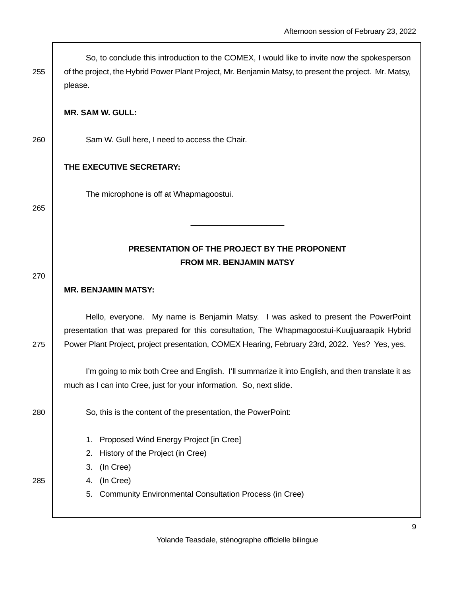| 255 | So, to conclude this introduction to the COMEX, I would like to invite now the spokesperson<br>of the project, the Hybrid Power Plant Project, Mr. Benjamin Matsy, to present the project. Mr. Matsy,<br>please.                                                                   |
|-----|------------------------------------------------------------------------------------------------------------------------------------------------------------------------------------------------------------------------------------------------------------------------------------|
|     | <b>MR. SAM W. GULL:</b>                                                                                                                                                                                                                                                            |
| 260 | Sam W. Gull here, I need to access the Chair.                                                                                                                                                                                                                                      |
|     | THE EXECUTIVE SECRETARY:                                                                                                                                                                                                                                                           |
| 265 | The microphone is off at Whapmagoostui.                                                                                                                                                                                                                                            |
|     |                                                                                                                                                                                                                                                                                    |
|     | PRESENTATION OF THE PROJECT BY THE PROPONENT<br><b>FROM MR. BENJAMIN MATSY</b>                                                                                                                                                                                                     |
| 270 | <b>MR. BENJAMIN MATSY:</b>                                                                                                                                                                                                                                                         |
| 275 | Hello, everyone. My name is Benjamin Matsy. I was asked to present the PowerPoint<br>presentation that was prepared for this consultation, The Whapmagoostui-Kuujjuaraapik Hybrid<br>Power Plant Project, project presentation, COMEX Hearing, February 23rd, 2022. Yes? Yes, yes. |
|     | I'm going to mix both Cree and English. I'll summarize it into English, and then translate it as<br>much as I can into Cree, just for your information. So, next slide.                                                                                                            |
| 280 | So, this is the content of the presentation, the PowerPoint:                                                                                                                                                                                                                       |
|     | Proposed Wind Energy Project [in Cree]<br>1.<br>History of the Project (in Cree)<br>2.                                                                                                                                                                                             |
|     | 3. (In Cree)                                                                                                                                                                                                                                                                       |
| 285 | (In Cree)<br>4.                                                                                                                                                                                                                                                                    |
|     | 5. Community Environmental Consultation Process (in Cree)                                                                                                                                                                                                                          |

 $\overline{\phantom{a}}$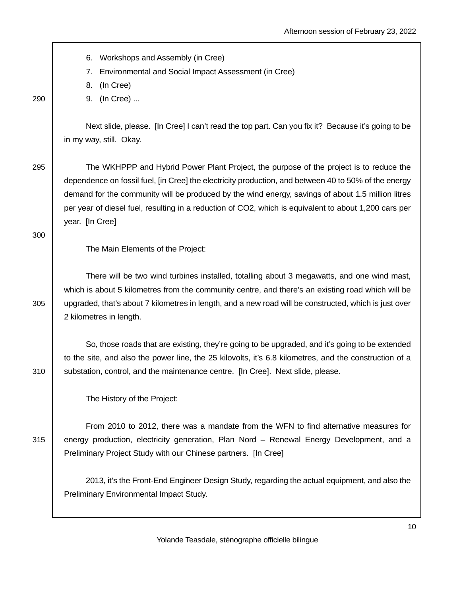6. Workshops and Assembly (in Cree) 7. Environmental and Social Impact Assessment (in Cree) 8. (In Cree) 290 9. (In Cree) ... Next slide, please. [In Cree] I can't read the top part. Can you fix it? Because it's going to be in my way, still. Okay. 295 The WKHPPP and Hybrid Power Plant Project, the purpose of the project is to reduce the dependence on fossil fuel, [in Cree] the electricity production, and between 40 to 50% of the energy demand for the community will be produced by the wind energy, savings of about 1.5 million litres per year of diesel fuel, resulting in a reduction of CO2, which is equivalent to about 1,200 cars per year. [In Cree] 300 The Main Elements of the Project: There will be two wind turbines installed, totalling about 3 megawatts, and one wind mast, which is about 5 kilometres from the community centre, and there's an existing road which will be 305 upgraded, that's about 7 kilometres in length, and a new road will be constructed, which is just over 2 kilometres in length. So, those roads that are existing, they're going to be upgraded, and it's going to be extended to the site, and also the power line, the 25 kilovolts, it's 6.8 kilometres, and the construction of a 310 | substation, control, and the maintenance centre. [In Cree]. Next slide, please. The History of the Project: From 2010 to 2012, there was a mandate from the WFN to find alternative measures for 315 energy production, electricity generation, Plan Nord – Renewal Energy Development, and a Preliminary Project Study with our Chinese partners. [In Cree] 2013, it's the Front-End Engineer Design Study, regarding the actual equipment, and also the Preliminary Environmental Impact Study.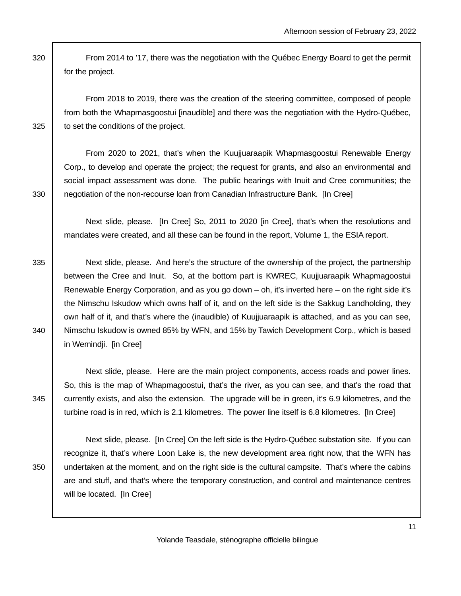320 From 2014 to '17, there was the negotiation with the Québec Energy Board to get the permit for the project.

 From 2018 to 2019, there was the creation of the steering committee, composed of people from both the Whapmasgoostui [inaudible] and there was the negotiation with the Hydro-Québec, 325 **b** to set the conditions of the project.

 From 2020 to 2021, that's when the Kuujjuaraapik Whapmasgoostui Renewable Energy Corp., to develop and operate the project; the request for grants, and also an environmental and social impact assessment was done. The public hearings with Inuit and Cree communities; the 330 | negotiation of the non-recourse loan from Canadian Infrastructure Bank. [In Cree]

 Next slide, please. [In Cree] So, 2011 to 2020 [in Cree], that's when the resolutions and mandates were created, and all these can be found in the report, Volume 1, the ESIA report.

335 Next slide, please. And here's the structure of the ownership of the project, the partnership between the Cree and Inuit. So, at the bottom part is KWREC, Kuujjuaraapik Whapmagoostui Renewable Energy Corporation, and as you go down – oh, it's inverted here – on the right side it's the Nimschu Iskudow which owns half of it, and on the left side is the Sakkug Landholding, they own half of it, and that's where the (inaudible) of Kuujjuaraapik is attached, and as you can see, 340 Nimschu Iskudow is owned 85% by WFN, and 15% by Tawich Development Corp., which is based in Wemindji. [in Cree]

 Next slide, please. Here are the main project components, access roads and power lines. So, this is the map of Whapmagoostui, that's the river, as you can see, and that's the road that 345 currently exists, and also the extension. The upgrade will be in green, it's 6.9 kilometres, and the turbine road is in red, which is 2.1 kilometres. The power line itself is 6.8 kilometres. [In Cree]

 Next slide, please. [In Cree] On the left side is the Hydro-Québec substation site. If you can recognize it, that's where Loon Lake is, the new development area right now, that the WFN has 350 undertaken at the moment, and on the right side is the cultural campsite. That's where the cabins are and stuff, and that's where the temporary construction, and control and maintenance centres will be located. [In Cree]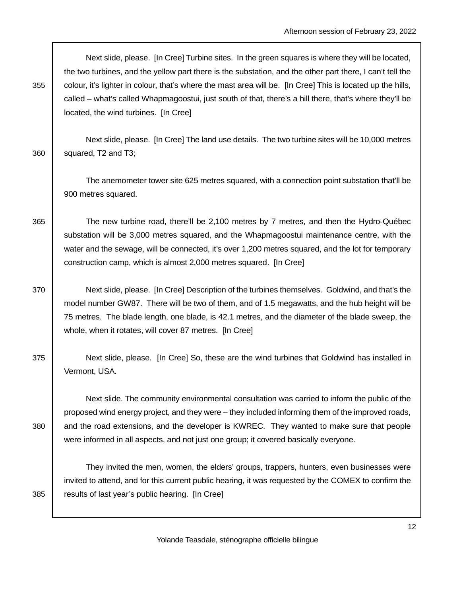Next slide, please. [In Cree] Turbine sites. In the green squares is where they will be located, the two turbines, and the yellow part there is the substation, and the other part there, I can't tell the 355 colour, it's lighter in colour, that's where the mast area will be. [In Cree] This is located up the hills, called – what's called Whapmagoostui, just south of that, there's a hill there, that's where they'll be located, the wind turbines. [In Cree]

 Next slide, please. [In Cree] The land use details. The two turbine sites will be 10,000 metres  $360$  squared, T2 and T3;

 The anemometer tower site 625 metres squared, with a connection point substation that'll be 900 metres squared.

365 The new turbine road, there'll be 2,100 metres by 7 metres, and then the Hydro-Québec substation will be 3,000 metres squared, and the Whapmagoostui maintenance centre, with the water and the sewage, will be connected, it's over 1,200 metres squared, and the lot for temporary construction camp, which is almost 2,000 metres squared. [In Cree]

370 Next slide, please. [In Cree] Description of the turbines themselves. Goldwind, and that's the model number GW87. There will be two of them, and of 1.5 megawatts, and the hub height will be 75 metres. The blade length, one blade, is 42.1 metres, and the diameter of the blade sweep, the whole, when it rotates, will cover 87 metres. [In Cree]

375 Next slide, please. [In Cree] So, these are the wind turbines that Goldwind has installed in Vermont, USA.

 Next slide. The community environmental consultation was carried to inform the public of the proposed wind energy project, and they were – they included informing them of the improved roads, 380 and the road extensions, and the developer is KWREC. They wanted to make sure that people were informed in all aspects, and not just one group; it covered basically everyone.

 They invited the men, women, the elders' groups, trappers, hunters, even businesses were invited to attend, and for this current public hearing, it was requested by the COMEX to confirm the 385 | results of last year's public hearing. [In Cree]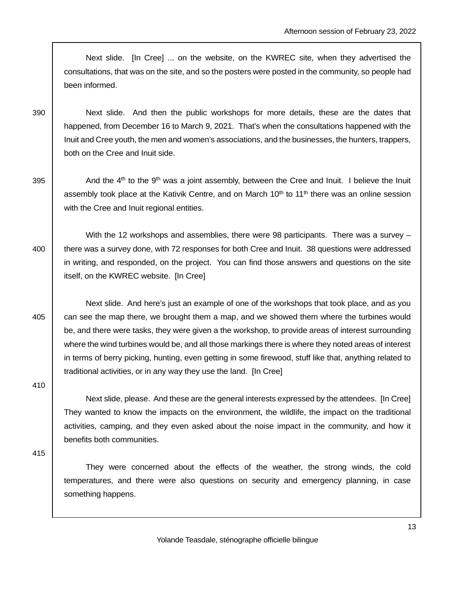Next slide. [In Cree] ... on the website, on the KWREC site, when they advertised the consultations, that was on the site, and so the posters were posted in the community, so people had been informed.

390 Next slide. And then the public workshops for more details, these are the dates that happened, from December 16 to March 9, 2021. That's when the consultations happened with the Inuit and Cree youth, the men and women's associations, and the businesses, the hunters, trappers, both on the Cree and Inuit side.

395  $\vert$  And the 4<sup>th</sup> to the 9<sup>th</sup> was a joint assembly, between the Cree and Inuit. I believe the Inuit assembly took place at the Kativik Centre, and on March 10<sup>th</sup> to 11<sup>th</sup> there was an online session with the Cree and Inuit regional entities.

With the 12 workshops and assemblies, there were 98 participants. There was a survey -400 there was a survey done, with 72 responses for both Cree and Inuit. 38 questions were addressed in writing, and responded, on the project. You can find those answers and questions on the site itself, on the KWREC website. [In Cree]

 Next slide. And here's just an example of one of the workshops that took place, and as you 405 can see the map there, we brought them a map, and we showed them where the turbines would be, and there were tasks, they were given a the workshop, to provide areas of interest surrounding where the wind turbines would be, and all those markings there is where they noted areas of interest in terms of berry picking, hunting, even getting in some firewood, stuff like that, anything related to traditional activities, or in any way they use the land. [In Cree]

410

 Next slide, please. And these are the general interests expressed by the attendees. [In Cree] They wanted to know the impacts on the environment, the wildlife, the impact on the traditional activities, camping, and they even asked about the noise impact in the community, and how it benefits both communities.

415

 They were concerned about the effects of the weather, the strong winds, the cold temperatures, and there were also questions on security and emergency planning, in case something happens.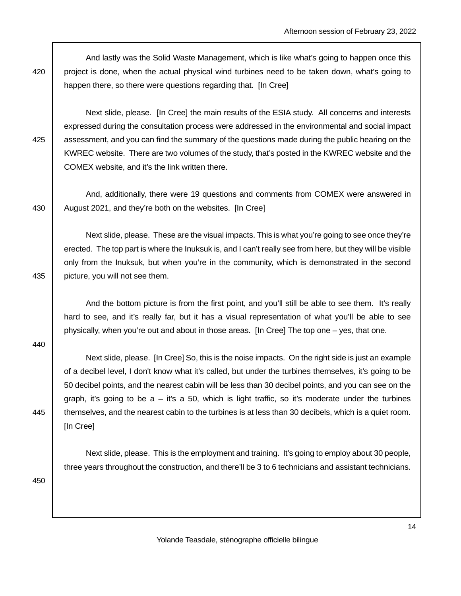And lastly was the Solid Waste Management, which is like what's going to happen once this 420 project is done, when the actual physical wind turbines need to be taken down, what's going to happen there, so there were questions regarding that. [In Cree]

 Next slide, please. [In Cree] the main results of the ESIA study. All concerns and interests expressed during the consultation process were addressed in the environmental and social impact 425 assessment, and you can find the summary of the questions made during the public hearing on the KWREC website. There are two volumes of the study, that's posted in the KWREC website and the COMEX website, and it's the link written there.

 And, additionally, there were 19 questions and comments from COMEX were answered in 430 August 2021, and they're both on the websites. [In Cree]

 Next slide, please. These are the visual impacts. This is what you're going to see once they're erected. The top part is where the Inuksuk is, and I can't really see from here, but they will be visible only from the Inuksuk, but when you're in the community, which is demonstrated in the second 435 | picture, you will not see them.

 And the bottom picture is from the first point, and you'll still be able to see them. It's really hard to see, and it's really far, but it has a visual representation of what you'll be able to see physically, when you're out and about in those areas. [In Cree] The top one – yes, that one.

440

 Next slide, please. [In Cree] So, this is the noise impacts. On the right side is just an example of a decibel level, I don't know what it's called, but under the turbines themselves, it's going to be 50 decibel points, and the nearest cabin will be less than 30 decibel points, and you can see on the graph, it's going to be  $a - i$ t's a 50, which is light traffic, so it's moderate under the turbines 445 themselves, and the nearest cabin to the turbines is at less than 30 decibels, which is a quiet room. [In Cree]

 Next slide, please. This is the employment and training. It's going to employ about 30 people, three years throughout the construction, and there'll be 3 to 6 technicians and assistant technicians.

450

Yolande Teasdale, sténographe officielle bilingue

14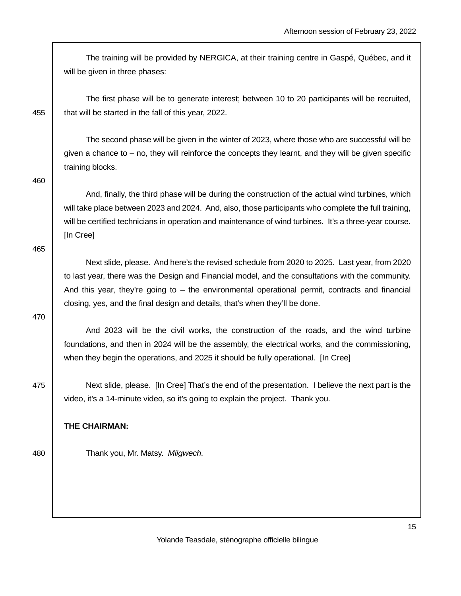The training will be provided by NERGICA, at their training centre in Gaspé, Québec, and it will be given in three phases:

 The first phase will be to generate interest; between 10 to 20 participants will be recruited, 455  $\parallel$  that will be started in the fall of this year, 2022.

 The second phase will be given in the winter of 2023, where those who are successful will be given a chance to – no, they will reinforce the concepts they learnt, and they will be given specific training blocks.

460

 And, finally, the third phase will be during the construction of the actual wind turbines, which will take place between 2023 and 2024. And, also, those participants who complete the full training, will be certified technicians in operation and maintenance of wind turbines. It's a three-year course. [In Cree]

465

 Next slide, please. And here's the revised schedule from 2020 to 2025. Last year, from 2020 to last year, there was the Design and Financial model, and the consultations with the community. And this year, they're going to – the environmental operational permit, contracts and financial closing, yes, and the final design and details, that's when they'll be done.

470

 And 2023 will be the civil works, the construction of the roads, and the wind turbine foundations, and then in 2024 will be the assembly, the electrical works, and the commissioning, when they begin the operations, and 2025 it should be fully operational. [In Cree]

475 Next slide, please. [In Cree] That's the end of the presentation. I believe the next part is the video, it's a 14-minute video, so it's going to explain the project. Thank you.

### **THE CHAIRMAN:**

480 | Thank you, Mr. Matsy. Miigwech.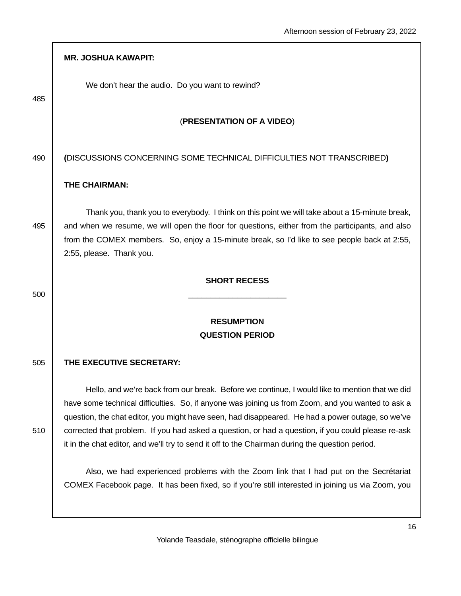|     | <b>MR. JOSHUA KAWAPIT:</b>                                                                                                                                                                                                                                                                                                                                                                                                                                                                                      |
|-----|-----------------------------------------------------------------------------------------------------------------------------------------------------------------------------------------------------------------------------------------------------------------------------------------------------------------------------------------------------------------------------------------------------------------------------------------------------------------------------------------------------------------|
| 485 | We don't hear the audio. Do you want to rewind?                                                                                                                                                                                                                                                                                                                                                                                                                                                                 |
|     | (PRESENTATION OF A VIDEO)                                                                                                                                                                                                                                                                                                                                                                                                                                                                                       |
| 490 | (DISCUSSIONS CONCERNING SOME TECHNICAL DIFFICULTIES NOT TRANSCRIBED)                                                                                                                                                                                                                                                                                                                                                                                                                                            |
|     | <b>THE CHAIRMAN:</b>                                                                                                                                                                                                                                                                                                                                                                                                                                                                                            |
| 495 | Thank you, thank you to everybody. I think on this point we will take about a 15-minute break,<br>and when we resume, we will open the floor for questions, either from the participants, and also<br>from the COMEX members. So, enjoy a 15-minute break, so I'd like to see people back at 2:55,<br>2:55, please. Thank you.                                                                                                                                                                                  |
|     | <b>SHORT RECESS</b>                                                                                                                                                                                                                                                                                                                                                                                                                                                                                             |
| 500 |                                                                                                                                                                                                                                                                                                                                                                                                                                                                                                                 |
|     | <b>RESUMPTION</b><br><b>QUESTION PERIOD</b>                                                                                                                                                                                                                                                                                                                                                                                                                                                                     |
| 505 | THE EXECUTIVE SECRETARY:                                                                                                                                                                                                                                                                                                                                                                                                                                                                                        |
| 510 | Hello, and we're back from our break. Before we continue, I would like to mention that we did<br>have some technical difficulties. So, if anyone was joining us from Zoom, and you wanted to ask a<br>question, the chat editor, you might have seen, had disappeared. He had a power outage, so we've<br>corrected that problem. If you had asked a question, or had a question, if you could please re-ask<br>it in the chat editor, and we'll try to send it off to the Chairman during the question period. |
|     | Also, we had experienced problems with the Zoom link that I had put on the Secrétariat<br>COMEX Facebook page. It has been fixed, so if you're still interested in joining us via Zoom, you                                                                                                                                                                                                                                                                                                                     |

Г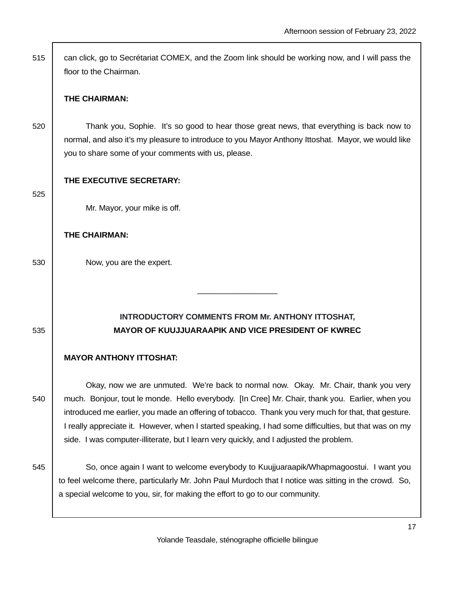515 can click, go to Secrétariat COMEX, and the Zoom link should be working now, and I will pass the floor to the Chairman.

### **THE CHAIRMAN:**

520 Thank you, Sophie. It's so good to hear those great news, that everything is back now to normal, and also it's my pleasure to introduce to you Mayor Anthony Ittoshat. Mayor, we would like you to share some of your comments with us, please.

### **THE EXECUTIVE SECRETARY:**

525

Mr. Mayor, your mike is off.

### **THE CHAIRMAN:**

530 Now, you are the expert.

# **INTRODUCTORY COMMENTS FROM Mr. ANTHONY ITTOSHAT,**  535 **MAYOR OF KUUJJUARAAPIK AND VICE PRESIDENT OF KWREC**

\_\_\_\_\_\_\_\_\_\_\_\_\_\_\_\_\_\_

## **MAYOR ANTHONY ITTOSHAT:**

 Okay, now we are unmuted. We're back to normal now. Okay. Mr. Chair, thank you very 540 much. Bonjour, tout le monde. Hello everybody. [In Cree] Mr. Chair, thank you. Earlier, when you introduced me earlier, you made an offering of tobacco. Thank you very much for that, that gesture. I really appreciate it. However, when I started speaking, I had some difficulties, but that was on my side. I was computer-illiterate, but I learn very quickly, and I adjusted the problem.

545 So, once again I want to welcome everybody to Kuujjuaraapik/Whapmagoostui. I want you to feel welcome there, particularly Mr. John Paul Murdoch that I notice was sitting in the crowd. So, a special welcome to you, sir, for making the effort to go to our community.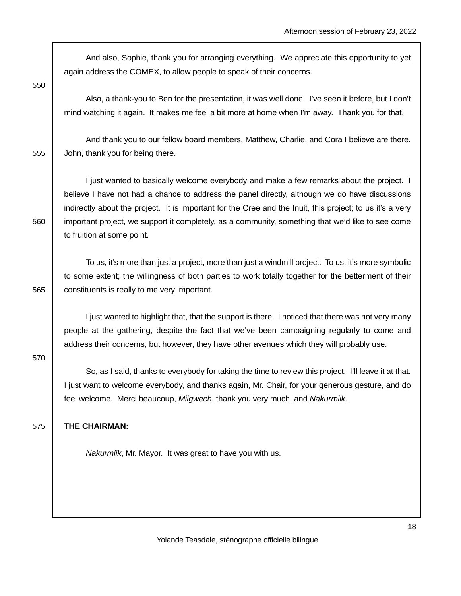And also, Sophie, thank you for arranging everything. We appreciate this opportunity to yet again address the COMEX, to allow people to speak of their concerns.

550

 Also, a thank-you to Ben for the presentation, it was well done. I've seen it before, but I don't mind watching it again. It makes me feel a bit more at home when I'm away. Thank you for that.

 And thank you to our fellow board members, Matthew, Charlie, and Cora I believe are there. 555 **John, thank you for being there.** 

 I just wanted to basically welcome everybody and make a few remarks about the project. I believe I have not had a chance to address the panel directly, although we do have discussions indirectly about the project. It is important for the Cree and the Inuit, this project; to us it's a very 560 important project, we support it completely, as a community, something that we'd like to see come to fruition at some point.

 To us, it's more than just a project, more than just a windmill project. To us, it's more symbolic to some extent; the willingness of both parties to work totally together for the betterment of their 565 **constituents is really to me very important.** 

 I just wanted to highlight that, that the support is there. I noticed that there was not very many people at the gathering, despite the fact that we've been campaigning regularly to come and address their concerns, but however, they have other avenues which they will probably use.

570

 So, as I said, thanks to everybody for taking the time to review this project. I'll leave it at that. I just want to welcome everybody, and thanks again, Mr. Chair, for your generous gesture, and do feel welcome. Merci beaucoup, Miigwech, thank you very much, and Nakurmiik.

### 575 **THE CHAIRMAN:**

Nakurmiik, Mr. Mayor. It was great to have you with us.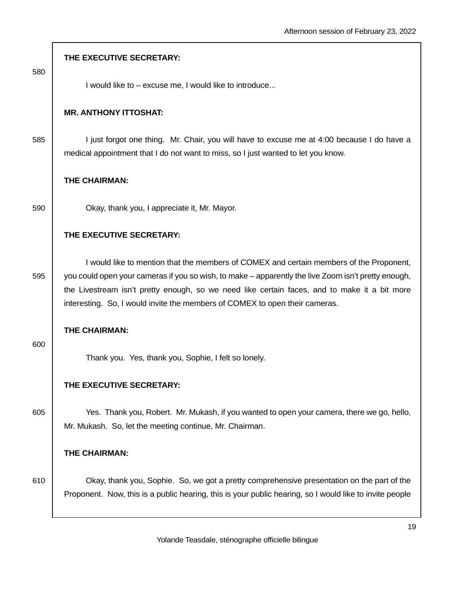|     | THE EXECUTIVE SECRETARY:                                                                                                                                                                                                                                                                                                                                                      |
|-----|-------------------------------------------------------------------------------------------------------------------------------------------------------------------------------------------------------------------------------------------------------------------------------------------------------------------------------------------------------------------------------|
| 580 | I would like to - excuse me, I would like to introduce                                                                                                                                                                                                                                                                                                                        |
|     | <b>MR. ANTHONY ITTOSHAT:</b>                                                                                                                                                                                                                                                                                                                                                  |
| 585 | I just forgot one thing. Mr. Chair, you will have to excuse me at 4:00 because I do have a<br>medical appointment that I do not want to miss, so I just wanted to let you know.                                                                                                                                                                                               |
|     | THE CHAIRMAN:                                                                                                                                                                                                                                                                                                                                                                 |
| 590 | Okay, thank you, I appreciate it, Mr. Mayor.                                                                                                                                                                                                                                                                                                                                  |
|     | THE EXECUTIVE SECRETARY:                                                                                                                                                                                                                                                                                                                                                      |
| 595 | I would like to mention that the members of COMEX and certain members of the Proponent,<br>you could open your cameras if you so wish, to make – apparently the live Zoom isn't pretty enough,<br>the Livestream isn't pretty enough, so we need like certain faces, and to make it a bit more<br>interesting. So, I would invite the members of COMEX to open their cameras. |
| 600 | THE CHAIRMAN:                                                                                                                                                                                                                                                                                                                                                                 |
|     | Thank you. Yes, thank you, Sophie, I felt so lonely.                                                                                                                                                                                                                                                                                                                          |
|     | THE EXECUTIVE SECRETARY:                                                                                                                                                                                                                                                                                                                                                      |
| 605 | Yes. Thank you, Robert. Mr. Mukash, if you wanted to open your camera, there we go, hello,<br>Mr. Mukash. So, let the meeting continue, Mr. Chairman.                                                                                                                                                                                                                         |
|     | THE CHAIRMAN:                                                                                                                                                                                                                                                                                                                                                                 |
| 610 | Okay, thank you, Sophie. So, we got a pretty comprehensive presentation on the part of the<br>Proponent. Now, this is a public hearing, this is your public hearing, so I would like to invite people                                                                                                                                                                         |
|     | 1:                                                                                                                                                                                                                                                                                                                                                                            |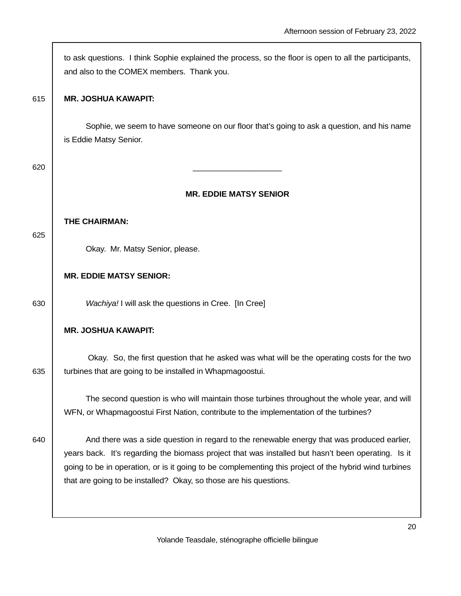|     | to ask questions. I think Sophie explained the process, so the floor is open to all the participants,<br>and also to the COMEX members. Thank you.                                                                                                                                                                                                                             |
|-----|--------------------------------------------------------------------------------------------------------------------------------------------------------------------------------------------------------------------------------------------------------------------------------------------------------------------------------------------------------------------------------|
| 615 | <b>MR. JOSHUA KAWAPIT:</b>                                                                                                                                                                                                                                                                                                                                                     |
|     | Sophie, we seem to have someone on our floor that's going to ask a question, and his name<br>is Eddie Matsy Senior.                                                                                                                                                                                                                                                            |
| 620 |                                                                                                                                                                                                                                                                                                                                                                                |
|     | <b>MR. EDDIE MATSY SENIOR</b>                                                                                                                                                                                                                                                                                                                                                  |
|     | THE CHAIRMAN:                                                                                                                                                                                                                                                                                                                                                                  |
| 625 | Okay. Mr. Matsy Senior, please.                                                                                                                                                                                                                                                                                                                                                |
|     | <b>MR. EDDIE MATSY SENIOR:</b>                                                                                                                                                                                                                                                                                                                                                 |
| 630 | Wachiya! I will ask the questions in Cree. [In Cree]                                                                                                                                                                                                                                                                                                                           |
|     | <b>MR. JOSHUA KAWAPIT:</b>                                                                                                                                                                                                                                                                                                                                                     |
| 635 | Okay. So, the first question that he asked was what will be the operating costs for the two<br>turbines that are going to be installed in Whapmagoostui.                                                                                                                                                                                                                       |
|     | The second question is who will maintain those turbines throughout the whole year, and will<br>WFN, or Whapmagoostui First Nation, contribute to the implementation of the turbines?                                                                                                                                                                                           |
| 640 | And there was a side question in regard to the renewable energy that was produced earlier,<br>years back. It's regarding the biomass project that was installed but hasn't been operating. Is it<br>going to be in operation, or is it going to be complementing this project of the hybrid wind turbines<br>that are going to be installed? Okay, so those are his questions. |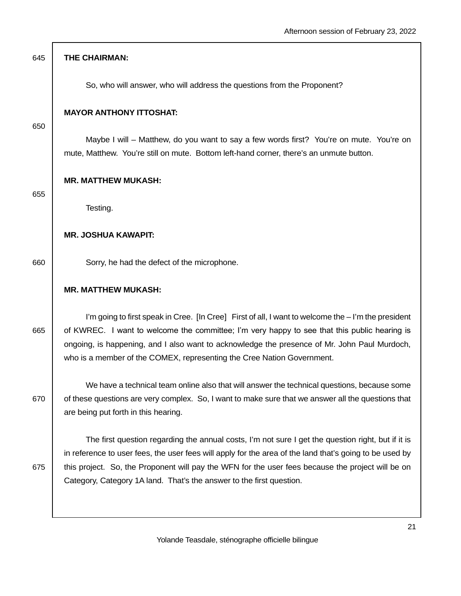| 645 | THE CHAIRMAN:                                                                                                                                                                                                                                                                                                                                                                              |
|-----|--------------------------------------------------------------------------------------------------------------------------------------------------------------------------------------------------------------------------------------------------------------------------------------------------------------------------------------------------------------------------------------------|
|     | So, who will answer, who will address the questions from the Proponent?                                                                                                                                                                                                                                                                                                                    |
| 650 | <b>MAYOR ANTHONY ITTOSHAT:</b>                                                                                                                                                                                                                                                                                                                                                             |
|     | Maybe I will – Matthew, do you want to say a few words first? You're on mute. You're on<br>mute, Matthew. You're still on mute. Bottom left-hand corner, there's an unmute button.                                                                                                                                                                                                         |
| 655 | <b>MR. MATTHEW MUKASH:</b>                                                                                                                                                                                                                                                                                                                                                                 |
|     | Testing.                                                                                                                                                                                                                                                                                                                                                                                   |
|     | <b>MR. JOSHUA KAWAPIT:</b>                                                                                                                                                                                                                                                                                                                                                                 |
| 660 | Sorry, he had the defect of the microphone.                                                                                                                                                                                                                                                                                                                                                |
|     | <b>MR. MATTHEW MUKASH:</b>                                                                                                                                                                                                                                                                                                                                                                 |
| 665 | I'm going to first speak in Cree. [In Cree] First of all, I want to welcome the - I'm the president<br>of KWREC. I want to welcome the committee; I'm very happy to see that this public hearing is<br>ongoing, is happening, and I also want to acknowledge the presence of Mr. John Paul Murdoch,<br>who is a member of the COMEX, representing the Cree Nation Government.              |
| 670 | We have a technical team online also that will answer the technical questions, because some<br>of these questions are very complex. So, I want to make sure that we answer all the questions that<br>are being put forth in this hearing.                                                                                                                                                  |
| 675 | The first question regarding the annual costs, I'm not sure I get the question right, but if it is<br>in reference to user fees, the user fees will apply for the area of the land that's going to be used by<br>this project. So, the Proponent will pay the WFN for the user fees because the project will be on<br>Category, Category 1A land. That's the answer to the first question. |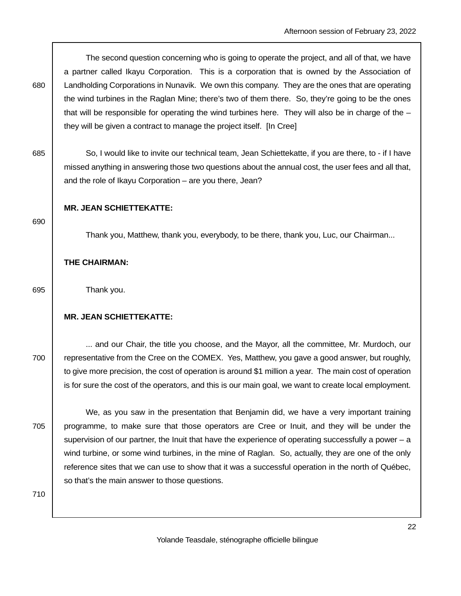The second question concerning who is going to operate the project, and all of that, we have a partner called Ikayu Corporation. This is a corporation that is owned by the Association of 680 Landholding Corporations in Nunavik. We own this company. They are the ones that are operating the wind turbines in the Raglan Mine; there's two of them there. So, they're going to be the ones that will be responsible for operating the wind turbines here. They will also be in charge of the  $$ they will be given a contract to manage the project itself. [In Cree]

685 So, I would like to invite our technical team, Jean Schiettekatte, if you are there, to - if I have missed anything in answering those two questions about the annual cost, the user fees and all that, and the role of Ikayu Corporation – are you there, Jean?

### **MR. JEAN SCHIETTEKATTE:**

690

Thank you, Matthew, thank you, everybody, to be there, thank you, Luc, our Chairman...

**THE CHAIRMAN:** 

695 Thank you.

### **MR. JEAN SCHIETTEKATTE:**

 ... and our Chair, the title you choose, and the Mayor, all the committee, Mr. Murdoch, our 700 **representative from the Cree on the COMEX.** Yes, Matthew, you gave a good answer, but roughly, to give more precision, the cost of operation is around \$1 million a year. The main cost of operation is for sure the cost of the operators, and this is our main goal, we want to create local employment.

 We, as you saw in the presentation that Benjamin did, we have a very important training 705 | programme, to make sure that those operators are Cree or Inuit, and they will be under the supervision of our partner, the Inuit that have the experience of operating successfully a power  $-a$ wind turbine, or some wind turbines, in the mine of Raglan. So, actually, they are one of the only reference sites that we can use to show that it was a successful operation in the north of Québec, so that's the main answer to those questions.

710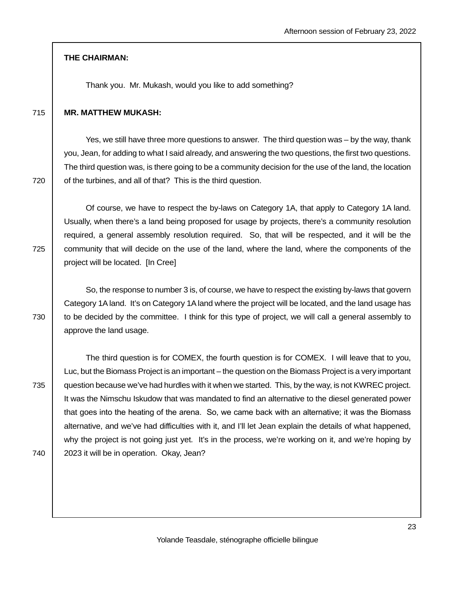#### **THE CHAIRMAN:**

Thank you. Mr. Mukash, would you like to add something?

#### 715 **MR. MATTHEW MUKASH:**

 Yes, we still have three more questions to answer. The third question was – by the way, thank you, Jean, for adding to what I said already, and answering the two questions, the first two questions. The third question was, is there going to be a community decision for the use of the land, the location  $720$   $\mid$  of the turbines, and all of that? This is the third question.

 Of course, we have to respect the by-laws on Category 1A, that apply to Category 1A land. Usually, when there's a land being proposed for usage by projects, there's a community resolution required, a general assembly resolution required. So, that will be respected, and it will be the 725 community that will decide on the use of the land, where the land, where the components of the project will be located. [In Cree]

 So, the response to number 3 is, of course, we have to respect the existing by-laws that govern Category 1A land. It's on Category 1A land where the project will be located, and the land usage has 730 to be decided by the committee. I think for this type of project, we will call a general assembly to approve the land usage.

 The third question is for COMEX, the fourth question is for COMEX. I will leave that to you, Luc, but the Biomass Project is an important – the question on the Biomass Project is a very important 735 | question because we've had hurdles with it when we started. This, by the way, is not KWREC project. It was the Nimschu Iskudow that was mandated to find an alternative to the diesel generated power that goes into the heating of the arena. So, we came back with an alternative; it was the Biomass alternative, and we've had difficulties with it, and I'll let Jean explain the details of what happened, why the project is not going just yet. It's in the process, we're working on it, and we're hoping by 740 2023 it will be in operation. Okay, Jean?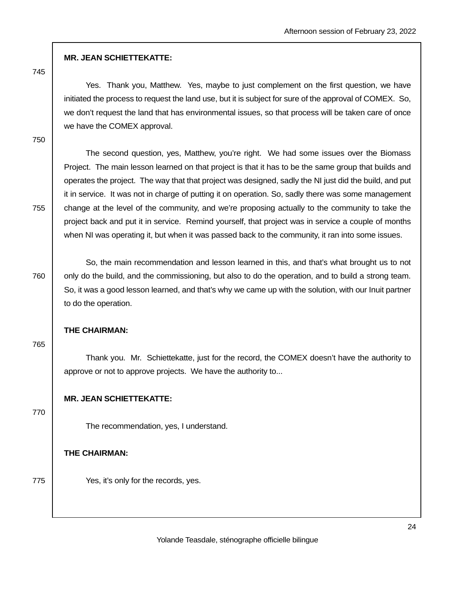## **MR. JEAN SCHIETTEKATTE:**

745

 Yes. Thank you, Matthew. Yes, maybe to just complement on the first question, we have initiated the process to request the land use, but it is subject for sure of the approval of COMEX. So, we don't request the land that has environmental issues, so that process will be taken care of once we have the COMEX approval.

750

 The second question, yes, Matthew, you're right. We had some issues over the Biomass Project. The main lesson learned on that project is that it has to be the same group that builds and operates the project. The way that that project was designed, sadly the NI just did the build, and put it in service. It was not in charge of putting it on operation. So, sadly there was some management  $755$  change at the level of the community, and we're proposing actually to the community to take the project back and put it in service. Remind yourself, that project was in service a couple of months when NI was operating it, but when it was passed back to the community, it ran into some issues.

 So, the main recommendation and lesson learned in this, and that's what brought us to not 760 only do the build, and the commissioning, but also to do the operation, and to build a strong team. So, it was a good lesson learned, and that's why we came up with the solution, with our Inuit partner to do the operation.

### **THE CHAIRMAN:**

765

 Thank you. Mr. Schiettekatte, just for the record, the COMEX doesn't have the authority to approve or not to approve projects. We have the authority to...

## **MR. JEAN SCHIETTEKATTE:**

770

The recommendation, yes, I understand.

### **THE CHAIRMAN:**

775 **Yes, it's only for the records, yes.**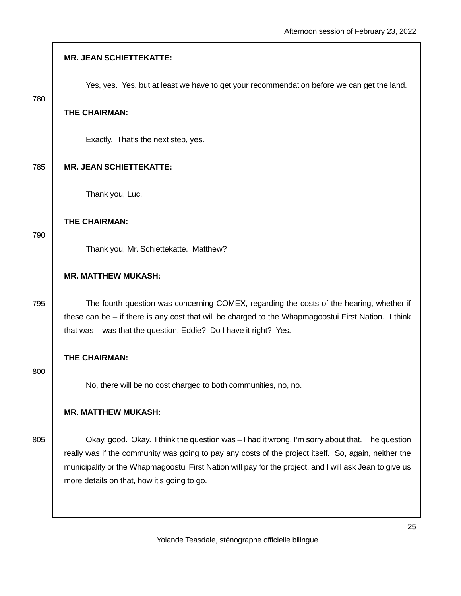|     | <b>MR. JEAN SCHIETTEKATTE:</b>                                                                                                                                                                                                                                                                                                                                    |
|-----|-------------------------------------------------------------------------------------------------------------------------------------------------------------------------------------------------------------------------------------------------------------------------------------------------------------------------------------------------------------------|
| 780 | Yes, yes. Yes, but at least we have to get your recommendation before we can get the land.                                                                                                                                                                                                                                                                        |
|     | THE CHAIRMAN:                                                                                                                                                                                                                                                                                                                                                     |
|     | Exactly. That's the next step, yes.                                                                                                                                                                                                                                                                                                                               |
| 785 | <b>MR. JEAN SCHIETTEKATTE:</b>                                                                                                                                                                                                                                                                                                                                    |
|     | Thank you, Luc.                                                                                                                                                                                                                                                                                                                                                   |
| 790 | THE CHAIRMAN:                                                                                                                                                                                                                                                                                                                                                     |
|     | Thank you, Mr. Schiettekatte. Matthew?                                                                                                                                                                                                                                                                                                                            |
|     | <b>MR. MATTHEW MUKASH:</b>                                                                                                                                                                                                                                                                                                                                        |
| 795 | The fourth question was concerning COMEX, regarding the costs of the hearing, whether if<br>these can be $-$ if there is any cost that will be charged to the Whapmagoostui First Nation. I think<br>that was - was that the question, Eddie? Do I have it right? Yes.                                                                                            |
| 800 | THE CHAIRMAN:                                                                                                                                                                                                                                                                                                                                                     |
|     | No, there will be no cost charged to both communities, no, no.                                                                                                                                                                                                                                                                                                    |
|     | <b>MR. MATTHEW MUKASH:</b>                                                                                                                                                                                                                                                                                                                                        |
| 805 | Okay, good. Okay. I think the question was - I had it wrong, I'm sorry about that. The question<br>really was if the community was going to pay any costs of the project itself. So, again, neither the<br>municipality or the Whapmagoostui First Nation will pay for the project, and I will ask Jean to give us<br>more details on that, how it's going to go. |

 $\overline{\phantom{a}}$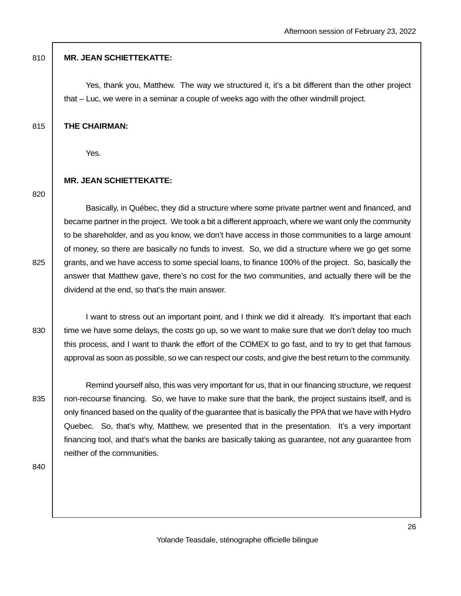### 810 **MR. JEAN SCHIETTEKATTE:**

 Yes, thank you, Matthew. The way we structured it, it's a bit different than the other project that – Luc, we were in a seminar a couple of weeks ago with the other windmill project.

#### 815 **THE CHAIRMAN:**

Yes.

### **MR. JEAN SCHIETTEKATTE:**

820

 Basically, in Québec, they did a structure where some private partner went and financed, and became partner in the project. We took a bit a different approach, where we want only the community to be shareholder, and as you know, we don't have access in those communities to a large amount of money, so there are basically no funds to invest. So, we did a structure where we go get some 825 grants, and we have access to some special loans, to finance 100% of the project. So, basically the answer that Matthew gave, there's no cost for the two communities, and actually there will be the dividend at the end, so that's the main answer.

 I want to stress out an important point, and I think we did it already. It's important that each 830 time we have some delays, the costs go up, so we want to make sure that we don't delay too much this process, and I want to thank the effort of the COMEX to go fast, and to try to get that famous approval as soon as possible, so we can respect our costs, and give the best return to the community.

 Remind yourself also, this was very important for us, that in our financing structure, we request 835 | non-recourse financing. So, we have to make sure that the bank, the project sustains itself, and is only financed based on the quality of the guarantee that is basically the PPA that we have with Hydro Quebec. So, that's why, Matthew, we presented that in the presentation. It's a very important financing tool, and that's what the banks are basically taking as guarantee, not any guarantee from neither of the communities.

840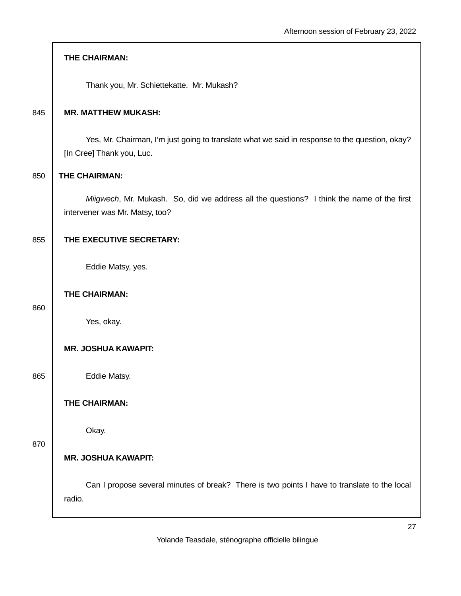|     | THE CHAIRMAN:                                                                                                               |
|-----|-----------------------------------------------------------------------------------------------------------------------------|
|     | Thank you, Mr. Schiettekatte. Mr. Mukash?                                                                                   |
| 845 | <b>MR. MATTHEW MUKASH:</b>                                                                                                  |
|     | Yes, Mr. Chairman, I'm just going to translate what we said in response to the question, okay?<br>[In Cree] Thank you, Luc. |
| 850 | THE CHAIRMAN:                                                                                                               |
|     | Miigwech, Mr. Mukash. So, did we address all the questions? I think the name of the first<br>intervener was Mr. Matsy, too? |
| 855 | THE EXECUTIVE SECRETARY:                                                                                                    |
|     | Eddie Matsy, yes.                                                                                                           |
| 860 | THE CHAIRMAN:                                                                                                               |
|     | Yes, okay.                                                                                                                  |
|     | <b>MR. JOSHUA KAWAPIT:</b>                                                                                                  |
| 865 | Eddie Matsy.                                                                                                                |
|     | THE CHAIRMAN:                                                                                                               |
| 870 | Okay.                                                                                                                       |
|     | <b>MR. JOSHUA KAWAPIT:</b>                                                                                                  |
|     | Can I propose several minutes of break? There is two points I have to translate to the local<br>radio.                      |
|     | דר                                                                                                                          |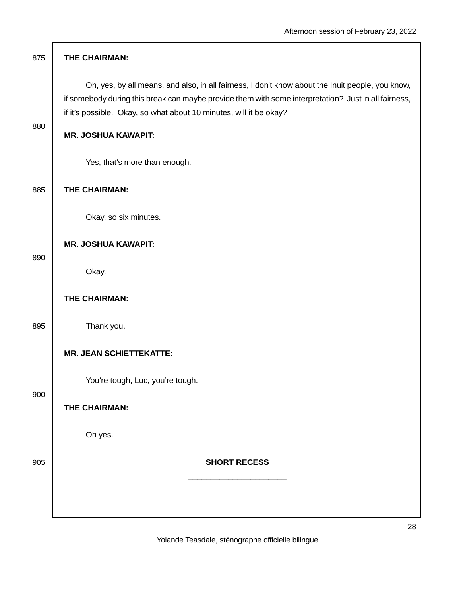| 875 | THE CHAIRMAN:                                                                                                                                                                                                                                                                  |
|-----|--------------------------------------------------------------------------------------------------------------------------------------------------------------------------------------------------------------------------------------------------------------------------------|
|     | Oh, yes, by all means, and also, in all fairness, I don't know about the Inuit people, you know,<br>if somebody during this break can maybe provide them with some interpretation? Just in all fairness,<br>if it's possible. Okay, so what about 10 minutes, will it be okay? |
| 880 | <b>MR. JOSHUA KAWAPIT:</b>                                                                                                                                                                                                                                                     |
|     | Yes, that's more than enough.                                                                                                                                                                                                                                                  |
| 885 | THE CHAIRMAN:                                                                                                                                                                                                                                                                  |
|     | Okay, so six minutes.                                                                                                                                                                                                                                                          |
| 890 | <b>MR. JOSHUA KAWAPIT:</b>                                                                                                                                                                                                                                                     |
|     | Okay.                                                                                                                                                                                                                                                                          |
|     | THE CHAIRMAN:                                                                                                                                                                                                                                                                  |
| 895 | Thank you.                                                                                                                                                                                                                                                                     |
|     | <b>MR. JEAN SCHIETTEKATTE:</b>                                                                                                                                                                                                                                                 |
| 900 | You're tough, Luc, you're tough.                                                                                                                                                                                                                                               |
|     | THE CHAIRMAN:                                                                                                                                                                                                                                                                  |
|     | Oh yes.                                                                                                                                                                                                                                                                        |
| 905 | <b>SHORT RECESS</b>                                                                                                                                                                                                                                                            |
|     |                                                                                                                                                                                                                                                                                |
|     | າເ                                                                                                                                                                                                                                                                             |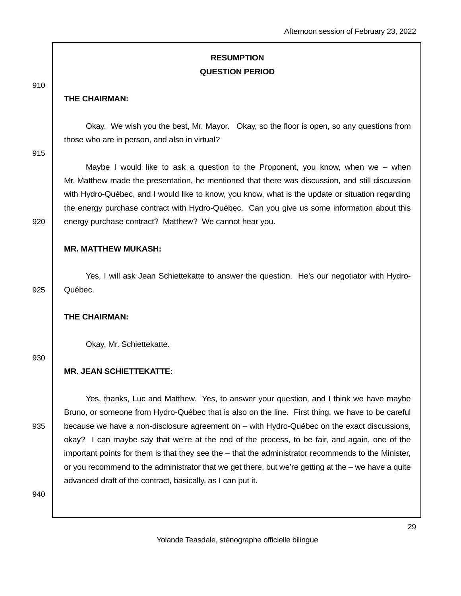# **RESUMPTION QUESTION PERIOD**

#### 910

### **THE CHAIRMAN:**

 Okay. We wish you the best, Mr. Mayor. Okay, so the floor is open, so any questions from those who are in person, and also in virtual?

915

 Maybe I would like to ask a question to the Proponent, you know, when we – when Mr. Matthew made the presentation, he mentioned that there was discussion, and still discussion with Hydro-Québec, and I would like to know, you know, what is the update or situation regarding the energy purchase contract with Hydro-Québec. Can you give us some information about this 920 energy purchase contract? Matthew? We cannot hear you.

## **MR. MATTHEW MUKASH:**

 Yes, I will ask Jean Schiettekatte to answer the question. He's our negotiator with Hydro-925 | Québec.

#### **THE CHAIRMAN:**

Okay, Mr. Schiettekatte.

930

### **MR. JEAN SCHIETTEKATTE:**

 Yes, thanks, Luc and Matthew. Yes, to answer your question, and I think we have maybe Bruno, or someone from Hydro-Québec that is also on the line. First thing, we have to be careful 935 | because we have a non-disclosure agreement on – with Hydro-Québec on the exact discussions, okay? I can maybe say that we're at the end of the process, to be fair, and again, one of the important points for them is that they see the – that the administrator recommends to the Minister, or you recommend to the administrator that we get there, but we're getting at the – we have a quite advanced draft of the contract, basically, as I can put it.

940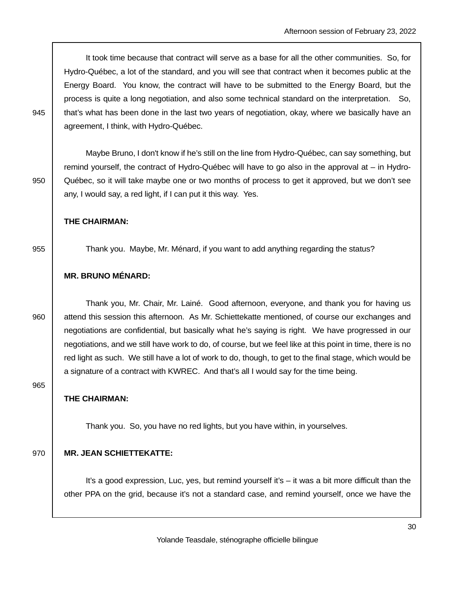It took time because that contract will serve as a base for all the other communities. So, for Hydro-Québec, a lot of the standard, and you will see that contract when it becomes public at the Energy Board. You know, the contract will have to be submitted to the Energy Board, but the process is quite a long negotiation, and also some technical standard on the interpretation. So, 945 that's what has been done in the last two years of negotiation, okay, where we basically have an agreement, I think, with Hydro-Québec.

 Maybe Bruno, I don't know if he's still on the line from Hydro-Québec, can say something, but remind yourself, the contract of Hydro-Québec will have to go also in the approval at – in Hydro-950 Québec, so it will take maybe one or two months of process to get it approved, but we don't see any, I would say, a red light, if I can put it this way. Yes.

### **THE CHAIRMAN:**

955 Thank you. Maybe, Mr. Ménard, if you want to add anything regarding the status?

## **MR. BRUNO MÉNARD:**

 Thank you, Mr. Chair, Mr. Lainé. Good afternoon, everyone, and thank you for having us 960 attend this session this afternoon. As Mr. Schiettekatte mentioned, of course our exchanges and negotiations are confidential, but basically what he's saying is right. We have progressed in our negotiations, and we still have work to do, of course, but we feel like at this point in time, there is no red light as such. We still have a lot of work to do, though, to get to the final stage, which would be a signature of a contract with KWREC. And that's all I would say for the time being.

965

### **THE CHAIRMAN:**

Thank you. So, you have no red lights, but you have within, in yourselves.

#### 970 **MR. JEAN SCHIETTEKATTE:**

 It's a good expression, Luc, yes, but remind yourself it's – it was a bit more difficult than the other PPA on the grid, because it's not a standard case, and remind yourself, once we have the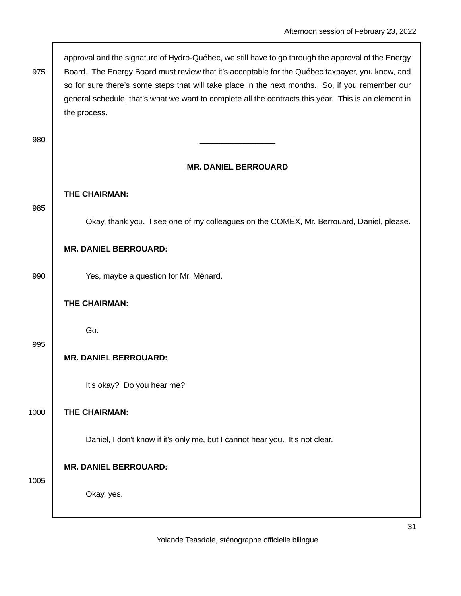|      | approval and the signature of Hydro-Québec, we still have to go through the approval of the Energy                                                                                                      |
|------|---------------------------------------------------------------------------------------------------------------------------------------------------------------------------------------------------------|
| 975  | Board. The Energy Board must review that it's acceptable for the Québec taxpayer, you know, and                                                                                                         |
|      | so for sure there's some steps that will take place in the next months. So, if you remember our<br>general schedule, that's what we want to complete all the contracts this year. This is an element in |
|      | the process.                                                                                                                                                                                            |
|      |                                                                                                                                                                                                         |
| 980  |                                                                                                                                                                                                         |
|      |                                                                                                                                                                                                         |
|      | <b>MR. DANIEL BERROUARD</b>                                                                                                                                                                             |
|      |                                                                                                                                                                                                         |
| 985  | THE CHAIRMAN:                                                                                                                                                                                           |
|      | Okay, thank you. I see one of my colleagues on the COMEX, Mr. Berrouard, Daniel, please.                                                                                                                |
|      |                                                                                                                                                                                                         |
|      | <b>MR. DANIEL BERROUARD:</b>                                                                                                                                                                            |
|      |                                                                                                                                                                                                         |
| 990  | Yes, maybe a question for Mr. Ménard.                                                                                                                                                                   |
|      | THE CHAIRMAN:                                                                                                                                                                                           |
|      |                                                                                                                                                                                                         |
|      | Go.                                                                                                                                                                                                     |
| 995  |                                                                                                                                                                                                         |
|      | <b>MR. DANIEL BERROUARD:</b>                                                                                                                                                                            |
|      | It's okay? Do you hear me?                                                                                                                                                                              |
|      |                                                                                                                                                                                                         |
| 1000 | THE CHAIRMAN:                                                                                                                                                                                           |
|      |                                                                                                                                                                                                         |
|      | Daniel, I don't know if it's only me, but I cannot hear you. It's not clear.                                                                                                                            |
|      | <b>MR. DANIEL BERROUARD:</b>                                                                                                                                                                            |
| 1005 |                                                                                                                                                                                                         |
|      | Okay, yes.                                                                                                                                                                                              |
|      |                                                                                                                                                                                                         |
|      |                                                                                                                                                                                                         |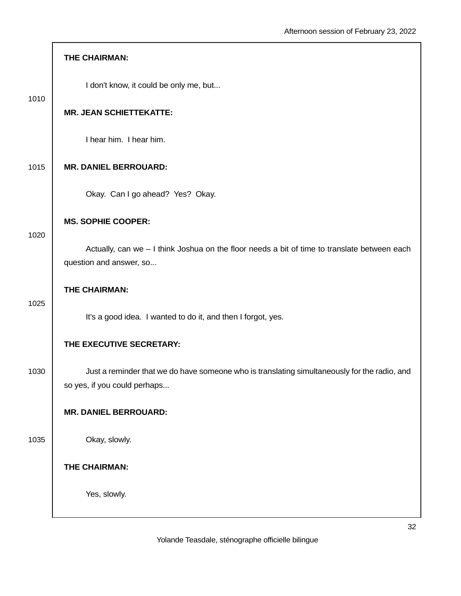|      | THE CHAIRMAN:                                                                                                                |
|------|------------------------------------------------------------------------------------------------------------------------------|
| 1010 | I don't know, it could be only me, but                                                                                       |
|      | <b>MR. JEAN SCHIETTEKATTE:</b>                                                                                               |
|      | I hear him. I hear him.                                                                                                      |
| 1015 | <b>MR. DANIEL BERROUARD:</b>                                                                                                 |
|      | Okay. Can I go ahead? Yes? Okay.                                                                                             |
| 1020 | <b>MS. SOPHIE COOPER:</b>                                                                                                    |
|      | Actually, can we - I think Joshua on the floor needs a bit of time to translate between each<br>question and answer, so      |
| 1025 | THE CHAIRMAN:                                                                                                                |
|      | It's a good idea. I wanted to do it, and then I forgot, yes.                                                                 |
|      | THE EXECUTIVE SECRETARY:                                                                                                     |
| 1030 | Just a reminder that we do have someone who is translating simultaneously for the radio, and<br>so yes, if you could perhaps |
|      | <b>MR. DANIEL BERROUARD:</b>                                                                                                 |
| 1035 | Okay, slowly.                                                                                                                |
|      | THE CHAIRMAN:                                                                                                                |
|      | Yes, slowly.                                                                                                                 |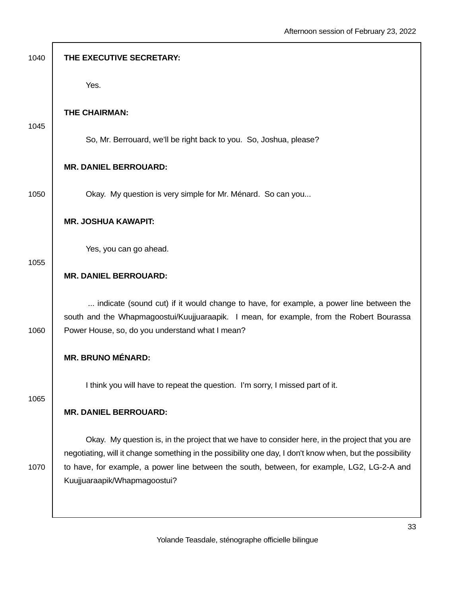| 1040 | THE EXECUTIVE SECRETARY:                                                                                                                                                                                    |
|------|-------------------------------------------------------------------------------------------------------------------------------------------------------------------------------------------------------------|
|      | Yes.                                                                                                                                                                                                        |
| 1045 | THE CHAIRMAN:                                                                                                                                                                                               |
|      | So, Mr. Berrouard, we'll be right back to you. So, Joshua, please?                                                                                                                                          |
|      | <b>MR. DANIEL BERROUARD:</b>                                                                                                                                                                                |
| 1050 | Okay. My question is very simple for Mr. Ménard. So can you                                                                                                                                                 |
|      | <b>MR. JOSHUA KAWAPIT:</b>                                                                                                                                                                                  |
| 1055 | Yes, you can go ahead.                                                                                                                                                                                      |
|      | <b>MR. DANIEL BERROUARD:</b>                                                                                                                                                                                |
|      | indicate (sound cut) if it would change to have, for example, a power line between the<br>south and the Whapmagoostui/Kuujjuaraapik. I mean, for example, from the Robert Bourassa                          |
| 1060 | Power House, so, do you understand what I mean?                                                                                                                                                             |
|      | <b>MR. BRUNO MÉNARD:</b>                                                                                                                                                                                    |
| 1065 | I think you will have to repeat the question. I'm sorry, I missed part of it.                                                                                                                               |
|      | <b>MR. DANIEL BERROUARD:</b>                                                                                                                                                                                |
|      | Okay. My question is, in the project that we have to consider here, in the project that you are<br>negotiating, will it change something in the possibility one day, I don't know when, but the possibility |
| 1070 | to have, for example, a power line between the south, between, for example, LG2, LG-2-A and<br>Kuujjuaraapik/Whapmagoostui?                                                                                 |
|      |                                                                                                                                                                                                             |
|      |                                                                                                                                                                                                             |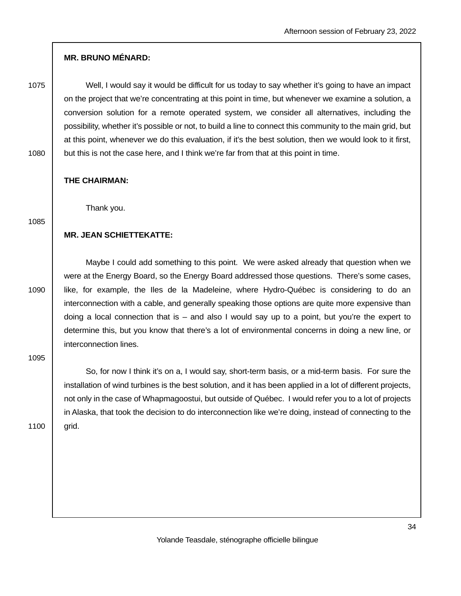## **MR. BRUNO MÉNARD:**

1075 Well, I would say it would be difficult for us today to say whether it's going to have an impact on the project that we're concentrating at this point in time, but whenever we examine a solution, a conversion solution for a remote operated system, we consider all alternatives, including the possibility, whether it's possible or not, to build a line to connect this community to the main grid, but at this point, whenever we do this evaluation, if it's the best solution, then we would look to it first, 1080 but this is not the case here, and I think we're far from that at this point in time.

**THE CHAIRMAN:**

Thank you.

1085

## **MR. JEAN SCHIETTEKATTE:**

 Maybe I could add something to this point. We were asked already that question when we were at the Energy Board, so the Energy Board addressed those questions. There's some cases, 1090 | like, for example, the Iles de la Madeleine, where Hydro-Québec is considering to do an interconnection with a cable, and generally speaking those options are quite more expensive than doing a local connection that is – and also I would say up to a point, but you're the expert to determine this, but you know that there's a lot of environmental concerns in doing a new line, or interconnection lines.

1095

 So, for now I think it's on a, I would say, short-term basis, or a mid-term basis. For sure the installation of wind turbines is the best solution, and it has been applied in a lot of different projects, not only in the case of Whapmagoostui, but outside of Québec. I would refer you to a lot of projects in Alaska, that took the decision to do interconnection like we're doing, instead of connecting to the 1100 | grid.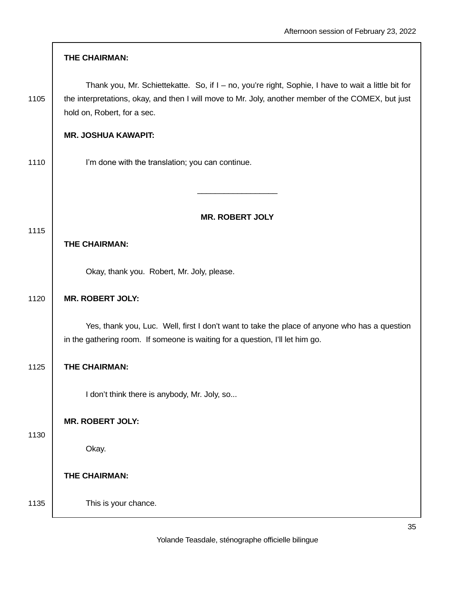|      | THE CHAIRMAN:                                                                                                                                                                                                                           |
|------|-----------------------------------------------------------------------------------------------------------------------------------------------------------------------------------------------------------------------------------------|
| 1105 | Thank you, Mr. Schiettekatte. So, if I - no, you're right, Sophie, I have to wait a little bit for<br>the interpretations, okay, and then I will move to Mr. Joly, another member of the COMEX, but just<br>hold on, Robert, for a sec. |
|      | <b>MR. JOSHUA KAWAPIT:</b>                                                                                                                                                                                                              |
| 1110 | I'm done with the translation; you can continue.                                                                                                                                                                                        |
|      |                                                                                                                                                                                                                                         |
|      | <b>MR. ROBERT JOLY</b>                                                                                                                                                                                                                  |
| 1115 | THE CHAIRMAN:                                                                                                                                                                                                                           |
|      | Okay, thank you. Robert, Mr. Joly, please.                                                                                                                                                                                              |
| 1120 | <b>MR. ROBERT JOLY:</b>                                                                                                                                                                                                                 |
|      | Yes, thank you, Luc. Well, first I don't want to take the place of anyone who has a question<br>in the gathering room. If someone is waiting for a question, I'll let him go.                                                           |
| 1125 | THE CHAIRMAN:                                                                                                                                                                                                                           |
|      | I don't think there is anybody, Mr. Joly, so                                                                                                                                                                                            |
|      | <b>MR. ROBERT JOLY:</b>                                                                                                                                                                                                                 |
| 1130 | Okay.                                                                                                                                                                                                                                   |
|      | THE CHAIRMAN:                                                                                                                                                                                                                           |
| 1135 | This is your chance.                                                                                                                                                                                                                    |

 $\sqrt{ }$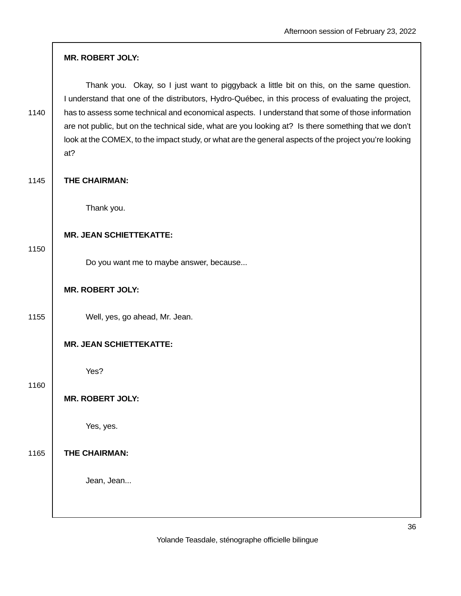|      | <b>MR. ROBERT JOLY:</b>                                                                                                                                                                                                                                                                                                                                                                                                                                                                                                     |
|------|-----------------------------------------------------------------------------------------------------------------------------------------------------------------------------------------------------------------------------------------------------------------------------------------------------------------------------------------------------------------------------------------------------------------------------------------------------------------------------------------------------------------------------|
| 1140 | Thank you. Okay, so I just want to piggyback a little bit on this, on the same question.<br>I understand that one of the distributors, Hydro-Québec, in this process of evaluating the project,<br>has to assess some technical and economical aspects. I understand that some of those information<br>are not public, but on the technical side, what are you looking at? Is there something that we don't<br>look at the COMEX, to the impact study, or what are the general aspects of the project you're looking<br>at? |
| 1145 | THE CHAIRMAN:                                                                                                                                                                                                                                                                                                                                                                                                                                                                                                               |
|      | Thank you.                                                                                                                                                                                                                                                                                                                                                                                                                                                                                                                  |
| 1150 | <b>MR. JEAN SCHIETTEKATTE:</b>                                                                                                                                                                                                                                                                                                                                                                                                                                                                                              |
|      | Do you want me to maybe answer, because                                                                                                                                                                                                                                                                                                                                                                                                                                                                                     |
|      | <b>MR. ROBERT JOLY:</b>                                                                                                                                                                                                                                                                                                                                                                                                                                                                                                     |
| 1155 | Well, yes, go ahead, Mr. Jean.                                                                                                                                                                                                                                                                                                                                                                                                                                                                                              |
|      | <b>MR. JEAN SCHIETTEKATTE:</b>                                                                                                                                                                                                                                                                                                                                                                                                                                                                                              |
| 1160 | Yes?                                                                                                                                                                                                                                                                                                                                                                                                                                                                                                                        |
|      | <b>MR. ROBERT JOLY:</b>                                                                                                                                                                                                                                                                                                                                                                                                                                                                                                     |
|      | Yes, yes.                                                                                                                                                                                                                                                                                                                                                                                                                                                                                                                   |
| 1165 | <b>THE CHAIRMAN:</b>                                                                                                                                                                                                                                                                                                                                                                                                                                                                                                        |
|      | Jean, Jean                                                                                                                                                                                                                                                                                                                                                                                                                                                                                                                  |
|      |                                                                                                                                                                                                                                                                                                                                                                                                                                                                                                                             |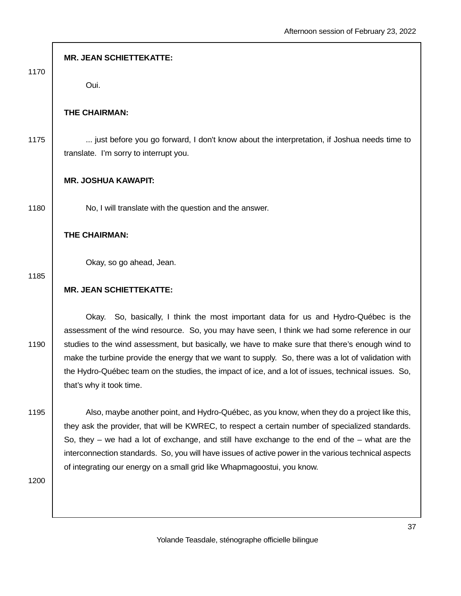| 1170 | <b>MR. JEAN SCHIETTEKATTE:</b>                                                                                                                                                                                                                                                                                                                                                                                                                                                                                                  |
|------|---------------------------------------------------------------------------------------------------------------------------------------------------------------------------------------------------------------------------------------------------------------------------------------------------------------------------------------------------------------------------------------------------------------------------------------------------------------------------------------------------------------------------------|
|      | Oui.                                                                                                                                                                                                                                                                                                                                                                                                                                                                                                                            |
|      | THE CHAIRMAN:                                                                                                                                                                                                                                                                                                                                                                                                                                                                                                                   |
| 1175 | just before you go forward, I don't know about the interpretation, if Joshua needs time to<br>translate. I'm sorry to interrupt you.                                                                                                                                                                                                                                                                                                                                                                                            |
|      | <b>MR. JOSHUA KAWAPIT:</b>                                                                                                                                                                                                                                                                                                                                                                                                                                                                                                      |
| 1180 | No, I will translate with the question and the answer.                                                                                                                                                                                                                                                                                                                                                                                                                                                                          |
|      | THE CHAIRMAN:                                                                                                                                                                                                                                                                                                                                                                                                                                                                                                                   |
| 1185 | Okay, so go ahead, Jean.                                                                                                                                                                                                                                                                                                                                                                                                                                                                                                        |
|      | <b>MR. JEAN SCHIETTEKATTE:</b>                                                                                                                                                                                                                                                                                                                                                                                                                                                                                                  |
| 1190 | Okay. So, basically, I think the most important data for us and Hydro-Québec is the<br>assessment of the wind resource. So, you may have seen, I think we had some reference in our<br>studies to the wind assessment, but basically, we have to make sure that there's enough wind to<br>make the turbine provide the energy that we want to supply. So, there was a lot of validation with<br>the Hydro-Québec team on the studies, the impact of ice, and a lot of issues, technical issues. So,<br>that's why it took time. |
| 1195 | Also, maybe another point, and Hydro-Québec, as you know, when they do a project like this,<br>they ask the provider, that will be KWREC, to respect a certain number of specialized standards.<br>So, they – we had a lot of exchange, and still have exchange to the end of the – what are the<br>interconnection standards. So, you will have issues of active power in the various technical aspects<br>of integrating our energy on a small grid like Whapmagoostui, you know.                                             |
| 1200 |                                                                                                                                                                                                                                                                                                                                                                                                                                                                                                                                 |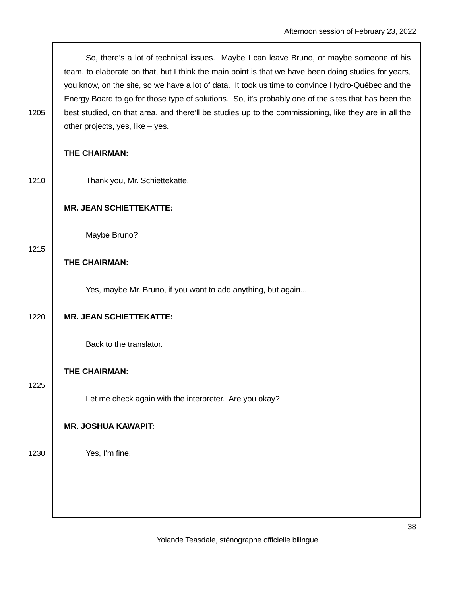So, there's a lot of technical issues. Maybe I can leave Bruno, or maybe someone of his team, to elaborate on that, but I think the main point is that we have been doing studies for years, you know, on the site, so we have a lot of data. It took us time to convince Hydro-Québec and the Energy Board to go for those type of solutions. So, it's probably one of the sites that has been the 1205 best studied, on that area, and there'll be studies up to the commissioning, like they are in all the other projects, yes, like – yes.

#### **THE CHAIRMAN:**

|      | THE CHAIRMAN:                                                |
|------|--------------------------------------------------------------|
| 1210 | Thank you, Mr. Schiettekatte.                                |
|      | <b>MR. JEAN SCHIETTEKATTE:</b>                               |
| 1215 | Maybe Bruno?                                                 |
|      | THE CHAIRMAN:                                                |
|      | Yes, maybe Mr. Bruno, if you want to add anything, but again |
| 1220 | <b>MR. JEAN SCHIETTEKATTE:</b>                               |
|      | Back to the translator.                                      |
| 1225 | THE CHAIRMAN:                                                |
|      | Let me check again with the interpreter. Are you okay?       |
|      | <b>MR. JOSHUA KAWAPIT:</b>                                   |
| 1230 | Yes, I'm fine.                                               |
|      |                                                              |
|      |                                                              |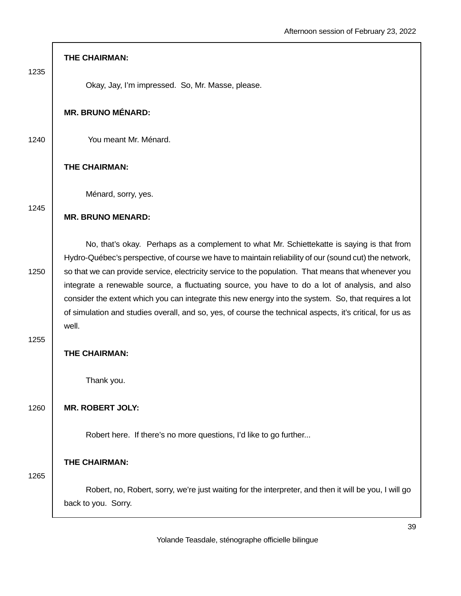|      | THE CHAIRMAN:                                                                                                                                                                                                                                                                                                                                                                                                                                                                                                                                                                                                                             |
|------|-------------------------------------------------------------------------------------------------------------------------------------------------------------------------------------------------------------------------------------------------------------------------------------------------------------------------------------------------------------------------------------------------------------------------------------------------------------------------------------------------------------------------------------------------------------------------------------------------------------------------------------------|
| 1235 | Okay, Jay, I'm impressed. So, Mr. Masse, please.                                                                                                                                                                                                                                                                                                                                                                                                                                                                                                                                                                                          |
|      | <b>MR. BRUNO MÉNARD:</b>                                                                                                                                                                                                                                                                                                                                                                                                                                                                                                                                                                                                                  |
| 1240 | You meant Mr. Ménard.                                                                                                                                                                                                                                                                                                                                                                                                                                                                                                                                                                                                                     |
|      | THE CHAIRMAN:                                                                                                                                                                                                                                                                                                                                                                                                                                                                                                                                                                                                                             |
| 1245 | Ménard, sorry, yes.                                                                                                                                                                                                                                                                                                                                                                                                                                                                                                                                                                                                                       |
|      | <b>MR. BRUNO MENARD:</b>                                                                                                                                                                                                                                                                                                                                                                                                                                                                                                                                                                                                                  |
| 1250 | No, that's okay. Perhaps as a complement to what Mr. Schiettekatte is saying is that from<br>Hydro-Québec's perspective, of course we have to maintain reliability of our (sound cut) the network,<br>so that we can provide service, electricity service to the population. That means that whenever you<br>integrate a renewable source, a fluctuating source, you have to do a lot of analysis, and also<br>consider the extent which you can integrate this new energy into the system. So, that requires a lot<br>of simulation and studies overall, and so, yes, of course the technical aspects, it's critical, for us as<br>well. |
| 1255 | THE CHAIRMAN:                                                                                                                                                                                                                                                                                                                                                                                                                                                                                                                                                                                                                             |
|      | Thank you.                                                                                                                                                                                                                                                                                                                                                                                                                                                                                                                                                                                                                                |
| 1260 | <b>MR. ROBERT JOLY:</b>                                                                                                                                                                                                                                                                                                                                                                                                                                                                                                                                                                                                                   |
|      | Robert here. If there's no more questions, I'd like to go further                                                                                                                                                                                                                                                                                                                                                                                                                                                                                                                                                                         |
| 1265 | <b>THE CHAIRMAN:</b>                                                                                                                                                                                                                                                                                                                                                                                                                                                                                                                                                                                                                      |
|      | Robert, no, Robert, sorry, we're just waiting for the interpreter, and then it will be you, I will go<br>back to you. Sorry.                                                                                                                                                                                                                                                                                                                                                                                                                                                                                                              |
|      |                                                                                                                                                                                                                                                                                                                                                                                                                                                                                                                                                                                                                                           |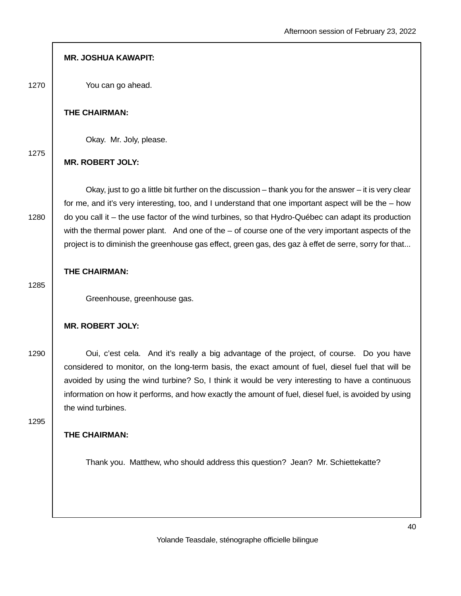|      | <b>MR. JOSHUA KAWAPIT:</b>                                                                                                                                                                                                                                                                                                                                                                                                                                                                                                                 |
|------|--------------------------------------------------------------------------------------------------------------------------------------------------------------------------------------------------------------------------------------------------------------------------------------------------------------------------------------------------------------------------------------------------------------------------------------------------------------------------------------------------------------------------------------------|
| 1270 | You can go ahead.                                                                                                                                                                                                                                                                                                                                                                                                                                                                                                                          |
|      | THE CHAIRMAN:                                                                                                                                                                                                                                                                                                                                                                                                                                                                                                                              |
|      | Okay. Mr. Joly, please.                                                                                                                                                                                                                                                                                                                                                                                                                                                                                                                    |
| 1275 | <b>MR. ROBERT JOLY:</b>                                                                                                                                                                                                                                                                                                                                                                                                                                                                                                                    |
| 1280 | Okay, just to go a little bit further on the discussion $-$ thank you for the answer $-$ it is very clear<br>for me, and it's very interesting, too, and I understand that one important aspect will be the $-$ how<br>do you call it – the use factor of the wind turbines, so that Hydro-Québec can adapt its production<br>with the thermal power plant. And one of the $-$ of course one of the very important aspects of the<br>project is to diminish the greenhouse gas effect, green gas, des gaz à effet de serre, sorry for that |
|      | THE CHAIRMAN:                                                                                                                                                                                                                                                                                                                                                                                                                                                                                                                              |
| 1285 | Greenhouse, greenhouse gas.                                                                                                                                                                                                                                                                                                                                                                                                                                                                                                                |
|      | <b>MR. ROBERT JOLY:</b>                                                                                                                                                                                                                                                                                                                                                                                                                                                                                                                    |
| 1290 | Oui, c'est cela. And it's really a big advantage of the project, of course. Do you have<br>considered to monitor, on the long-term basis, the exact amount of fuel, diesel fuel that will be<br>avoided by using the wind turbine? So, I think it would be very interesting to have a continuous<br>information on how it performs, and how exactly the amount of fuel, diesel fuel, is avoided by using<br>the wind turbines.                                                                                                             |
| 1295 | THE CHAIRMAN:                                                                                                                                                                                                                                                                                                                                                                                                                                                                                                                              |
|      | Thank you. Matthew, who should address this question? Jean? Mr. Schiettekatte?                                                                                                                                                                                                                                                                                                                                                                                                                                                             |
|      |                                                                                                                                                                                                                                                                                                                                                                                                                                                                                                                                            |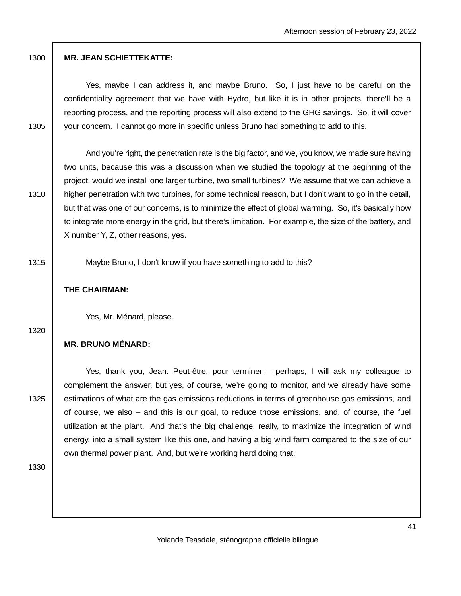## 1300 **MR. JEAN SCHIETTEKATTE:**

 Yes, maybe I can address it, and maybe Bruno. So, I just have to be careful on the confidentiality agreement that we have with Hydro, but like it is in other projects, there'll be a reporting process, and the reporting process will also extend to the GHG savings. So, it will cover 1305 vour concern. I cannot go more in specific unless Bruno had something to add to this.

 And you're right, the penetration rate is the big factor, and we, you know, we made sure having two units, because this was a discussion when we studied the topology at the beginning of the project, would we install one larger turbine, two small turbines? We assume that we can achieve a 1310 higher penetration with two turbines, for some technical reason, but I don't want to go in the detail, but that was one of our concerns, is to minimize the effect of global warming. So, it's basically how to integrate more energy in the grid, but there's limitation. For example, the size of the battery, and X number Y, Z, other reasons, yes.

1315 Maybe Bruno, I don't know if you have something to add to this?

## **THE CHAIRMAN:**

Yes, Mr. Ménard, please.

1320

## **MR. BRUNO MÉNARD:**

 Yes, thank you, Jean. Peut-être, pour terminer – perhaps, I will ask my colleague to complement the answer, but yes, of course, we're going to monitor, and we already have some 1325 estimations of what are the gas emissions reductions in terms of greenhouse gas emissions, and of course, we also – and this is our goal, to reduce those emissions, and, of course, the fuel utilization at the plant. And that's the big challenge, really, to maximize the integration of wind energy, into a small system like this one, and having a big wind farm compared to the size of our own thermal power plant. And, but we're working hard doing that.

1330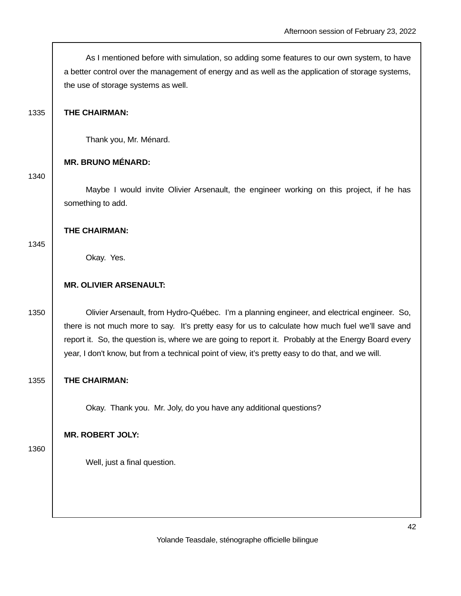As I mentioned before with simulation, so adding some features to our own system, to have a better control over the management of energy and as well as the application of storage systems, the use of storage systems as well.

## 1335 **THE CHAIRMAN:**

Thank you, Mr. Ménard.

## **MR. BRUNO MÉNARD:**

#### 1340

 Maybe I would invite Olivier Arsenault, the engineer working on this project, if he has something to add.

#### **THE CHAIRMAN:**

#### 1345

Okay. Yes.

## **MR. OLIVIER ARSENAULT:**

1350 Olivier Arsenault, from Hydro-Québec. I'm a planning engineer, and electrical engineer. So, there is not much more to say. It's pretty easy for us to calculate how much fuel we'll save and report it. So, the question is, where we are going to report it. Probably at the Energy Board every year, I don't know, but from a technical point of view, it's pretty easy to do that, and we will.

## 1355 **THE CHAIRMAN:**

Okay. Thank you. Mr. Joly, do you have any additional questions?

## **MR. ROBERT JOLY:**

## 1360

Well, just a final question.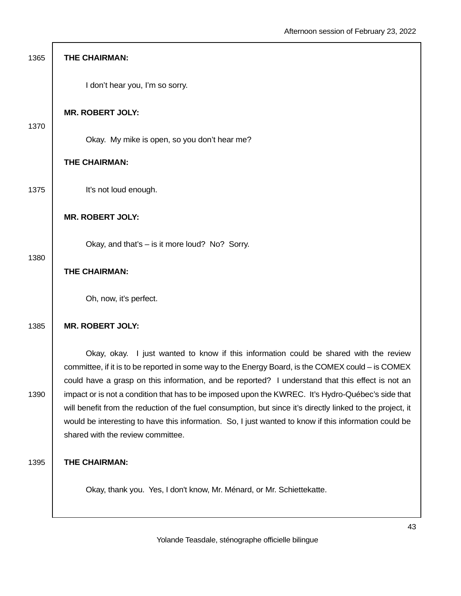| 1365 | THE CHAIRMAN:                                                                                                                                                                                                                                                                                                                                                 |
|------|---------------------------------------------------------------------------------------------------------------------------------------------------------------------------------------------------------------------------------------------------------------------------------------------------------------------------------------------------------------|
|      | I don't hear you, I'm so sorry.                                                                                                                                                                                                                                                                                                                               |
| 1370 | <b>MR. ROBERT JOLY:</b>                                                                                                                                                                                                                                                                                                                                       |
|      | Okay. My mike is open, so you don't hear me?                                                                                                                                                                                                                                                                                                                  |
|      | THE CHAIRMAN:                                                                                                                                                                                                                                                                                                                                                 |
| 1375 | It's not loud enough.                                                                                                                                                                                                                                                                                                                                         |
|      | <b>MR. ROBERT JOLY:</b>                                                                                                                                                                                                                                                                                                                                       |
| 1380 | Okay, and that's - is it more loud? No? Sorry.                                                                                                                                                                                                                                                                                                                |
|      | THE CHAIRMAN:                                                                                                                                                                                                                                                                                                                                                 |
|      | Oh, now, it's perfect.                                                                                                                                                                                                                                                                                                                                        |
| 1385 | <b>MR. ROBERT JOLY:</b>                                                                                                                                                                                                                                                                                                                                       |
|      | Okay, okay. I just wanted to know if this information could be shared with the review<br>committee, if it is to be reported in some way to the Energy Board, is the COMEX could – is COMEX<br>could have a grasp on this information, and be reported? I understand that this effect is not an                                                                |
| 1390 | impact or is not a condition that has to be imposed upon the KWREC. It's Hydro-Québec's side that<br>will benefit from the reduction of the fuel consumption, but since it's directly linked to the project, it<br>would be interesting to have this information. So, I just wanted to know if this information could be<br>shared with the review committee. |
| 1395 | <b>THE CHAIRMAN:</b>                                                                                                                                                                                                                                                                                                                                          |
|      | Okay, thank you. Yes, I don't know, Mr. Ménard, or Mr. Schiettekatte.                                                                                                                                                                                                                                                                                         |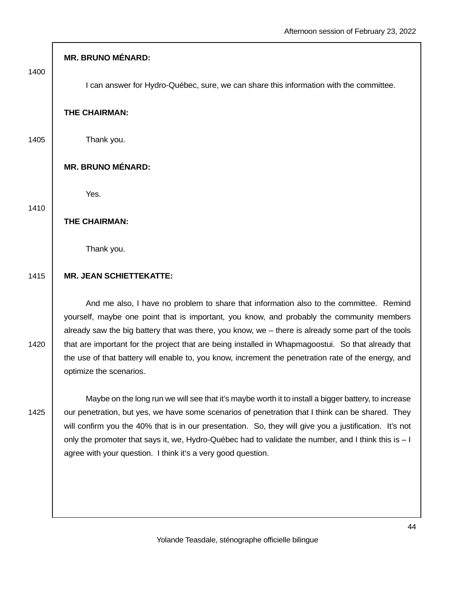1400

1410

I can answer for Hydro-Québec, sure, we can share this information with the committee.

#### **THE CHAIRMAN:**

1405 | Thank you.

## **MR. BRUNO MÉNARD:**

Yes.

# **THE CHAIRMAN:**

Thank you.

#### 1415 **MR. JEAN SCHIETTEKATTE:**

 And me also, I have no problem to share that information also to the committee. Remind yourself, maybe one point that is important, you know, and probably the community members already saw the big battery that was there, you know, we – there is already some part of the tools 1420 that are important for the project that are being installed in Whapmagoostui. So that already that the use of that battery will enable to, you know, increment the penetration rate of the energy, and optimize the scenarios.

 Maybe on the long run we will see that it's maybe worth it to install a bigger battery, to increase 1425 our penetration, but yes, we have some scenarios of penetration that I think can be shared. They will confirm you the 40% that is in our presentation. So, they will give you a justification. It's not only the promoter that says it, we, Hydro-Québec had to validate the number, and I think this is – I agree with your question. I think it's a very good question.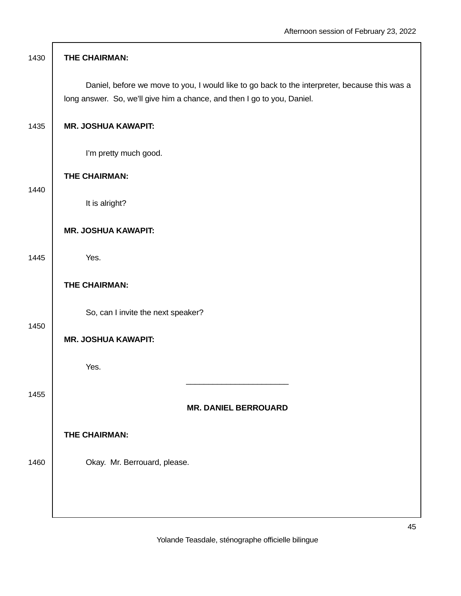| 1430 | THE CHAIRMAN:                                                                                                                                                            |
|------|--------------------------------------------------------------------------------------------------------------------------------------------------------------------------|
|      | Daniel, before we move to you, I would like to go back to the interpreter, because this was a<br>long answer. So, we'll give him a chance, and then I go to you, Daniel. |
| 1435 | <b>MR. JOSHUA KAWAPIT:</b>                                                                                                                                               |
|      | I'm pretty much good.                                                                                                                                                    |
| 1440 | THE CHAIRMAN:                                                                                                                                                            |
|      | It is alright?                                                                                                                                                           |
|      | <b>MR. JOSHUA KAWAPIT:</b>                                                                                                                                               |
| 1445 | Yes.                                                                                                                                                                     |
|      | THE CHAIRMAN:                                                                                                                                                            |
|      | So, can I invite the next speaker?                                                                                                                                       |
| 1450 | <b>MR. JOSHUA KAWAPIT:</b>                                                                                                                                               |
|      | Yes.                                                                                                                                                                     |
| 1455 |                                                                                                                                                                          |
|      | <b>MR. DANIEL BERROUARD</b>                                                                                                                                              |
|      | <b>THE CHAIRMAN:</b>                                                                                                                                                     |
| 1460 | Okay. Mr. Berrouard, please.                                                                                                                                             |
|      |                                                                                                                                                                          |
|      |                                                                                                                                                                          |

Г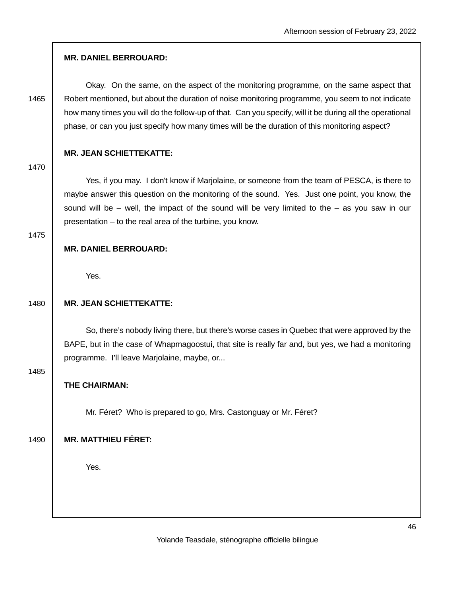## **MR. DANIEL BERROUARD:**

 Okay. On the same, on the aspect of the monitoring programme, on the same aspect that 1465 | Robert mentioned, but about the duration of noise monitoring programme, you seem to not indicate how many times you will do the follow-up of that. Can you specify, will it be during all the operational phase, or can you just specify how many times will be the duration of this monitoring aspect?

## **MR. JEAN SCHIETTEKATTE:**

1470

Yes, if you may. I don't know if Marjolaine, or someone from the team of PESCA, is there to maybe answer this question on the monitoring of the sound. Yes. Just one point, you know, the sound will be  $-$  well, the impact of the sound will be very limited to the  $-$  as you saw in our presentation – to the real area of the turbine, you know.

#### 1475

## **MR. DANIEL BERROUARD:**

Yes.

## 1480 **MR. JEAN SCHIETTEKATTE:**

 So, there's nobody living there, but there's worse cases in Quebec that were approved by the BAPE, but in the case of Whapmagoostui, that site is really far and, but yes, we had a monitoring programme. I'll leave Marjolaine, maybe, or...

1485

# **THE CHAIRMAN:**

Mr. Féret? Who is prepared to go, Mrs. Castonguay or Mr. Féret?

1490 **MR. MATTHIEU FÉRET:**

Yes.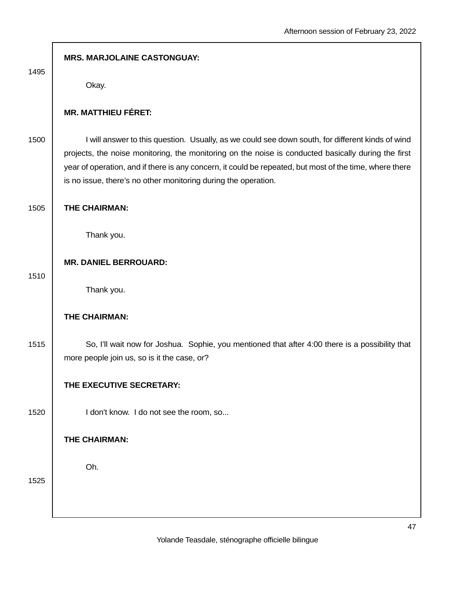| 1495 | <b>MRS. MARJOLAINE CASTONGUAY:</b>                                                                                                                                                                                                                                                                                                                                                   |
|------|--------------------------------------------------------------------------------------------------------------------------------------------------------------------------------------------------------------------------------------------------------------------------------------------------------------------------------------------------------------------------------------|
|      | Okay.                                                                                                                                                                                                                                                                                                                                                                                |
|      | <b>MR. MATTHIEU FÉRET:</b>                                                                                                                                                                                                                                                                                                                                                           |
| 1500 | I will answer to this question. Usually, as we could see down south, for different kinds of wind<br>projects, the noise monitoring, the monitoring on the noise is conducted basically during the first<br>year of operation, and if there is any concern, it could be repeated, but most of the time, where there<br>is no issue, there's no other monitoring during the operation. |
| 1505 | THE CHAIRMAN:                                                                                                                                                                                                                                                                                                                                                                        |
|      | Thank you.                                                                                                                                                                                                                                                                                                                                                                           |
|      | <b>MR. DANIEL BERROUARD:</b>                                                                                                                                                                                                                                                                                                                                                         |
| 1510 | Thank you.                                                                                                                                                                                                                                                                                                                                                                           |
|      | THE CHAIRMAN:                                                                                                                                                                                                                                                                                                                                                                        |
| 1515 | So, I'll wait now for Joshua. Sophie, you mentioned that after 4:00 there is a possibility that<br>more people join us, so is it the case, or?                                                                                                                                                                                                                                       |
|      | THE EXECUTIVE SECRETARY:                                                                                                                                                                                                                                                                                                                                                             |
| 1520 | I don't know. I do not see the room, so                                                                                                                                                                                                                                                                                                                                              |
|      | THE CHAIRMAN:                                                                                                                                                                                                                                                                                                                                                                        |
| 1525 | Oh.                                                                                                                                                                                                                                                                                                                                                                                  |
|      |                                                                                                                                                                                                                                                                                                                                                                                      |
|      |                                                                                                                                                                                                                                                                                                                                                                                      |

I.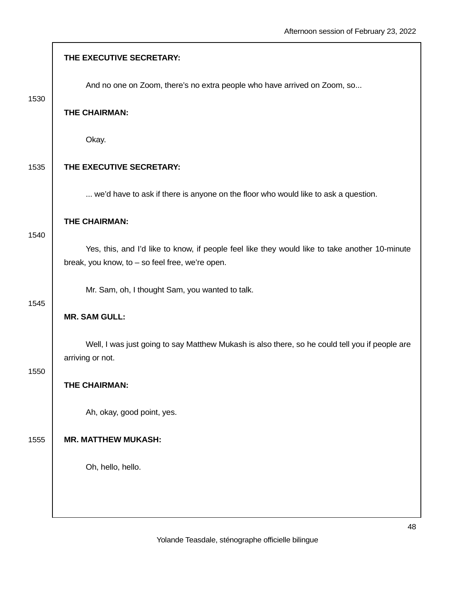|      | THE EXECUTIVE SECRETARY:                                                                                                                          |
|------|---------------------------------------------------------------------------------------------------------------------------------------------------|
| 1530 | And no one on Zoom, there's no extra people who have arrived on Zoom, so                                                                          |
|      | THE CHAIRMAN:                                                                                                                                     |
|      | Okay.                                                                                                                                             |
| 1535 | THE EXECUTIVE SECRETARY:                                                                                                                          |
|      | we'd have to ask if there is anyone on the floor who would like to ask a question.                                                                |
|      | THE CHAIRMAN:                                                                                                                                     |
| 1540 | Yes, this, and I'd like to know, if people feel like they would like to take another 10-minute<br>break, you know, to - so feel free, we're open. |
| 1545 | Mr. Sam, oh, I thought Sam, you wanted to talk.                                                                                                   |
|      | <b>MR. SAM GULL:</b>                                                                                                                              |
| 1550 | Well, I was just going to say Matthew Mukash is also there, so he could tell you if people are<br>arriving or not.                                |
|      | THE CHAIRMAN:                                                                                                                                     |
|      | Ah, okay, good point, yes.                                                                                                                        |
| 1555 | <b>MR. MATTHEW MUKASH:</b>                                                                                                                        |
|      | Oh, hello, hello.                                                                                                                                 |
|      |                                                                                                                                                   |
|      |                                                                                                                                                   |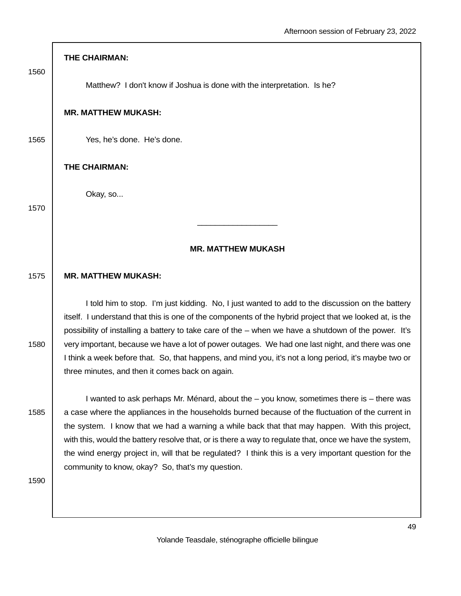| 1560 | THE CHAIRMAN:                                                                                                                                                                                                                                                                                                      |
|------|--------------------------------------------------------------------------------------------------------------------------------------------------------------------------------------------------------------------------------------------------------------------------------------------------------------------|
|      | Matthew? I don't know if Joshua is done with the interpretation. Is he?                                                                                                                                                                                                                                            |
|      | <b>MR. MATTHEW MUKASH:</b>                                                                                                                                                                                                                                                                                         |
| 1565 | Yes, he's done. He's done.                                                                                                                                                                                                                                                                                         |
|      | THE CHAIRMAN:                                                                                                                                                                                                                                                                                                      |
| 1570 | Okay, so                                                                                                                                                                                                                                                                                                           |
|      |                                                                                                                                                                                                                                                                                                                    |
|      | <b>MR. MATTHEW MUKASH</b>                                                                                                                                                                                                                                                                                          |
| 1575 | <b>MR. MATTHEW MUKASH:</b>                                                                                                                                                                                                                                                                                         |
|      | I told him to stop. I'm just kidding. No, I just wanted to add to the discussion on the battery<br>itself. I understand that this is one of the components of the hybrid project that we looked at, is the<br>possibility of installing a battery to take care of the – when we have a shutdown of the power. It's |
| 1580 | very important, because we have a lot of power outages. We had one last night, and there was one<br>I think a week before that. So, that happens, and mind you, it's not a long period, it's maybe two or<br>three minutes, and then it comes back on again.                                                       |
|      | I wanted to ask perhaps Mr. Ménard, about the - you know, sometimes there is - there was                                                                                                                                                                                                                           |
| 1585 | a case where the appliances in the households burned because of the fluctuation of the current in<br>the system. I know that we had a warning a while back that that may happen. With this project,<br>with this, would the battery resolve that, or is there a way to regulate that, once we have the system,     |
|      | the wind energy project in, will that be regulated? I think this is a very important question for the<br>community to know, okay? So, that's my question.                                                                                                                                                          |
| 1590 |                                                                                                                                                                                                                                                                                                                    |
|      |                                                                                                                                                                                                                                                                                                                    |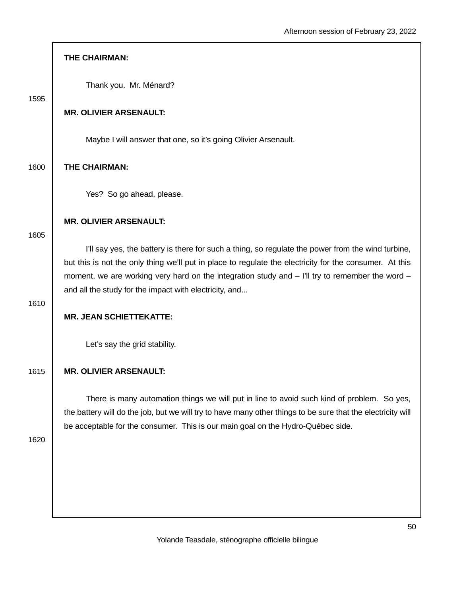|      | THE CHAIRMAN:                                                                                                                                                                                                                                                                                                                                                             |
|------|---------------------------------------------------------------------------------------------------------------------------------------------------------------------------------------------------------------------------------------------------------------------------------------------------------------------------------------------------------------------------|
| 1595 | Thank you. Mr. Ménard?                                                                                                                                                                                                                                                                                                                                                    |
|      | <b>MR. OLIVIER ARSENAULT:</b>                                                                                                                                                                                                                                                                                                                                             |
|      | Maybe I will answer that one, so it's going Olivier Arsenault.                                                                                                                                                                                                                                                                                                            |
| 1600 | THE CHAIRMAN:                                                                                                                                                                                                                                                                                                                                                             |
|      | Yes? So go ahead, please.                                                                                                                                                                                                                                                                                                                                                 |
| 1605 | <b>MR. OLIVIER ARSENAULT:</b>                                                                                                                                                                                                                                                                                                                                             |
|      | I'll say yes, the battery is there for such a thing, so regulate the power from the wind turbine,<br>but this is not the only thing we'll put in place to regulate the electricity for the consumer. At this<br>moment, we are working very hard on the integration study and - I'll try to remember the word -<br>and all the study for the impact with electricity, and |
| 1610 | <b>MR. JEAN SCHIETTEKATTE:</b>                                                                                                                                                                                                                                                                                                                                            |
|      | Let's say the grid stability.                                                                                                                                                                                                                                                                                                                                             |
| 1615 | <b>MR. OLIVIER ARSENAULT:</b>                                                                                                                                                                                                                                                                                                                                             |
|      | There is many automation things we will put in line to avoid such kind of problem. So yes,<br>the battery will do the job, but we will try to have many other things to be sure that the electricity will<br>be acceptable for the consumer. This is our main goal on the Hydro-Québec side.                                                                              |
| 1620 |                                                                                                                                                                                                                                                                                                                                                                           |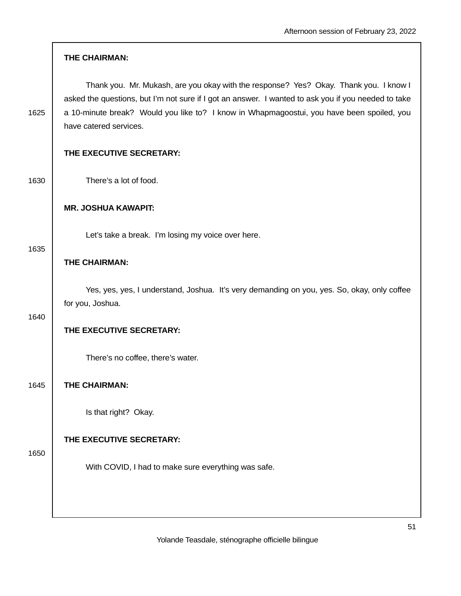|      | THE CHAIRMAN:                                                                                                                                                                                                                                                                                                       |
|------|---------------------------------------------------------------------------------------------------------------------------------------------------------------------------------------------------------------------------------------------------------------------------------------------------------------------|
| 1625 | Thank you. Mr. Mukash, are you okay with the response? Yes? Okay. Thank you. I know I<br>asked the questions, but I'm not sure if I got an answer. I wanted to ask you if you needed to take<br>a 10-minute break? Would you like to? I know in Whapmagoostui, you have been spoiled, you<br>have catered services. |
|      | THE EXECUTIVE SECRETARY:                                                                                                                                                                                                                                                                                            |
| 1630 | There's a lot of food.                                                                                                                                                                                                                                                                                              |
|      | <b>MR. JOSHUA KAWAPIT:</b>                                                                                                                                                                                                                                                                                          |
|      | Let's take a break. I'm losing my voice over here.                                                                                                                                                                                                                                                                  |
| 1635 | THE CHAIRMAN:                                                                                                                                                                                                                                                                                                       |
| 1640 | Yes, yes, yes, I understand, Joshua. It's very demanding on you, yes. So, okay, only coffee<br>for you, Joshua.                                                                                                                                                                                                     |
|      | THE EXECUTIVE SECRETARY:                                                                                                                                                                                                                                                                                            |
|      | There's no coffee, there's water.                                                                                                                                                                                                                                                                                   |
| 1645 | THE CHAIRMAN:                                                                                                                                                                                                                                                                                                       |
|      | Is that right? Okay.                                                                                                                                                                                                                                                                                                |
| 1650 | THE EXECUTIVE SECRETARY:                                                                                                                                                                                                                                                                                            |
|      | With COVID, I had to make sure everything was safe.                                                                                                                                                                                                                                                                 |
|      |                                                                                                                                                                                                                                                                                                                     |
|      |                                                                                                                                                                                                                                                                                                                     |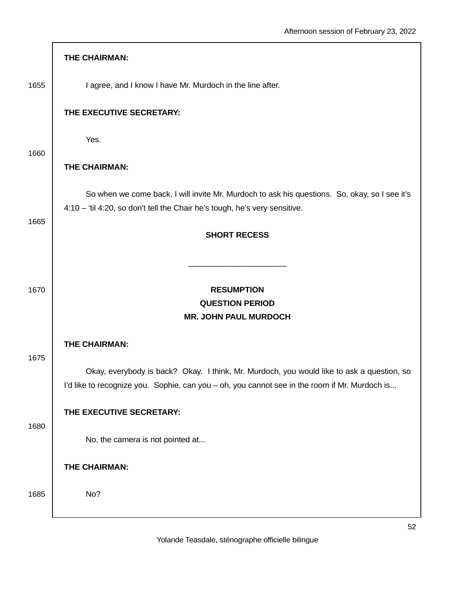|      | <b>THE CHAIRMAN:</b>                                                                                                                                                                       |
|------|--------------------------------------------------------------------------------------------------------------------------------------------------------------------------------------------|
| 1655 | I agree, and I know I have Mr. Murdoch in the line after.                                                                                                                                  |
|      | THE EXECUTIVE SECRETARY:                                                                                                                                                                   |
|      | Yes.                                                                                                                                                                                       |
| 1660 | THE CHAIRMAN:                                                                                                                                                                              |
| 1665 | So when we come back, I will invite Mr. Murdoch to ask his questions. So, okay, so I see it's<br>4:10 - 'til 4:20, so don't tell the Chair he's tough, he's very sensitive.                |
|      | <b>SHORT RECESS</b>                                                                                                                                                                        |
|      |                                                                                                                                                                                            |
| 1670 | <b>RESUMPTION</b>                                                                                                                                                                          |
|      | <b>QUESTION PERIOD</b><br><b>MR. JOHN PAUL MURDOCH</b>                                                                                                                                     |
|      | THE CHAIRMAN:                                                                                                                                                                              |
| 1675 | Okay, everybody is back? Okay. I think, Mr. Murdoch, you would like to ask a question, so<br>I'd like to recognize you. Sophie, can you - oh, you cannot see in the room if Mr. Murdoch is |
|      | THE EXECUTIVE SECRETARY:                                                                                                                                                                   |
| 1680 | No, the camera is not pointed at                                                                                                                                                           |
|      | THE CHAIRMAN:                                                                                                                                                                              |
| 1685 | No?                                                                                                                                                                                        |
|      |                                                                                                                                                                                            |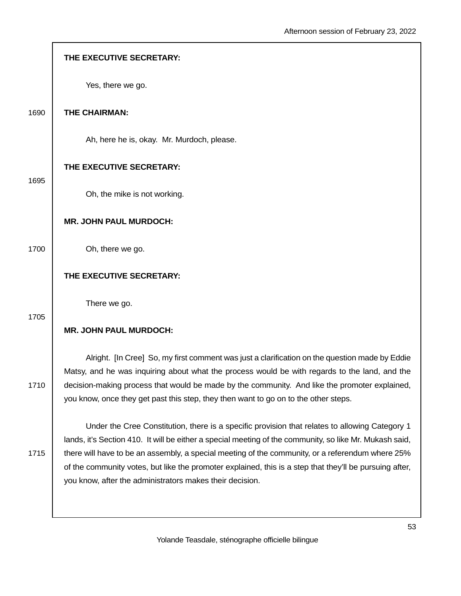|      | THE EXECUTIVE SECRETARY:                                                                                                                                                                                    |
|------|-------------------------------------------------------------------------------------------------------------------------------------------------------------------------------------------------------------|
|      | Yes, there we go.                                                                                                                                                                                           |
| 1690 | THE CHAIRMAN:                                                                                                                                                                                               |
|      | Ah, here he is, okay. Mr. Murdoch, please.                                                                                                                                                                  |
| 1695 | THE EXECUTIVE SECRETARY:                                                                                                                                                                                    |
|      | Oh, the mike is not working.                                                                                                                                                                                |
|      | <b>MR. JOHN PAUL MURDOCH:</b>                                                                                                                                                                               |
| 1700 | Oh, there we go.                                                                                                                                                                                            |
|      | THE EXECUTIVE SECRETARY:                                                                                                                                                                                    |
| 1705 | There we go.                                                                                                                                                                                                |
|      | <b>MR. JOHN PAUL MURDOCH:</b>                                                                                                                                                                               |
|      | Alright. [In Cree] So, my first comment was just a clarification on the question made by Eddie<br>Matsy, and he was inquiring about what the process would be with regards to the land, and the             |
| 1710 | decision-making process that would be made by the community. And like the promoter explained,<br>you know, once they get past this step, they then want to go on to the other steps.                        |
|      | Under the Cree Constitution, there is a specific provision that relates to allowing Category 1                                                                                                              |
| 1715 | lands, it's Section 410. It will be either a special meeting of the community, so like Mr. Mukash said,                                                                                                     |
|      | there will have to be an assembly, a special meeting of the community, or a referendum where 25%<br>of the community votes, but like the promoter explained, this is a step that they'll be pursuing after, |
|      | you know, after the administrators makes their decision.                                                                                                                                                    |
|      |                                                                                                                                                                                                             |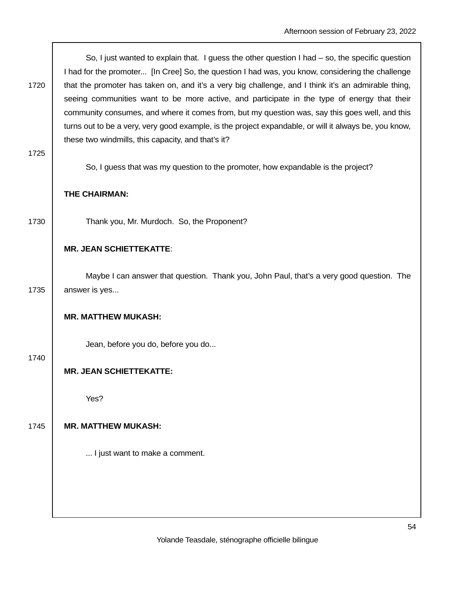| 1720 | So, I just wanted to explain that. I guess the other question I had $-$ so, the specific question<br>I had for the promoter [In Cree] So, the question I had was, you know, considering the challenge |
|------|-------------------------------------------------------------------------------------------------------------------------------------------------------------------------------------------------------|
|      | that the promoter has taken on, and it's a very big challenge, and I think it's an admirable thing,                                                                                                   |
|      | seeing communities want to be more active, and participate in the type of energy that their                                                                                                           |
|      | community consumes, and where it comes from, but my question was, say this goes well, and this                                                                                                        |
|      | turns out to be a very, very good example, is the project expandable, or will it always be, you know,                                                                                                 |
|      | these two windmills, this capacity, and that's it?                                                                                                                                                    |
| 1725 |                                                                                                                                                                                                       |
|      | So, I guess that was my question to the promoter, how expandable is the project?                                                                                                                      |
|      | THE CHAIRMAN:                                                                                                                                                                                         |
| 1730 | Thank you, Mr. Murdoch. So, the Proponent?                                                                                                                                                            |
|      | <b>MR. JEAN SCHIETTEKATTE:</b>                                                                                                                                                                        |
|      | Maybe I can answer that question. Thank you, John Paul, that's a very good question. The                                                                                                              |
| 1735 | answer is yes                                                                                                                                                                                         |
|      | <b>MR. MATTHEW MUKASH:</b>                                                                                                                                                                            |
|      |                                                                                                                                                                                                       |
|      | Jean, before you do, before you do                                                                                                                                                                    |
| 1740 | <b>MR. JEAN SCHIETTEKATTE:</b>                                                                                                                                                                        |
|      | Yes?                                                                                                                                                                                                  |
|      |                                                                                                                                                                                                       |
| 1745 | <b>MR. MATTHEW MUKASH:</b>                                                                                                                                                                            |
|      | I just want to make a comment.                                                                                                                                                                        |
|      |                                                                                                                                                                                                       |
|      |                                                                                                                                                                                                       |
|      |                                                                                                                                                                                                       |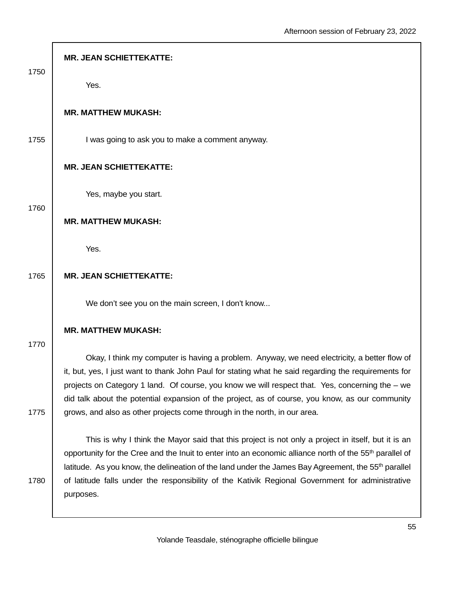| 1750 | <b>MR. JEAN SCHIETTEKATTE:</b>                                                                                                                                                                                                                                                                                                                                                                                                                                |
|------|---------------------------------------------------------------------------------------------------------------------------------------------------------------------------------------------------------------------------------------------------------------------------------------------------------------------------------------------------------------------------------------------------------------------------------------------------------------|
|      | Yes.                                                                                                                                                                                                                                                                                                                                                                                                                                                          |
|      | <b>MR. MATTHEW MUKASH:</b>                                                                                                                                                                                                                                                                                                                                                                                                                                    |
| 1755 | I was going to ask you to make a comment anyway.                                                                                                                                                                                                                                                                                                                                                                                                              |
|      | <b>MR. JEAN SCHIETTEKATTE:</b>                                                                                                                                                                                                                                                                                                                                                                                                                                |
| 1760 | Yes, maybe you start.                                                                                                                                                                                                                                                                                                                                                                                                                                         |
|      | <b>MR. MATTHEW MUKASH:</b>                                                                                                                                                                                                                                                                                                                                                                                                                                    |
|      | Yes.                                                                                                                                                                                                                                                                                                                                                                                                                                                          |
| 1765 | <b>MR. JEAN SCHIETTEKATTE:</b>                                                                                                                                                                                                                                                                                                                                                                                                                                |
|      | We don't see you on the main screen, I don't know                                                                                                                                                                                                                                                                                                                                                                                                             |
| 1770 | <b>MR. MATTHEW MUKASH:</b>                                                                                                                                                                                                                                                                                                                                                                                                                                    |
|      | Okay, I think my computer is having a problem. Anyway, we need electricity, a better flow of<br>it, but, yes, I just want to thank John Paul for stating what he said regarding the requirements for<br>projects on Category 1 land. Of course, you know we will respect that. Yes, concerning the – we<br>did talk about the potential expansion of the project, as of course, you know, as our community                                                    |
| 1775 | grows, and also as other projects come through in the north, in our area.                                                                                                                                                                                                                                                                                                                                                                                     |
| 1780 | This is why I think the Mayor said that this project is not only a project in itself, but it is an<br>opportunity for the Cree and the Inuit to enter into an economic alliance north of the 55 <sup>th</sup> parallel of<br>latitude. As you know, the delineation of the land under the James Bay Agreement, the 55 <sup>th</sup> parallel<br>of latitude falls under the responsibility of the Kativik Regional Government for administrative<br>purposes. |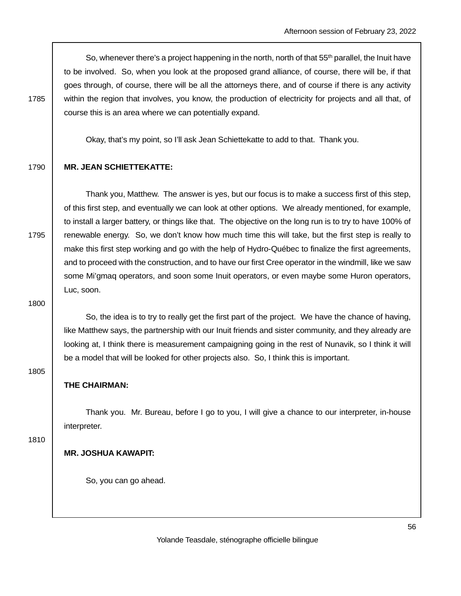So, whenever there's a project happening in the north, north of that 55<sup>th</sup> parallel, the Inuit have to be involved. So, when you look at the proposed grand alliance, of course, there will be, if that goes through, of course, there will be all the attorneys there, and of course if there is any activity 1785 within the region that involves, you know, the production of electricity for projects and all that, of course this is an area where we can potentially expand.

Okay, that's my point, so I'll ask Jean Schiettekatte to add to that. Thank you.

## 1790 **MR. JEAN SCHIETTEKATTE:**

 Thank you, Matthew. The answer is yes, but our focus is to make a success first of this step, of this first step, and eventually we can look at other options. We already mentioned, for example, to install a larger battery, or things like that. The objective on the long run is to try to have 100% of 1795 renewable energy. So, we don't know how much time this will take, but the first step is really to make this first step working and go with the help of Hydro-Québec to finalize the first agreements, and to proceed with the construction, and to have our first Cree operator in the windmill, like we saw some Mi'gmaq operators, and soon some Inuit operators, or even maybe some Huron operators, Luc, soon.

1800

 So, the idea is to try to really get the first part of the project. We have the chance of having, like Matthew says, the partnership with our Inuit friends and sister community, and they already are looking at, I think there is measurement campaigning going in the rest of Nunavik, so I think it will be a model that will be looked for other projects also. So, I think this is important.

**THE CHAIRMAN:** 

 Thank you. Mr. Bureau, before I go to you, I will give a chance to our interpreter, in-house interpreter.

1810

1805

## **MR. JOSHUA KAWAPIT:**

So, you can go ahead.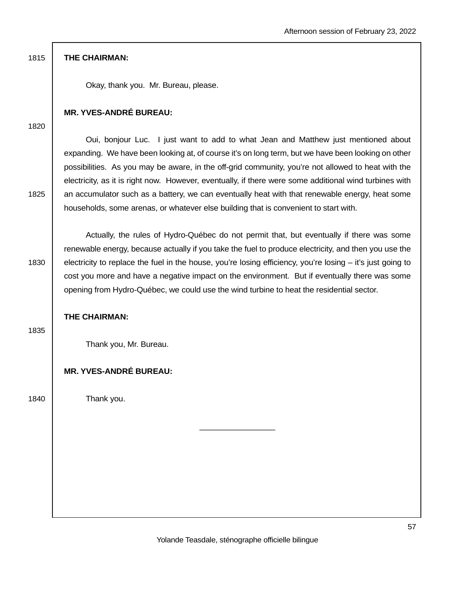Okay, thank you. Mr. Bureau, please.

## **MR. YVES-ANDRÉ BUREAU:**

1820

 Oui, bonjour Luc. I just want to add to what Jean and Matthew just mentioned about expanding. We have been looking at, of course it's on long term, but we have been looking on other possibilities. As you may be aware, in the off-grid community, you're not allowed to heat with the electricity, as it is right now. However, eventually, if there were some additional wind turbines with 1825 an accumulator such as a battery, we can eventually heat with that renewable energy, heat some households, some arenas, or whatever else building that is convenient to start with.

 Actually, the rules of Hydro-Québec do not permit that, but eventually if there was some renewable energy, because actually if you take the fuel to produce electricity, and then you use the 1830 electricity to replace the fuel in the house, you're losing efficiency, you're losing – it's just going to cost you more and have a negative impact on the environment. But if eventually there was some opening from Hydro-Québec, we could use the wind turbine to heat the residential sector.

## **THE CHAIRMAN:**

1835

Thank you, Mr. Bureau.

## **MR. YVES-ANDRÉ BUREAU:**

1840 | Thank you.

 $\_$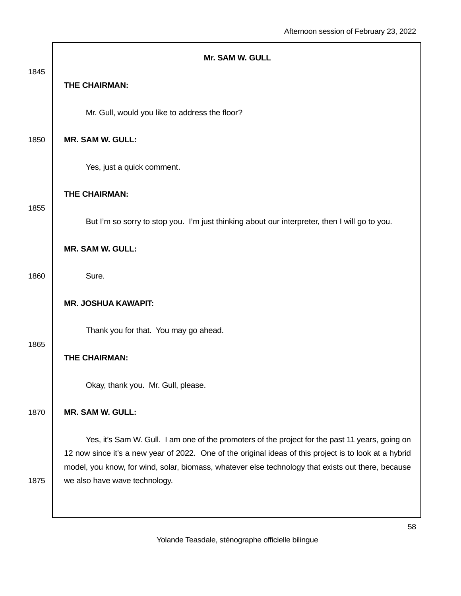| 1845 | <b>Mr. SAM W. GULL</b>                                                                                                                                                                                                                                                                                                                           |
|------|--------------------------------------------------------------------------------------------------------------------------------------------------------------------------------------------------------------------------------------------------------------------------------------------------------------------------------------------------|
|      | <b>THE CHAIRMAN:</b>                                                                                                                                                                                                                                                                                                                             |
|      | Mr. Gull, would you like to address the floor?                                                                                                                                                                                                                                                                                                   |
| 1850 | <b>MR. SAM W. GULL:</b>                                                                                                                                                                                                                                                                                                                          |
|      | Yes, just a quick comment.                                                                                                                                                                                                                                                                                                                       |
| 1855 | THE CHAIRMAN:                                                                                                                                                                                                                                                                                                                                    |
|      | But I'm so sorry to stop you. I'm just thinking about our interpreter, then I will go to you.                                                                                                                                                                                                                                                    |
|      | <b>MR. SAM W. GULL:</b>                                                                                                                                                                                                                                                                                                                          |
| 1860 | Sure.                                                                                                                                                                                                                                                                                                                                            |
|      | <b>MR. JOSHUA KAWAPIT:</b>                                                                                                                                                                                                                                                                                                                       |
| 1865 | Thank you for that. You may go ahead.                                                                                                                                                                                                                                                                                                            |
|      | <b>THE CHAIRMAN:</b>                                                                                                                                                                                                                                                                                                                             |
|      | Okay, thank you. Mr. Gull, please.                                                                                                                                                                                                                                                                                                               |
| 1870 | <b>MR. SAM W. GULL:</b>                                                                                                                                                                                                                                                                                                                          |
| 1875 | Yes, it's Sam W. Gull. I am one of the promoters of the project for the past 11 years, going on<br>12 now since it's a new year of 2022. One of the original ideas of this project is to look at a hybrid<br>model, you know, for wind, solar, biomass, whatever else technology that exists out there, because<br>we also have wave technology. |
|      |                                                                                                                                                                                                                                                                                                                                                  |

г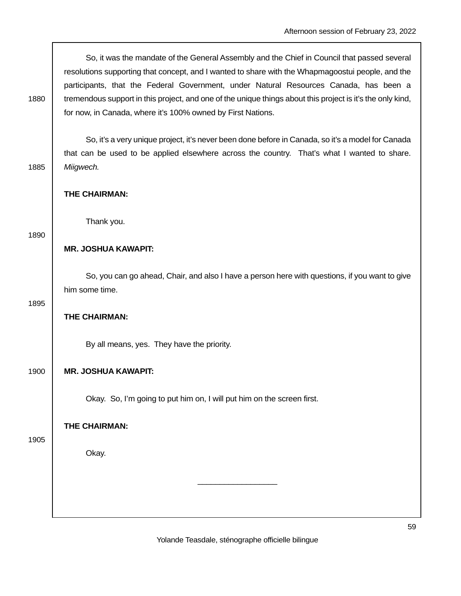So, it was the mandate of the General Assembly and the Chief in Council that passed several resolutions supporting that concept, and I wanted to share with the Whapmagoostui people, and the participants, that the Federal Government, under Natural Resources Canada, has been a 1880 fremendous support in this project, and one of the unique things about this project is it's the only kind, for now, in Canada, where it's 100% owned by First Nations.

 So, it's a very unique project, it's never been done before in Canada, so it's a model for Canada that can be used to be applied elsewhere across the country. That's what I wanted to share. 1885 | Miigwech.

## **THE CHAIRMAN:**

Thank you.

#### 1890

## **MR. JOSHUA KAWAPIT:**

 So, you can go ahead, Chair, and also I have a person here with questions, if you want to give him some time.

1895

## **THE CHAIRMAN:**

By all means, yes. They have the priority.

## 1900 **MR. JOSHUA KAWAPIT:**

Okay. So, I'm going to put him on, I will put him on the screen first.

**THE CHAIRMAN:** 

1905

## Okay.

Yolande Teasdale, sténographe officielle bilingue

\_\_\_\_\_\_\_\_\_\_\_\_\_\_\_\_\_\_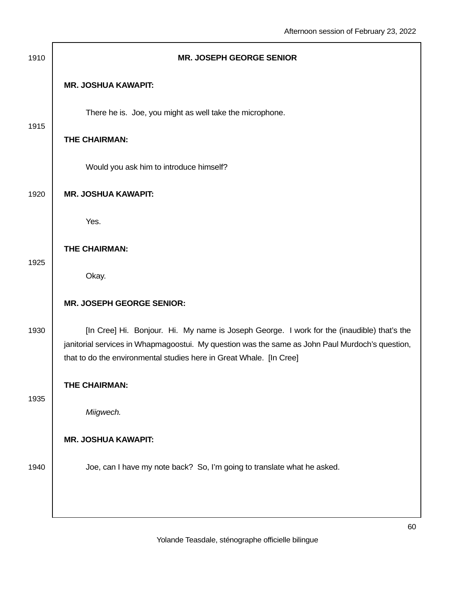| 1910 | <b>MR. JOSEPH GEORGE SENIOR</b>                                                                 |
|------|-------------------------------------------------------------------------------------------------|
|      | <b>MR. JOSHUA KAWAPIT:</b>                                                                      |
| 1915 | There he is. Joe, you might as well take the microphone.                                        |
|      | THE CHAIRMAN:                                                                                   |
|      | Would you ask him to introduce himself?                                                         |
| 1920 | <b>MR. JOSHUA KAWAPIT:</b>                                                                      |
|      | Yes.                                                                                            |
|      | <b>THE CHAIRMAN:</b>                                                                            |
|      | Okay.                                                                                           |
| 1930 | <b>MR. JOSEPH GEORGE SENIOR:</b>                                                                |
|      | [In Cree] Hi. Bonjour. Hi. My name is Joseph George. I work for the (inaudible) that's the      |
|      | that to do the environmental studies here in Great Whale. [In Cree]                             |
| 1935 | THE CHAIRMAN:                                                                                   |
|      | Miigwech.                                                                                       |
|      | <b>MR. JOSHUA KAWAPIT:</b>                                                                      |
| 1940 | Joe, can I have my note back? So, I'm going to translate what he asked.                         |
|      |                                                                                                 |
| 1925 | janitorial services in Whapmagoostui. My question was the same as John Paul Murdoch's question, |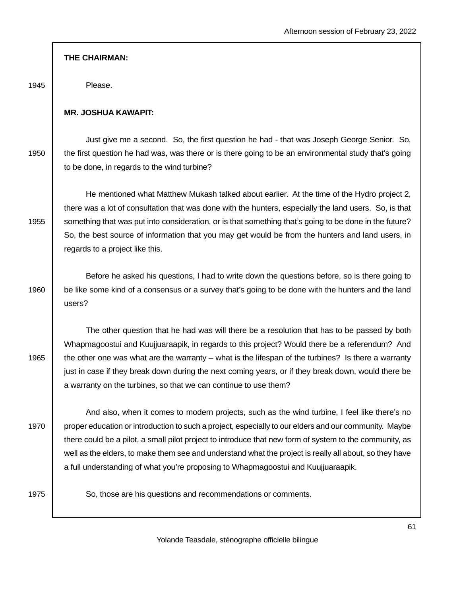1945 Please.

#### **MR. JOSHUA KAWAPIT:**

 Just give me a second. So, the first question he had - that was Joseph George Senior. So, 1950 the first question he had was, was there or is there going to be an environmental study that's going to be done, in regards to the wind turbine?

 He mentioned what Matthew Mukash talked about earlier. At the time of the Hydro project 2, there was a lot of consultation that was done with the hunters, especially the land users. So, is that 1955 something that was put into consideration, or is that something that's going to be done in the future? So, the best source of information that you may get would be from the hunters and land users, in regards to a project like this.

 Before he asked his questions, I had to write down the questions before, so is there going to 1960 be like some kind of a consensus or a survey that's going to be done with the hunters and the land users?

 The other question that he had was will there be a resolution that has to be passed by both Whapmagoostui and Kuujjuaraapik, in regards to this project? Would there be a referendum? And 1965  $\parallel$  the other one was what are the warranty – what is the lifespan of the turbines? Is there a warranty just in case if they break down during the next coming years, or if they break down, would there be a warranty on the turbines, so that we can continue to use them?

 And also, when it comes to modern projects, such as the wind turbine, I feel like there's no 1970 | proper education or introduction to such a project, especially to our elders and our community. Maybe there could be a pilot, a small pilot project to introduce that new form of system to the community, as well as the elders, to make them see and understand what the project is really all about, so they have a full understanding of what you're proposing to Whapmagoostui and Kuujjuaraapik.

1975 | So, those are his questions and recommendations or comments.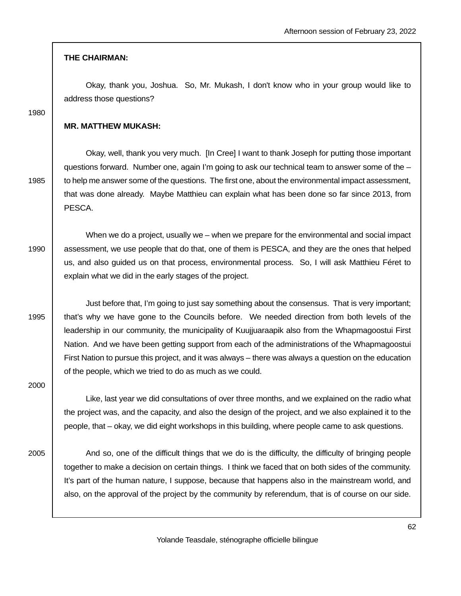Okay, thank you, Joshua. So, Mr. Mukash, I don't know who in your group would like to address those questions?

1980

#### **MR. MATTHEW MUKASH:**

 Okay, well, thank you very much. [In Cree] I want to thank Joseph for putting those important questions forward. Number one, again I'm going to ask our technical team to answer some of the – 1985 to help me answer some of the questions. The first one, about the environmental impact assessment, that was done already. Maybe Matthieu can explain what has been done so far since 2013, from PESCA.

 When we do a project, usually we – when we prepare for the environmental and social impact 1990 assessment, we use people that do that, one of them is PESCA, and they are the ones that helped us, and also guided us on that process, environmental process. So, I will ask Matthieu Féret to explain what we did in the early stages of the project.

 Just before that, I'm going to just say something about the consensus. That is very important; 1995 that's why we have gone to the Councils before. We needed direction from both levels of the leadership in our community, the municipality of Kuujjuaraapik also from the Whapmagoostui First Nation. And we have been getting support from each of the administrations of the Whapmagoostui First Nation to pursue this project, and it was always – there was always a question on the education of the people, which we tried to do as much as we could.

2000

 Like, last year we did consultations of over three months, and we explained on the radio what the project was, and the capacity, and also the design of the project, and we also explained it to the people, that – okay, we did eight workshops in this building, where people came to ask questions.

2005 And so, one of the difficult things that we do is the difficulty, the difficulty of bringing people together to make a decision on certain things. I think we faced that on both sides of the community. It's part of the human nature, I suppose, because that happens also in the mainstream world, and also, on the approval of the project by the community by referendum, that is of course on our side.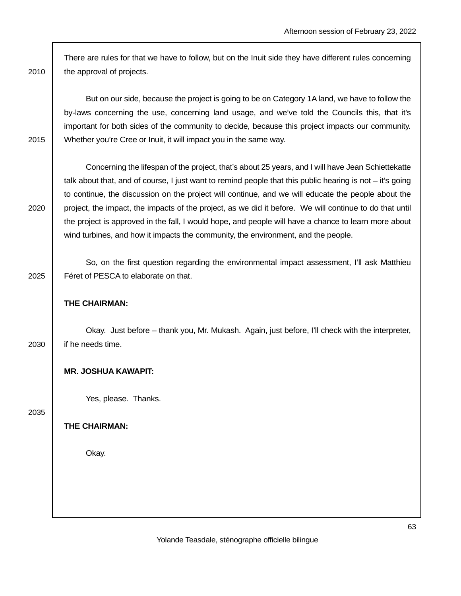There are rules for that we have to follow, but on the Inuit side they have different rules concerning 2010 | the approval of projects.

 But on our side, because the project is going to be on Category 1A land, we have to follow the by-laws concerning the use, concerning land usage, and we've told the Councils this, that it's important for both sides of the community to decide, because this project impacts our community. 2015 | Whether you're Cree or Inuit, it will impact you in the same way.

 Concerning the lifespan of the project, that's about 25 years, and I will have Jean Schiettekatte talk about that, and of course, I just want to remind people that this public hearing is not – it's going to continue, the discussion on the project will continue, and we will educate the people about the 2020 project, the impact, the impacts of the project, as we did it before. We will continue to do that until the project is approved in the fall, I would hope, and people will have a chance to learn more about wind turbines, and how it impacts the community, the environment, and the people.

 So, on the first question regarding the environmental impact assessment, I'll ask Matthieu 2025 | Féret of PESCA to elaborate on that.

## **THE CHAIRMAN:**

 Okay. Just before – thank you, Mr. Mukash. Again, just before, I'll check with the interpreter, 2030 | if he needs time.

## **MR. JOSHUA KAWAPIT:**

Yes, please. Thanks.

2035

**THE CHAIRMAN:**

Okay.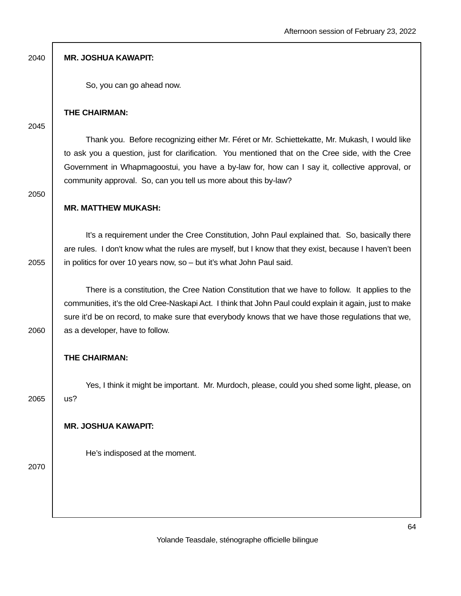2040 **MR. JOSHUA KAWAPIT:**

So, you can go ahead now.

#### **THE CHAIRMAN:**

2045

 Thank you. Before recognizing either Mr. Féret or Mr. Schiettekatte, Mr. Mukash, I would like to ask you a question, just for clarification. You mentioned that on the Cree side, with the Cree Government in Whapmagoostui, you have a by-law for, how can I say it, collective approval, or community approval. So, can you tell us more about this by-law?

2050

## **MR. MATTHEW MUKASH:**

 It's a requirement under the Cree Constitution, John Paul explained that. So, basically there are rules. I don't know what the rules are myself, but I know that they exist, because I haven't been 2055  $\parallel$  in politics for over 10 years now, so – but it's what John Paul said.

 There is a constitution, the Cree Nation Constitution that we have to follow. It applies to the communities, it's the old Cree-Naskapi Act. I think that John Paul could explain it again, just to make sure it'd be on record, to make sure that everybody knows that we have those regulations that we,  $2060$  as a developer, have to follow.

**THE CHAIRMAN:**

 Yes, I think it might be important. Mr. Murdoch, please, could you shed some light, please, on 2065 us?

## **MR. JOSHUA KAWAPIT:**

He's indisposed at the moment.

2070

Yolande Teasdale, sténographe officielle bilingue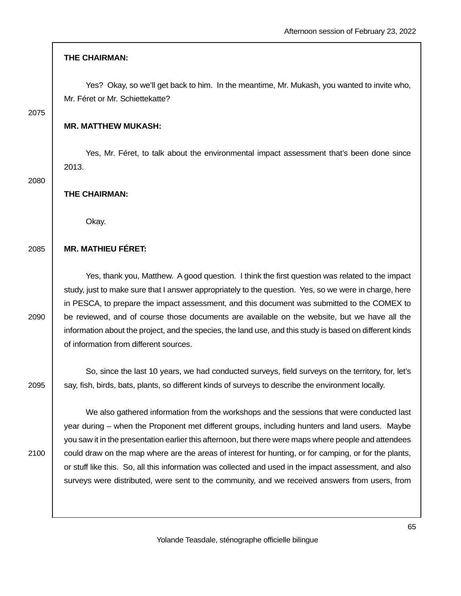Yes? Okay, so we'll get back to him. In the meantime, Mr. Mukash, you wanted to invite who, Mr. Féret or Mr. Schiettekatte?

2075

## **MR. MATTHEW MUKASH:**

 Yes, Mr. Féret, to talk about the environmental impact assessment that's been done since 2013.

2080

**THE CHAIRMAN:**

Okay.

## 2085 **MR. MATHIEU FÉRET:**

 Yes, thank you, Matthew. A good question. I think the first question was related to the impact study, just to make sure that I answer appropriately to the question. Yes, so we were in charge, here in PESCA, to prepare the impact assessment, and this document was submitted to the COMEX to 2090 be reviewed, and of course those documents are available on the website, but we have all the information about the project, and the species, the land use, and this study is based on different kinds of information from different sources.

 So, since the last 10 years, we had conducted surveys, field surveys on the territory, for, let's 2095 | say, fish, birds, bats, plants, so different kinds of surveys to describe the environment locally.

 We also gathered information from the workshops and the sessions that were conducted last year during – when the Proponent met different groups, including hunters and land users. Maybe you saw it in the presentation earlier this afternoon, but there were maps where people and attendees 2100 could draw on the map where are the areas of interest for hunting, or for camping, or for the plants, or stuff like this. So, all this information was collected and used in the impact assessment, and also surveys were distributed, were sent to the community, and we received answers from users, from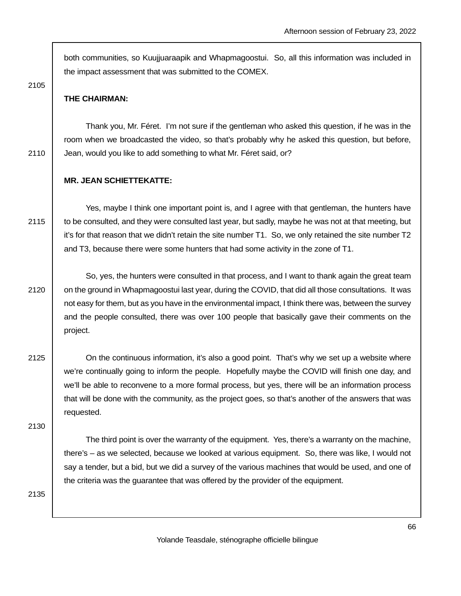both communities, so Kuujjuaraapik and Whapmagoostui. So, all this information was included in the impact assessment that was submitted to the COMEX.

2105

#### **THE CHAIRMAN:**

 Thank you, Mr. Féret. I'm not sure if the gentleman who asked this question, if he was in the room when we broadcasted the video, so that's probably why he asked this question, but before, 2110 **Jean, would you like to add something to what Mr. Féret said, or?** 

#### **MR. JEAN SCHIETTEKATTE:**

 Yes, maybe I think one important point is, and I agree with that gentleman, the hunters have 2115 | to be consulted, and they were consulted last year, but sadly, maybe he was not at that meeting, but it's for that reason that we didn't retain the site number T1. So, we only retained the site number T2 and T3, because there were some hunters that had some activity in the zone of T1.

 So, yes, the hunters were consulted in that process, and I want to thank again the great team 2120 | on the ground in Whapmagoostui last year, during the COVID, that did all those consultations. It was not easy for them, but as you have in the environmental impact, I think there was, between the survey and the people consulted, there was over 100 people that basically gave their comments on the project.

2125 **On the continuous information, it's also a good point. That's why we set up a website where** we're continually going to inform the people. Hopefully maybe the COVID will finish one day, and we'll be able to reconvene to a more formal process, but yes, there will be an information process that will be done with the community, as the project goes, so that's another of the answers that was requested.

2130

 The third point is over the warranty of the equipment. Yes, there's a warranty on the machine, there's – as we selected, because we looked at various equipment. So, there was like, I would not say a tender, but a bid, but we did a survey of the various machines that would be used, and one of the criteria was the guarantee that was offered by the provider of the equipment.

2135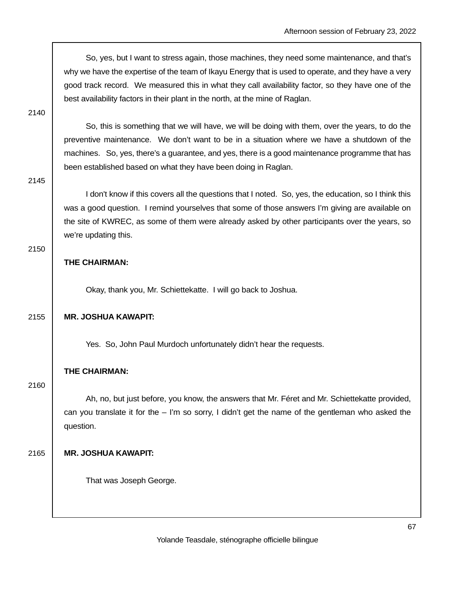So, yes, but I want to stress again, those machines, they need some maintenance, and that's why we have the expertise of the team of Ikayu Energy that is used to operate, and they have a very good track record. We measured this in what they call availability factor, so they have one of the best availability factors in their plant in the north, at the mine of Raglan.

2140

 So, this is something that we will have, we will be doing with them, over the years, to do the preventive maintenance. We don't want to be in a situation where we have a shutdown of the machines. So, yes, there's a guarantee, and yes, there is a good maintenance programme that has been established based on what they have been doing in Raglan.

2145

 I don't know if this covers all the questions that I noted. So, yes, the education, so I think this was a good question. I remind yourselves that some of those answers I'm giving are available on the site of KWREC, as some of them were already asked by other participants over the years, so we're updating this.

#### 2150

## **THE CHAIRMAN:**

Okay, thank you, Mr. Schiettekatte. I will go back to Joshua.

## 2155 **MR. JOSHUA KAWAPIT:**

Yes. So, John Paul Murdoch unfortunately didn't hear the requests.

## **THE CHAIRMAN:**

2160

 Ah, no, but just before, you know, the answers that Mr. Féret and Mr. Schiettekatte provided, can you translate it for the  $-1$ 'm so sorry, I didn't get the name of the gentleman who asked the question.

## 2165 **MR. JOSHUA KAWAPIT:**

That was Joseph George.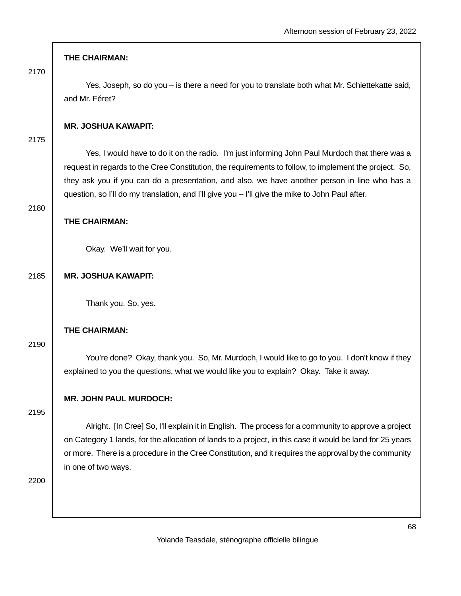2170

 Yes, Joseph, so do you – is there a need for you to translate both what Mr. Schiettekatte said, and Mr. Féret?

## **MR. JOSHUA KAWAPIT:**

2175

 Yes, I would have to do it on the radio. I'm just informing John Paul Murdoch that there was a request in regards to the Cree Constitution, the requirements to follow, to implement the project. So, they ask you if you can do a presentation, and also, we have another person in line who has a question, so I'll do my translation, and I'll give you – I'll give the mike to John Paul after.

2180

#### **THE CHAIRMAN:**

Okay. We'll wait for you.

## 2185 **MR. JOSHUA KAWAPIT:**

Thank you. So, yes.

## **THE CHAIRMAN:**

2190

 You're done? Okay, thank you. So, Mr. Murdoch, I would like to go to you. I don't know if they explained to you the questions, what we would like you to explain? Okay. Take it away.

## **MR. JOHN PAUL MURDOCH:**

2195

 Alright. [In Cree] So, I'll explain it in English. The process for a community to approve a project on Category 1 lands, for the allocation of lands to a project, in this case it would be land for 25 years or more. There is a procedure in the Cree Constitution, and it requires the approval by the community in one of two ways.

2200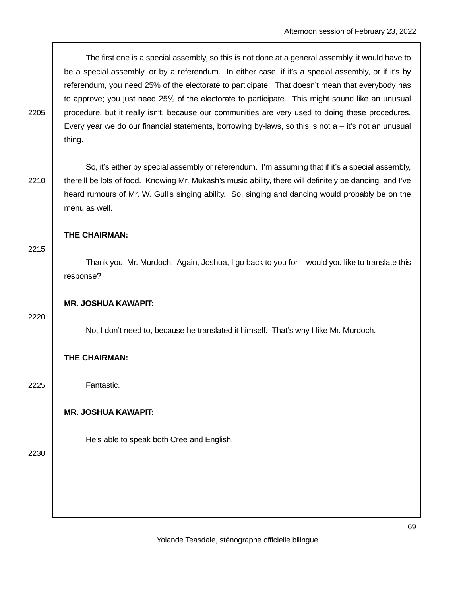The first one is a special assembly, so this is not done at a general assembly, it would have to be a special assembly, or by a referendum. In either case, if it's a special assembly, or if it's by referendum, you need 25% of the electorate to participate. That doesn't mean that everybody has to approve; you just need 25% of the electorate to participate. This might sound like an unusual 2205 procedure, but it really isn't, because our communities are very used to doing these procedures. Every year we do our financial statements, borrowing by-laws, so this is not  $a - it$ 's not an unusual thing.

 So, it's either by special assembly or referendum. I'm assuming that if it's a special assembly, 2210 there'll be lots of food. Knowing Mr. Mukash's music ability, there will definitely be dancing, and I've heard rumours of Mr. W. Gull's singing ability. So, singing and dancing would probably be on the menu as well.

## **THE CHAIRMAN:**

2215

 Thank you, Mr. Murdoch. Again, Joshua, I go back to you for – would you like to translate this response?

## **MR. JOSHUA KAWAPIT:**

2220

No, I don't need to, because he translated it himself. That's why I like Mr. Murdoch.

## **THE CHAIRMAN:**

2225 Fantastic.

## **MR. JOSHUA KAWAPIT:**

He's able to speak both Cree and English.

2230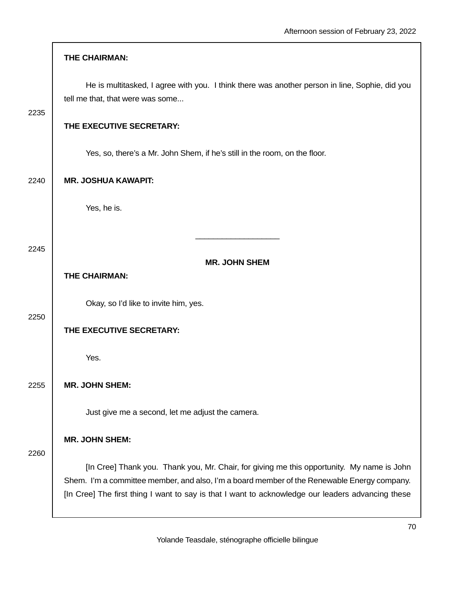|      | THE CHAIRMAN:                                                                                                                                                                                                                                                                                  |
|------|------------------------------------------------------------------------------------------------------------------------------------------------------------------------------------------------------------------------------------------------------------------------------------------------|
| 2235 | He is multitasked, I agree with you. I think there was another person in line, Sophie, did you<br>tell me that, that were was some                                                                                                                                                             |
|      | THE EXECUTIVE SECRETARY:                                                                                                                                                                                                                                                                       |
|      | Yes, so, there's a Mr. John Shem, if he's still in the room, on the floor.                                                                                                                                                                                                                     |
| 2240 | <b>MR. JOSHUA KAWAPIT:</b>                                                                                                                                                                                                                                                                     |
|      | Yes, he is.                                                                                                                                                                                                                                                                                    |
| 2245 |                                                                                                                                                                                                                                                                                                |
|      | <b>MR. JOHN SHEM</b>                                                                                                                                                                                                                                                                           |
|      | THE CHAIRMAN:                                                                                                                                                                                                                                                                                  |
| 2250 | Okay, so I'd like to invite him, yes.                                                                                                                                                                                                                                                          |
|      | THE EXECUTIVE SECRETARY:                                                                                                                                                                                                                                                                       |
|      | Yes.                                                                                                                                                                                                                                                                                           |
| 2255 | <b>MR. JOHN SHEM:</b>                                                                                                                                                                                                                                                                          |
|      | Just give me a second, let me adjust the camera.                                                                                                                                                                                                                                               |
| 2260 | <b>MR. JOHN SHEM:</b>                                                                                                                                                                                                                                                                          |
|      | [In Cree] Thank you. Thank you, Mr. Chair, for giving me this opportunity. My name is John<br>Shem. I'm a committee member, and also, I'm a board member of the Renewable Energy company.<br>[In Cree] The first thing I want to say is that I want to acknowledge our leaders advancing these |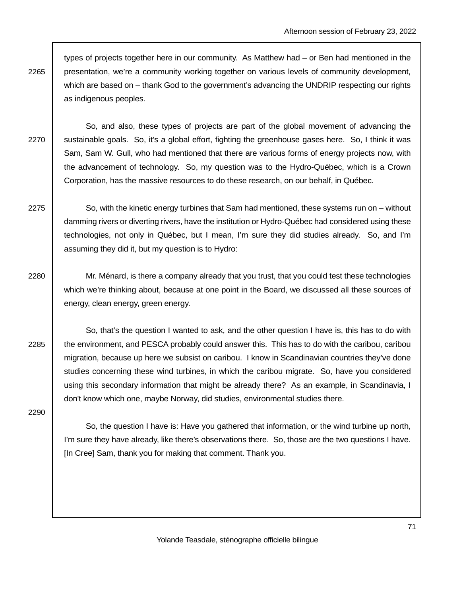types of projects together here in our community. As Matthew had – or Ben had mentioned in the 2265 presentation, we're a community working together on various levels of community development, which are based on – thank God to the government's advancing the UNDRIP respecting our rights as indigenous peoples.

 So, and also, these types of projects are part of the global movement of advancing the 2270 Sustainable goals. So, it's a global effort, fighting the greenhouse gases here. So, I think it was Sam, Sam W. Gull, who had mentioned that there are various forms of energy projects now, with the advancement of technology. So, my question was to the Hydro-Québec, which is a Crown Corporation, has the massive resources to do these research, on our behalf, in Québec.

2275  $\vert$  So, with the kinetic energy turbines that Sam had mentioned, these systems run on – without damming rivers or diverting rivers, have the institution or Hydro-Québec had considered using these technologies, not only in Québec, but I mean, I'm sure they did studies already. So, and I'm assuming they did it, but my question is to Hydro:

2280 Mr. Ménard, is there a company already that you trust, that you could test these technologies which we're thinking about, because at one point in the Board, we discussed all these sources of energy, clean energy, green energy.

 So, that's the question I wanted to ask, and the other question I have is, this has to do with 2285 the environment, and PESCA probably could answer this. This has to do with the caribou, caribou migration, because up here we subsist on caribou. I know in Scandinavian countries they've done studies concerning these wind turbines, in which the caribou migrate. So, have you considered using this secondary information that might be already there? As an example, in Scandinavia, I don't know which one, maybe Norway, did studies, environmental studies there.

2290

 So, the question I have is: Have you gathered that information, or the wind turbine up north, I'm sure they have already, like there's observations there. So, those are the two questions I have. [In Cree] Sam, thank you for making that comment. Thank you.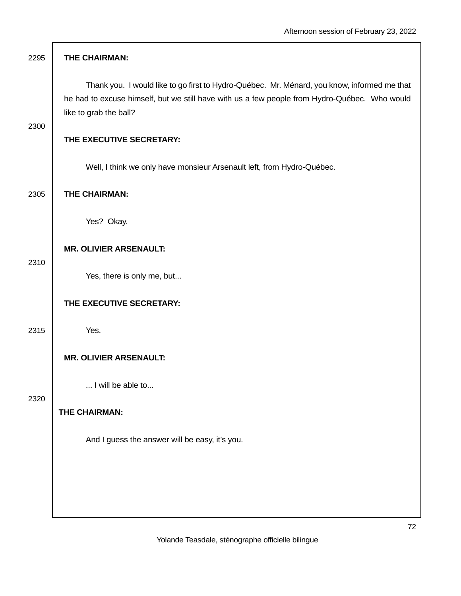| 2295 | THE CHAIRMAN:                                                                                                                                                                                                          |
|------|------------------------------------------------------------------------------------------------------------------------------------------------------------------------------------------------------------------------|
|      | Thank you. I would like to go first to Hydro-Québec. Mr. Ménard, you know, informed me that<br>he had to excuse himself, but we still have with us a few people from Hydro-Québec. Who would<br>like to grab the ball? |
| 2300 | THE EXECUTIVE SECRETARY:                                                                                                                                                                                               |
|      | Well, I think we only have monsieur Arsenault left, from Hydro-Québec.                                                                                                                                                 |
| 2305 | THE CHAIRMAN:                                                                                                                                                                                                          |
|      | Yes? Okay.                                                                                                                                                                                                             |
| 2310 | <b>MR. OLIVIER ARSENAULT:</b>                                                                                                                                                                                          |
|      | Yes, there is only me, but                                                                                                                                                                                             |
|      | THE EXECUTIVE SECRETARY:                                                                                                                                                                                               |
| 2315 | Yes.                                                                                                                                                                                                                   |
|      | <b>MR. OLIVIER ARSENAULT:</b>                                                                                                                                                                                          |
| 2320 | I will be able to                                                                                                                                                                                                      |
|      | THE CHAIRMAN:<br>And I guess the answer will be easy, it's you.                                                                                                                                                        |
|      |                                                                                                                                                                                                                        |
|      |                                                                                                                                                                                                                        |
|      |                                                                                                                                                                                                                        |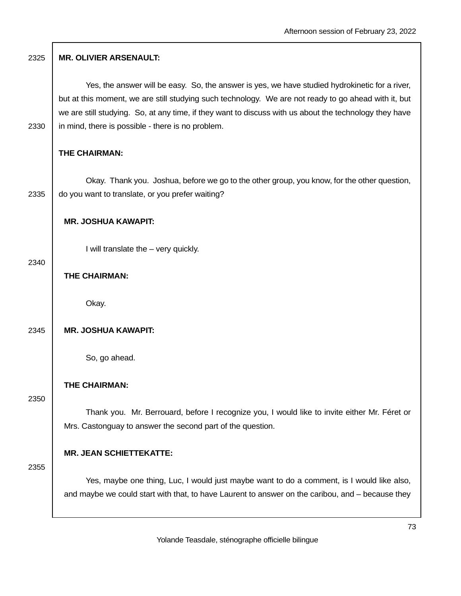| 2325 | <b>MR. OLIVIER ARSENAULT:</b>                                                                                                                                                                                                                                                                                                                                         |
|------|-----------------------------------------------------------------------------------------------------------------------------------------------------------------------------------------------------------------------------------------------------------------------------------------------------------------------------------------------------------------------|
| 2330 | Yes, the answer will be easy. So, the answer is yes, we have studied hydrokinetic for a river,<br>but at this moment, we are still studying such technology. We are not ready to go ahead with it, but<br>we are still studying. So, at any time, if they want to discuss with us about the technology they have<br>in mind, there is possible - there is no problem. |
|      | THE CHAIRMAN:                                                                                                                                                                                                                                                                                                                                                         |
| 2335 | Okay. Thank you. Joshua, before we go to the other group, you know, for the other question,<br>do you want to translate, or you prefer waiting?                                                                                                                                                                                                                       |
|      | <b>MR. JOSHUA KAWAPIT:</b>                                                                                                                                                                                                                                                                                                                                            |
|      | I will translate the - very quickly.                                                                                                                                                                                                                                                                                                                                  |
| 2340 | THE CHAIRMAN:                                                                                                                                                                                                                                                                                                                                                         |
|      | Okay.                                                                                                                                                                                                                                                                                                                                                                 |
| 2345 | <b>MR. JOSHUA KAWAPIT:</b>                                                                                                                                                                                                                                                                                                                                            |
|      | So, go ahead.                                                                                                                                                                                                                                                                                                                                                         |
|      | THE CHAIRMAN:                                                                                                                                                                                                                                                                                                                                                         |
| 2350 | Thank you. Mr. Berrouard, before I recognize you, I would like to invite either Mr. Féret or<br>Mrs. Castonguay to answer the second part of the question.                                                                                                                                                                                                            |
|      | <b>MR. JEAN SCHIETTEKATTE:</b>                                                                                                                                                                                                                                                                                                                                        |
| 2355 | Yes, maybe one thing, Luc, I would just maybe want to do a comment, is I would like also,<br>and maybe we could start with that, to have Laurent to answer on the caribou, and – because they                                                                                                                                                                         |
|      | 7                                                                                                                                                                                                                                                                                                                                                                     |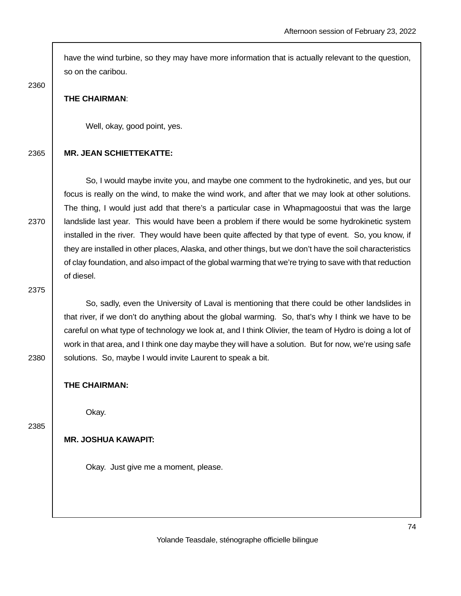have the wind turbine, so they may have more information that is actually relevant to the question, so on the caribou.

2360

### **THE CHAIRMAN**:

Well, okay, good point, yes.

## 2365 **MR. JEAN SCHIETTEKATTE:**

 So, I would maybe invite you, and maybe one comment to the hydrokinetic, and yes, but our focus is really on the wind, to make the wind work, and after that we may look at other solutions. The thing, I would just add that there's a particular case in Whapmagoostui that was the large 2370 | landslide last year. This would have been a problem if there would be some hydrokinetic system installed in the river. They would have been quite affected by that type of event. So, you know, if they are installed in other places, Alaska, and other things, but we don't have the soil characteristics of clay foundation, and also impact of the global warming that we're trying to save with that reduction of diesel.

2375

 So, sadly, even the University of Laval is mentioning that there could be other landslides in that river, if we don't do anything about the global warming. So, that's why I think we have to be careful on what type of technology we look at, and I think Olivier, the team of Hydro is doing a lot of work in that area, and I think one day maybe they will have a solution. But for now, we're using safe 2380 | solutions. So, maybe I would invite Laurent to speak a bit.

**THE CHAIRMAN:** 

Okay.

2385

# **MR. JOSHUA KAWAPIT:**

Okay. Just give me a moment, please.

Yolande Teasdale, sténographe officielle bilingue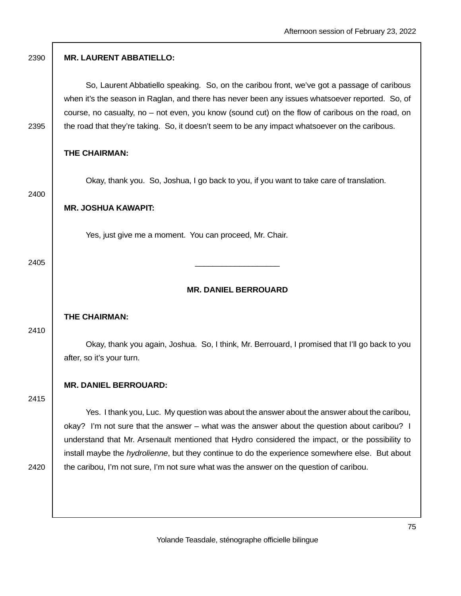| <b>MR. LAURENT ABBATIELLO:</b>                                                                                                                                                                                                                                                                                                                                                                      |
|-----------------------------------------------------------------------------------------------------------------------------------------------------------------------------------------------------------------------------------------------------------------------------------------------------------------------------------------------------------------------------------------------------|
| So, Laurent Abbatiello speaking. So, on the caribou front, we've got a passage of caribous<br>when it's the season in Raglan, and there has never been any issues whatsoever reported. So, of<br>course, no casualty, no – not even, you know (sound cut) on the flow of caribous on the road, on<br>the road that they're taking. So, it doesn't seem to be any impact whatsoever on the caribous. |
| <b>THE CHAIRMAN:</b>                                                                                                                                                                                                                                                                                                                                                                                |
| Okay, thank you. So, Joshua, I go back to you, if you want to take care of translation.                                                                                                                                                                                                                                                                                                             |
| <b>MR. JOSHUA KAWAPIT:</b>                                                                                                                                                                                                                                                                                                                                                                          |
| Yes, just give me a moment. You can proceed, Mr. Chair.                                                                                                                                                                                                                                                                                                                                             |
|                                                                                                                                                                                                                                                                                                                                                                                                     |
| <b>MR. DANIEL BERROUARD</b>                                                                                                                                                                                                                                                                                                                                                                         |
| THE CHAIRMAN:                                                                                                                                                                                                                                                                                                                                                                                       |
| Okay, thank you again, Joshua. So, I think, Mr. Berrouard, I promised that I'll go back to you<br>after, so it's your turn.                                                                                                                                                                                                                                                                         |
| <b>MR. DANIEL BERROUARD:</b>                                                                                                                                                                                                                                                                                                                                                                        |
| Yes. I thank you, Luc. My question was about the answer about the answer about the caribou,<br>okay? I'm not sure that the answer – what was the answer about the question about caribou? I                                                                                                                                                                                                         |
| understand that Mr. Arsenault mentioned that Hydro considered the impact, or the possibility to<br>install maybe the hydrolienne, but they continue to do the experience somewhere else. But about<br>the caribou, I'm not sure, I'm not sure what was the answer on the question of caribou.                                                                                                       |
|                                                                                                                                                                                                                                                                                                                                                                                                     |
|                                                                                                                                                                                                                                                                                                                                                                                                     |

 $\Gamma$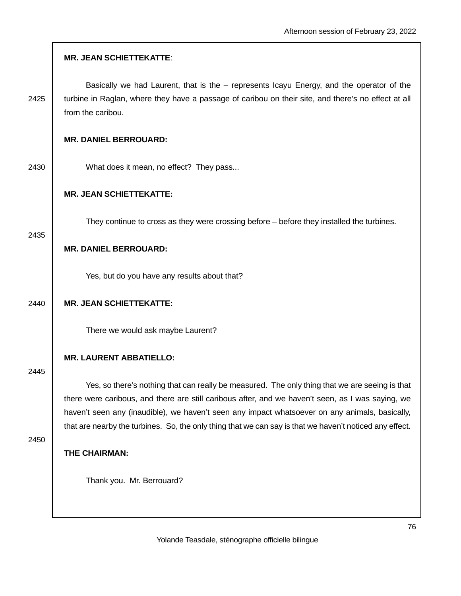|      | <b>MR. JEAN SCHIETTEKATTE:</b>                                                                                                                                                                                                                                                                                                                                                                                   |
|------|------------------------------------------------------------------------------------------------------------------------------------------------------------------------------------------------------------------------------------------------------------------------------------------------------------------------------------------------------------------------------------------------------------------|
| 2425 | Basically we had Laurent, that is the – represents Icayu Energy, and the operator of the<br>turbine in Raglan, where they have a passage of caribou on their site, and there's no effect at all<br>from the caribou.                                                                                                                                                                                             |
|      | <b>MR. DANIEL BERROUARD:</b>                                                                                                                                                                                                                                                                                                                                                                                     |
| 2430 | What does it mean, no effect? They pass                                                                                                                                                                                                                                                                                                                                                                          |
|      | <b>MR. JEAN SCHIETTEKATTE:</b>                                                                                                                                                                                                                                                                                                                                                                                   |
| 2435 | They continue to cross as they were crossing before – before they installed the turbines.                                                                                                                                                                                                                                                                                                                        |
|      | <b>MR. DANIEL BERROUARD:</b>                                                                                                                                                                                                                                                                                                                                                                                     |
|      | Yes, but do you have any results about that?                                                                                                                                                                                                                                                                                                                                                                     |
| 2440 | <b>MR. JEAN SCHIETTEKATTE:</b>                                                                                                                                                                                                                                                                                                                                                                                   |
|      | There we would ask maybe Laurent?                                                                                                                                                                                                                                                                                                                                                                                |
| 2445 | <b>MR. LAURENT ABBATIELLO:</b>                                                                                                                                                                                                                                                                                                                                                                                   |
|      | Yes, so there's nothing that can really be measured. The only thing that we are seeing is that<br>there were caribous, and there are still caribous after, and we haven't seen, as I was saying, we<br>haven't seen any (inaudible), we haven't seen any impact whatsoever on any animals, basically,<br>that are nearby the turbines. So, the only thing that we can say is that we haven't noticed any effect. |
| 2450 | THE CHAIRMAN:                                                                                                                                                                                                                                                                                                                                                                                                    |
|      | Thank you. Mr. Berrouard?                                                                                                                                                                                                                                                                                                                                                                                        |
|      |                                                                                                                                                                                                                                                                                                                                                                                                                  |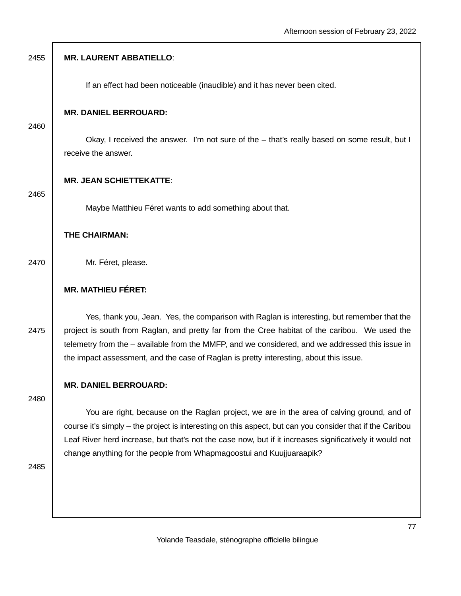| 2455 | <b>MR. LAURENT ABBATIELLO:</b>                                                                                                                                                                                                                                                                                                                                                             |
|------|--------------------------------------------------------------------------------------------------------------------------------------------------------------------------------------------------------------------------------------------------------------------------------------------------------------------------------------------------------------------------------------------|
|      | If an effect had been noticeable (inaudible) and it has never been cited.                                                                                                                                                                                                                                                                                                                  |
| 2460 | <b>MR. DANIEL BERROUARD:</b>                                                                                                                                                                                                                                                                                                                                                               |
|      | Okay, I received the answer. I'm not sure of the - that's really based on some result, but I<br>receive the answer.                                                                                                                                                                                                                                                                        |
| 2465 | <b>MR. JEAN SCHIETTEKATTE:</b>                                                                                                                                                                                                                                                                                                                                                             |
|      | Maybe Matthieu Féret wants to add something about that.                                                                                                                                                                                                                                                                                                                                    |
|      | THE CHAIRMAN:                                                                                                                                                                                                                                                                                                                                                                              |
| 2470 | Mr. Féret, please.                                                                                                                                                                                                                                                                                                                                                                         |
|      | <b>MR. MATHIEU FÉRET:</b>                                                                                                                                                                                                                                                                                                                                                                  |
| 2475 | Yes, thank you, Jean. Yes, the comparison with Raglan is interesting, but remember that the<br>project is south from Raglan, and pretty far from the Cree habitat of the caribou. We used the<br>telemetry from the - available from the MMFP, and we considered, and we addressed this issue in<br>the impact assessment, and the case of Raglan is pretty interesting, about this issue. |
|      | <b>MR. DANIEL BERROUARD:</b>                                                                                                                                                                                                                                                                                                                                                               |
| 2480 | You are right, because on the Raglan project, we are in the area of calving ground, and of<br>course it's simply – the project is interesting on this aspect, but can you consider that if the Caribou<br>Leaf River herd increase, but that's not the case now, but if it increases significatively it would not<br>change anything for the people from Whapmagoostui and Kuujjuaraapik?  |
| 2485 |                                                                                                                                                                                                                                                                                                                                                                                            |

I.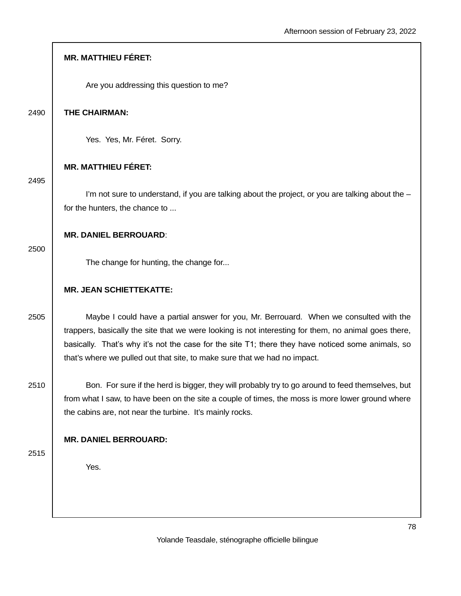|      | <b>MR. MATTHIEU FÉRET:</b>                                                                                                                                                                                                                                                                                                                                                       |
|------|----------------------------------------------------------------------------------------------------------------------------------------------------------------------------------------------------------------------------------------------------------------------------------------------------------------------------------------------------------------------------------|
|      | Are you addressing this question to me?                                                                                                                                                                                                                                                                                                                                          |
| 2490 | THE CHAIRMAN:                                                                                                                                                                                                                                                                                                                                                                    |
|      | Yes. Yes, Mr. Féret. Sorry.                                                                                                                                                                                                                                                                                                                                                      |
| 2495 | <b>MR. MATTHIEU FÉRET:</b>                                                                                                                                                                                                                                                                                                                                                       |
|      | I'm not sure to understand, if you are talking about the project, or you are talking about the -<br>for the hunters, the chance to                                                                                                                                                                                                                                               |
| 2500 | <b>MR. DANIEL BERROUARD:</b>                                                                                                                                                                                                                                                                                                                                                     |
|      | The change for hunting, the change for                                                                                                                                                                                                                                                                                                                                           |
|      | <b>MR. JEAN SCHIETTEKATTE:</b>                                                                                                                                                                                                                                                                                                                                                   |
| 2505 | Maybe I could have a partial answer for you, Mr. Berrouard. When we consulted with the<br>trappers, basically the site that we were looking is not interesting for them, no animal goes there,<br>basically. That's why it's not the case for the site T1; there they have noticed some animals, so<br>that's where we pulled out that site, to make sure that we had no impact. |
| 2510 | Bon. For sure if the herd is bigger, they will probably try to go around to feed themselves, but<br>from what I saw, to have been on the site a couple of times, the moss is more lower ground where                                                                                                                                                                             |
|      | the cabins are, not near the turbine. It's mainly rocks.                                                                                                                                                                                                                                                                                                                         |
|      | <b>MR. DANIEL BERROUARD:</b>                                                                                                                                                                                                                                                                                                                                                     |
| 2515 | Yes.                                                                                                                                                                                                                                                                                                                                                                             |
|      |                                                                                                                                                                                                                                                                                                                                                                                  |

 $\overline{\phantom{a}}$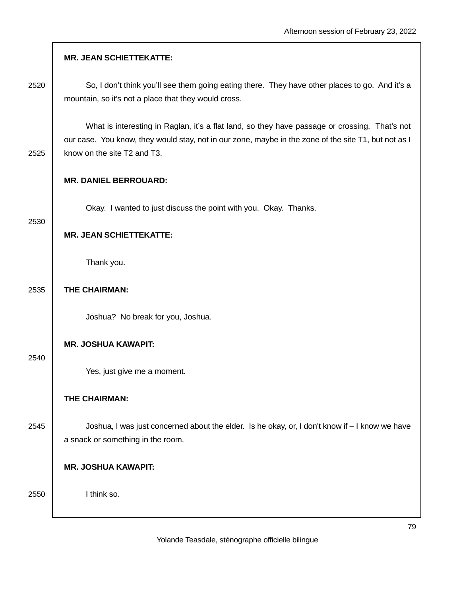| 2520 | So, I don't think you'll see them going eating there. They have other places to go. And it's a<br>mountain, so it's not a place that they would cross.                                                                               |
|------|--------------------------------------------------------------------------------------------------------------------------------------------------------------------------------------------------------------------------------------|
| 2525 | What is interesting in Raglan, it's a flat land, so they have passage or crossing. That's not<br>our case. You know, they would stay, not in our zone, maybe in the zone of the site T1, but not as I<br>know on the site T2 and T3. |
|      | <b>MR. DANIEL BERROUARD:</b>                                                                                                                                                                                                         |
|      | Okay. I wanted to just discuss the point with you. Okay. Thanks.                                                                                                                                                                     |
| 2530 | <b>MR. JEAN SCHIETTEKATTE:</b>                                                                                                                                                                                                       |
|      | Thank you.                                                                                                                                                                                                                           |
| 2535 | THE CHAIRMAN:                                                                                                                                                                                                                        |
|      | Joshua? No break for you, Joshua.                                                                                                                                                                                                    |
|      | <b>MR. JOSHUA KAWAPIT:</b>                                                                                                                                                                                                           |
| 2540 | Yes, just give me a moment.                                                                                                                                                                                                          |
|      | THE CHAIRMAN:                                                                                                                                                                                                                        |
| 2545 | Joshua, I was just concerned about the elder. Is he okay, or, I don't know if - I know we have<br>a snack or something in the room.                                                                                                  |
|      | <b>MR. JOSHUA KAWAPIT:</b>                                                                                                                                                                                                           |
| 2550 | I think so.                                                                                                                                                                                                                          |

**MR. JEAN SCHIETTEKATTE:**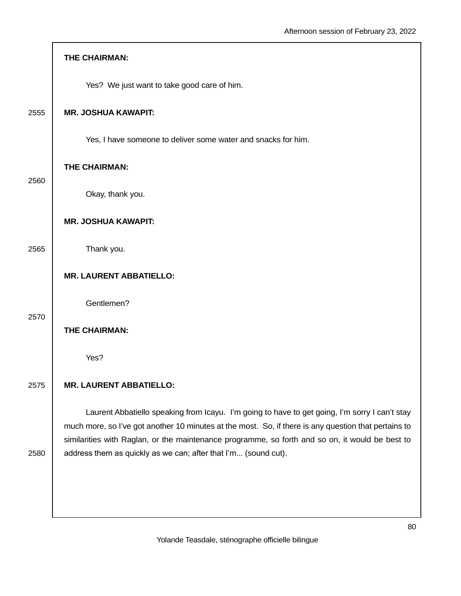|      | THE CHAIRMAN:                                                                                                                                                                                                                                                                                             |
|------|-----------------------------------------------------------------------------------------------------------------------------------------------------------------------------------------------------------------------------------------------------------------------------------------------------------|
|      | Yes? We just want to take good care of him.                                                                                                                                                                                                                                                               |
| 2555 | <b>MR. JOSHUA KAWAPIT:</b>                                                                                                                                                                                                                                                                                |
|      | Yes, I have someone to deliver some water and snacks for him.                                                                                                                                                                                                                                             |
| 2560 | THE CHAIRMAN:                                                                                                                                                                                                                                                                                             |
|      | Okay, thank you.                                                                                                                                                                                                                                                                                          |
|      | <b>MR. JOSHUA KAWAPIT:</b>                                                                                                                                                                                                                                                                                |
| 2565 | Thank you.                                                                                                                                                                                                                                                                                                |
|      | <b>MR. LAURENT ABBATIELLO:</b>                                                                                                                                                                                                                                                                            |
| 2570 | Gentlemen?                                                                                                                                                                                                                                                                                                |
|      | THE CHAIRMAN:                                                                                                                                                                                                                                                                                             |
|      | Yes?                                                                                                                                                                                                                                                                                                      |
| 2575 | <b>MR. LAURENT ABBATIELLO:</b>                                                                                                                                                                                                                                                                            |
|      | Laurent Abbatiello speaking from Icayu. I'm going to have to get going, I'm sorry I can't stay<br>much more, so I've got another 10 minutes at the most. So, if there is any question that pertains to<br>similarities with Raglan, or the maintenance programme, so forth and so on, it would be best to |
| 2580 | address them as quickly as we can; after that I'm (sound cut).                                                                                                                                                                                                                                            |
|      |                                                                                                                                                                                                                                                                                                           |
|      |                                                                                                                                                                                                                                                                                                           |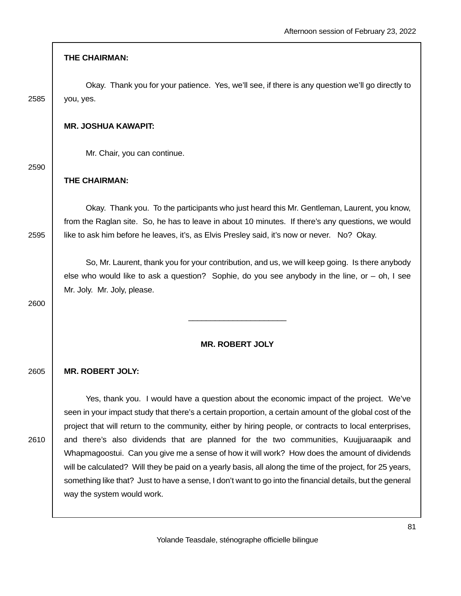### **THE CHAIRMAN:**

 Okay. Thank you for your patience. Yes, we'll see, if there is any question we'll go directly to 2585 you, yes.

#### **MR. JOSHUA KAWAPIT:**

Mr. Chair, you can continue.

2590

### **THE CHAIRMAN:**

 Okay. Thank you. To the participants who just heard this Mr. Gentleman, Laurent, you know, from the Raglan site. So, he has to leave in about 10 minutes. If there's any questions, we would 2595 | like to ask him before he leaves, it's, as Elvis Presley said, it's now or never. No? Okay.

 So, Mr. Laurent, thank you for your contribution, and us, we will keep going. Is there anybody else who would like to ask a question? Sophie, do you see anybody in the line, or – oh, I see Mr. Joly. Mr. Joly, please.

2600

# **MR. ROBERT JOLY**

 $\frac{1}{2}$  ,  $\frac{1}{2}$  ,  $\frac{1}{2}$  ,  $\frac{1}{2}$  ,  $\frac{1}{2}$  ,  $\frac{1}{2}$  ,  $\frac{1}{2}$  ,  $\frac{1}{2}$  ,  $\frac{1}{2}$  ,  $\frac{1}{2}$  ,  $\frac{1}{2}$  ,  $\frac{1}{2}$  ,  $\frac{1}{2}$  ,  $\frac{1}{2}$  ,  $\frac{1}{2}$  ,  $\frac{1}{2}$  ,  $\frac{1}{2}$  ,  $\frac{1}{2}$  ,  $\frac{1$ 

### 2605 **MR. ROBERT JOLY:**

 Yes, thank you. I would have a question about the economic impact of the project. We've seen in your impact study that there's a certain proportion, a certain amount of the global cost of the project that will return to the community, either by hiring people, or contracts to local enterprises, 2610 and there's also dividends that are planned for the two communities, Kuujjuaraapik and Whapmagoostui. Can you give me a sense of how it will work? How does the amount of dividends will be calculated? Will they be paid on a yearly basis, all along the time of the project, for 25 years, something like that? Just to have a sense, I don't want to go into the financial details, but the general way the system would work.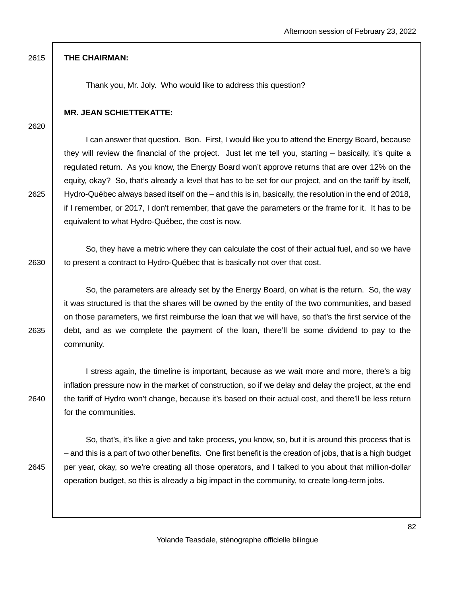### 2615 **THE CHAIRMAN:**

Thank you, Mr. Joly. Who would like to address this question?

### **MR. JEAN SCHIETTEKATTE:**

2620

 I can answer that question. Bon. First, I would like you to attend the Energy Board, because they will review the financial of the project. Just let me tell you, starting – basically, it's quite a regulated return. As you know, the Energy Board won't approve returns that are over 12% on the equity, okay? So, that's already a level that has to be set for our project, and on the tariff by itself, 2625 Hydro-Québec always based itself on the – and this is in, basically, the resolution in the end of 2018, if I remember, or 2017, I don't remember, that gave the parameters or the frame for it. It has to be equivalent to what Hydro-Québec, the cost is now.

 So, they have a metric where they can calculate the cost of their actual fuel, and so we have 2630 to present a contract to Hydro-Québec that is basically not over that cost.

 So, the parameters are already set by the Energy Board, on what is the return. So, the way it was structured is that the shares will be owned by the entity of the two communities, and based on those parameters, we first reimburse the loan that we will have, so that's the first service of the  $2635$  debt, and as we complete the payment of the loan, there'll be some dividend to pay to the community.

 I stress again, the timeline is important, because as we wait more and more, there's a big inflation pressure now in the market of construction, so if we delay and delay the project, at the end 2640 the tariff of Hydro won't change, because it's based on their actual cost, and there'll be less return for the communities.

 So, that's, it's like a give and take process, you know, so, but it is around this process that is – and this is a part of two other benefits. One first benefit is the creation of jobs, that is a high budget 2645 | per year, okay, so we're creating all those operators, and I talked to you about that million-dollar operation budget, so this is already a big impact in the community, to create long-term jobs.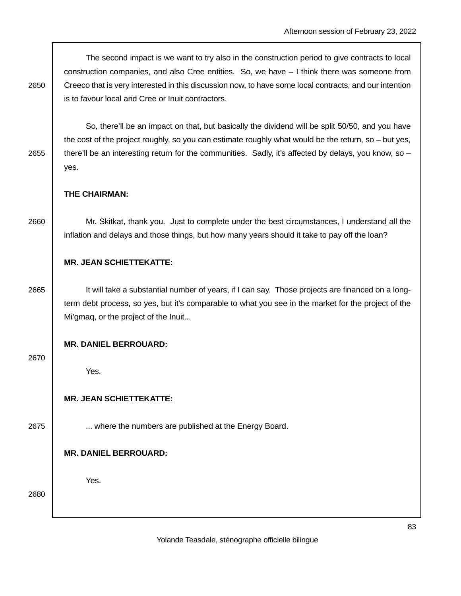The second impact is we want to try also in the construction period to give contracts to local construction companies, and also Cree entities. So, we have – I think there was someone from 2650 Creeco that is very interested in this discussion now, to have some local contracts, and our intention is to favour local and Cree or Inuit contractors.

 So, there'll be an impact on that, but basically the dividend will be split 50/50, and you have the cost of the project roughly, so you can estimate roughly what would be the return, so – but yes, 2655 there'll be an interesting return for the communities. Sadly, it's affected by delays, you know, so – yes.

## **THE CHAIRMAN:**

2660 Mr. Skitkat, thank you. Just to complete under the best circumstances, I understand all the inflation and delays and those things, but how many years should it take to pay off the loan?

## **MR. JEAN SCHIETTEKATTE:**

2665 | It will take a substantial number of years, if I can say. Those projects are financed on a longterm debt process, so yes, but it's comparable to what you see in the market for the project of the Mi'gmaq, or the project of the Inuit...

### **MR. DANIEL BERROUARD:**

#### 2670

Yes.

### **MR. JEAN SCHIETTEKATTE:**

2675 **...** where the numbers are published at the Energy Board.

# **MR. DANIEL BERROUARD:**

Yes.

#### 2680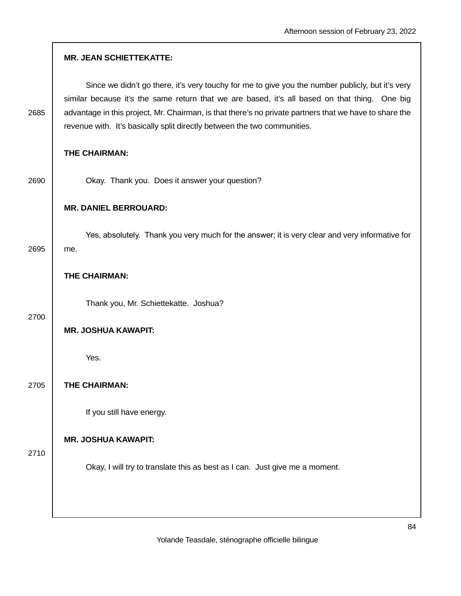|      | <b>MR. JEAN SCHIETTEKATTE:</b>                                                                                                                                                                                                                                                                                                                                                          |
|------|-----------------------------------------------------------------------------------------------------------------------------------------------------------------------------------------------------------------------------------------------------------------------------------------------------------------------------------------------------------------------------------------|
| 2685 | Since we didn't go there, it's very touchy for me to give you the number publicly, but it's very<br>similar because it's the same return that we are based, it's all based on that thing. One big<br>advantage in this project, Mr. Chairman, is that there's no private partners that we have to share the<br>revenue with. It's basically split directly between the two communities. |
|      | THE CHAIRMAN:                                                                                                                                                                                                                                                                                                                                                                           |
| 2690 | Okay. Thank you. Does it answer your question?                                                                                                                                                                                                                                                                                                                                          |
|      | <b>MR. DANIEL BERROUARD:</b>                                                                                                                                                                                                                                                                                                                                                            |
| 2695 | Yes, absolutely. Thank you very much for the answer; it is very clear and very informative for<br>me.                                                                                                                                                                                                                                                                                   |
|      | THE CHAIRMAN:                                                                                                                                                                                                                                                                                                                                                                           |
| 2700 | Thank you, Mr. Schiettekatte. Joshua?                                                                                                                                                                                                                                                                                                                                                   |
|      | <b>MR. JOSHUA KAWAPIT:</b>                                                                                                                                                                                                                                                                                                                                                              |
|      | Yes.                                                                                                                                                                                                                                                                                                                                                                                    |
| 2705 | THE CHAIRMAN:                                                                                                                                                                                                                                                                                                                                                                           |
|      | If you still have energy.                                                                                                                                                                                                                                                                                                                                                               |
| 2710 | <b>MR. JOSHUA KAWAPIT:</b>                                                                                                                                                                                                                                                                                                                                                              |
|      | Okay, I will try to translate this as best as I can. Just give me a moment.                                                                                                                                                                                                                                                                                                             |
|      |                                                                                                                                                                                                                                                                                                                                                                                         |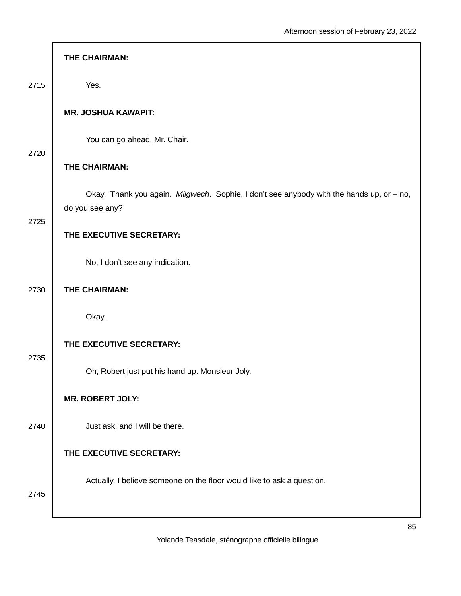|      | THE CHAIRMAN:                                                                                               |
|------|-------------------------------------------------------------------------------------------------------------|
| 2715 | Yes.                                                                                                        |
|      | <b>MR. JOSHUA KAWAPIT:</b>                                                                                  |
| 2720 | You can go ahead, Mr. Chair.                                                                                |
|      | THE CHAIRMAN:                                                                                               |
| 2725 | Okay. Thank you again. Miigwech. Sophie, I don't see anybody with the hands up, or - no,<br>do you see any? |
|      | THE EXECUTIVE SECRETARY:                                                                                    |
|      | No, I don't see any indication.                                                                             |
| 2730 | THE CHAIRMAN:                                                                                               |
|      | Okay.                                                                                                       |
| 2735 | THE EXECUTIVE SECRETARY:                                                                                    |
|      | Oh, Robert just put his hand up. Monsieur Joly.                                                             |
| 2740 | <b>MR. ROBERT JOLY:</b>                                                                                     |
|      | Just ask, and I will be there.                                                                              |
|      | THE EXECUTIVE SECRETARY:                                                                                    |
| 2745 | Actually, I believe someone on the floor would like to ask a question.                                      |
|      |                                                                                                             |

Г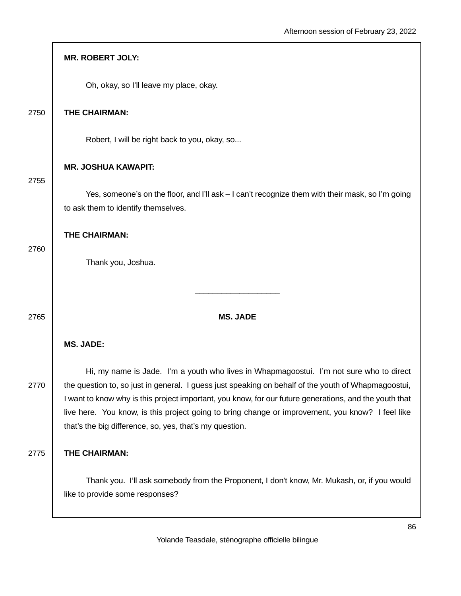|      | <b>MR. ROBERT JOLY:</b>                                                                                                                                                                                                                                                                                                                                                                                                                                                 |
|------|-------------------------------------------------------------------------------------------------------------------------------------------------------------------------------------------------------------------------------------------------------------------------------------------------------------------------------------------------------------------------------------------------------------------------------------------------------------------------|
|      | Oh, okay, so I'll leave my place, okay.                                                                                                                                                                                                                                                                                                                                                                                                                                 |
| 2750 | THE CHAIRMAN:                                                                                                                                                                                                                                                                                                                                                                                                                                                           |
|      | Robert, I will be right back to you, okay, so                                                                                                                                                                                                                                                                                                                                                                                                                           |
| 2755 | <b>MR. JOSHUA KAWAPIT:</b>                                                                                                                                                                                                                                                                                                                                                                                                                                              |
|      | Yes, someone's on the floor, and I'll ask - I can't recognize them with their mask, so I'm going<br>to ask them to identify themselves.                                                                                                                                                                                                                                                                                                                                 |
| 2760 | THE CHAIRMAN:                                                                                                                                                                                                                                                                                                                                                                                                                                                           |
|      | Thank you, Joshua.                                                                                                                                                                                                                                                                                                                                                                                                                                                      |
| 2765 | <b>MS. JADE</b>                                                                                                                                                                                                                                                                                                                                                                                                                                                         |
|      | <b>MS. JADE:</b>                                                                                                                                                                                                                                                                                                                                                                                                                                                        |
| 2770 | Hi, my name is Jade. I'm a youth who lives in Whapmagoostui. I'm not sure who to direct<br>the question to, so just in general. I guess just speaking on behalf of the youth of Whapmagoostui,<br>I want to know why is this project important, you know, for our future generations, and the youth that<br>live here. You know, is this project going to bring change or improvement, you know? I feel like<br>that's the big difference, so, yes, that's my question. |
| 2775 | THE CHAIRMAN:                                                                                                                                                                                                                                                                                                                                                                                                                                                           |
|      | Thank you. I'll ask somebody from the Proponent, I don't know, Mr. Mukash, or, if you would<br>like to provide some responses?                                                                                                                                                                                                                                                                                                                                          |

Г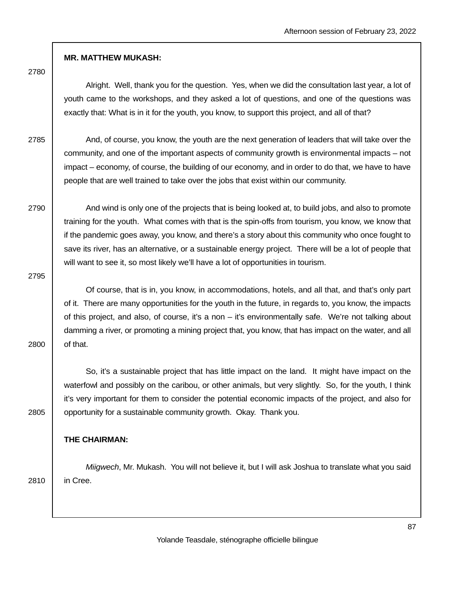### **MR. MATTHEW MUKASH:**

2780

 Alright. Well, thank you for the question. Yes, when we did the consultation last year, a lot of youth came to the workshops, and they asked a lot of questions, and one of the questions was exactly that: What is in it for the youth, you know, to support this project, and all of that?

2785 And, of course, you know, the youth are the next generation of leaders that will take over the community, and one of the important aspects of community growth is environmental impacts – not impact – economy, of course, the building of our economy, and in order to do that, we have to have people that are well trained to take over the jobs that exist within our community.

2790 And wind is only one of the projects that is being looked at, to build jobs, and also to promote training for the youth. What comes with that is the spin-offs from tourism, you know, we know that if the pandemic goes away, you know, and there's a story about this community who once fought to save its river, has an alternative, or a sustainable energy project. There will be a lot of people that will want to see it, so most likely we'll have a lot of opportunities in tourism.

2795

 Of course, that is in, you know, in accommodations, hotels, and all that, and that's only part of it. There are many opportunities for the youth in the future, in regards to, you know, the impacts of this project, and also, of course, it's a non – it's environmentally safe. We're not talking about damming a river, or promoting a mining project that, you know, that has impact on the water, and all 2800 of that.

 So, it's a sustainable project that has little impact on the land. It might have impact on the waterfowl and possibly on the caribou, or other animals, but very slightly. So, for the youth, I think it's very important for them to consider the potential economic impacts of the project, and also for 2805 **opportunity for a sustainable community growth. Okay. Thank you.** 

#### **THE CHAIRMAN:**

Miigwech, Mr. Mukash. You will not believe it, but I will ask Joshua to translate what you said 2810 in Cree.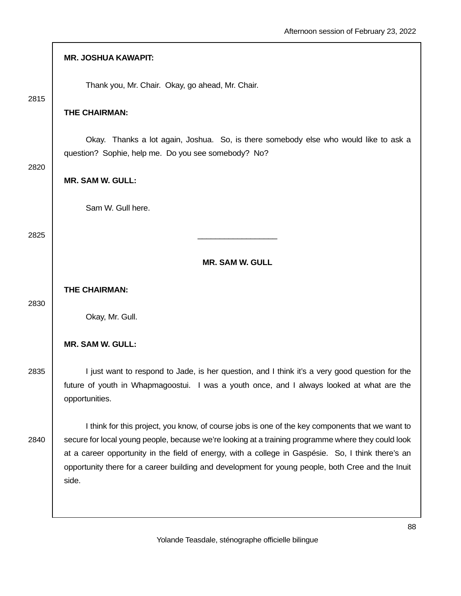|      | <b>MR. JOSHUA KAWAPIT:</b>                                                                                                                                                                                                                                                                                                                                                                                                |
|------|---------------------------------------------------------------------------------------------------------------------------------------------------------------------------------------------------------------------------------------------------------------------------------------------------------------------------------------------------------------------------------------------------------------------------|
| 2815 | Thank you, Mr. Chair. Okay, go ahead, Mr. Chair.                                                                                                                                                                                                                                                                                                                                                                          |
|      | THE CHAIRMAN:                                                                                                                                                                                                                                                                                                                                                                                                             |
|      | Okay. Thanks a lot again, Joshua. So, is there somebody else who would like to ask a<br>question? Sophie, help me. Do you see somebody? No?                                                                                                                                                                                                                                                                               |
| 2820 | <b>MR. SAM W. GULL:</b>                                                                                                                                                                                                                                                                                                                                                                                                   |
|      | Sam W. Gull here.                                                                                                                                                                                                                                                                                                                                                                                                         |
| 2825 |                                                                                                                                                                                                                                                                                                                                                                                                                           |
|      | <b>MR. SAM W. GULL</b>                                                                                                                                                                                                                                                                                                                                                                                                    |
|      | THE CHAIRMAN:                                                                                                                                                                                                                                                                                                                                                                                                             |
| 2830 | Okay, Mr. Gull.                                                                                                                                                                                                                                                                                                                                                                                                           |
|      | <b>MR. SAM W. GULL:</b>                                                                                                                                                                                                                                                                                                                                                                                                   |
| 2835 | I just want to respond to Jade, is her question, and I think it's a very good question for the<br>future of youth in Whapmagoostui. I was a youth once, and I always looked at what are the<br>opportunities.                                                                                                                                                                                                             |
| 2840 | I think for this project, you know, of course jobs is one of the key components that we want to<br>secure for local young people, because we're looking at a training programme where they could look<br>at a career opportunity in the field of energy, with a college in Gaspésie. So, I think there's an<br>opportunity there for a career building and development for young people, both Cree and the Inuit<br>side. |
|      |                                                                                                                                                                                                                                                                                                                                                                                                                           |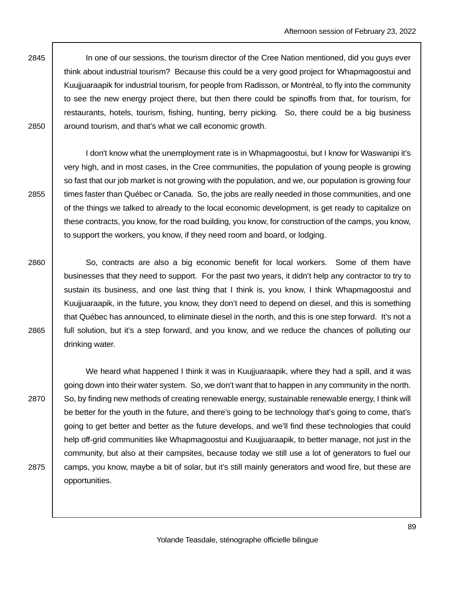2845 | In one of our sessions, the tourism director of the Cree Nation mentioned, did you guys ever think about industrial tourism? Because this could be a very good project for Whapmagoostui and Kuujjuaraapik for industrial tourism, for people from Radisson, or Montréal, to fly into the community to see the new energy project there, but then there could be spinoffs from that, for tourism, for restaurants, hotels, tourism, fishing, hunting, berry picking. So, there could be a big business  $2850$  around tourism, and that's what we call economic growth.

 I don't know what the unemployment rate is in Whapmagoostui, but I know for Waswanipi it's very high, and in most cases, in the Cree communities, the population of young people is growing so fast that our job market is not growing with the population, and we, our population is growing four 2855 times faster than Québec or Canada. So, the jobs are really needed in those communities, and one of the things we talked to already to the local economic development, is get ready to capitalize on these contracts, you know, for the road building, you know, for construction of the camps, you know, to support the workers, you know, if they need room and board, or lodging.

2860 So, contracts are also a big economic benefit for local workers. Some of them have businesses that they need to support. For the past two years, it didn't help any contractor to try to sustain its business, and one last thing that I think is, you know, I think Whapmagoostui and Kuujjuaraapik, in the future, you know, they don't need to depend on diesel, and this is something that Québec has announced, to eliminate diesel in the north, and this is one step forward. It's not a 2865 full solution, but it's a step forward, and you know, and we reduce the chances of polluting our drinking water.

 We heard what happened I think it was in Kuujjuaraapik, where they had a spill, and it was going down into their water system. So, we don't want that to happen in any community in the north. 2870 So, by finding new methods of creating renewable energy, sustainable renewable energy, I think will be better for the youth in the future, and there's going to be technology that's going to come, that's going to get better and better as the future develops, and we'll find these technologies that could help off-grid communities like Whapmagoostui and Kuujjuaraapik, to better manage, not just in the community, but also at their campsites, because today we still use a lot of generators to fuel our 2875 camps, you know, maybe a bit of solar, but it's still mainly generators and wood fire, but these are opportunities.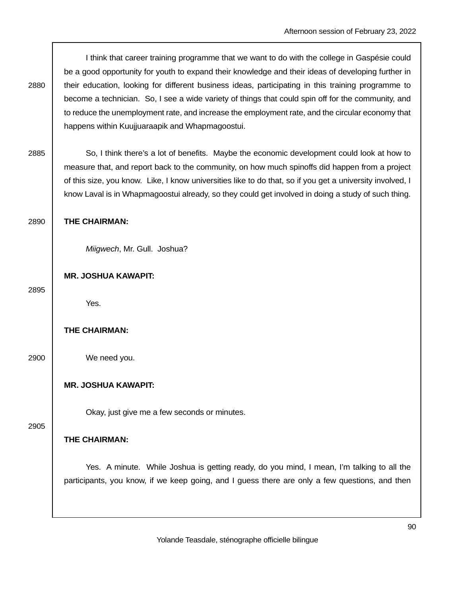I think that career training programme that we want to do with the college in Gaspésie could be a good opportunity for youth to expand their knowledge and their ideas of developing further in 2880 | their education, looking for different business ideas, participating in this training programme to become a technician. So, I see a wide variety of things that could spin off for the community, and to reduce the unemployment rate, and increase the employment rate, and the circular economy that happens within Kuujjuaraapik and Whapmagoostui.

2885 So, I think there's a lot of benefits. Maybe the economic development could look at how to measure that, and report back to the community, on how much spinoffs did happen from a project of this size, you know. Like, I know universities like to do that, so if you get a university involved, I know Laval is in Whapmagoostui already, so they could get involved in doing a study of such thing.

### 2890 **THE CHAIRMAN:**

Miigwech, Mr. Gull. Joshua?

### **MR. JOSHUA KAWAPIT:**

2895

Yes.

### **THE CHAIRMAN:**

2900 We need you.

### **MR. JOSHUA KAWAPIT:**

Okay, just give me a few seconds or minutes.

## 2905

# **THE CHAIRMAN:**

 Yes. A minute. While Joshua is getting ready, do you mind, I mean, I'm talking to all the participants, you know, if we keep going, and I guess there are only a few questions, and then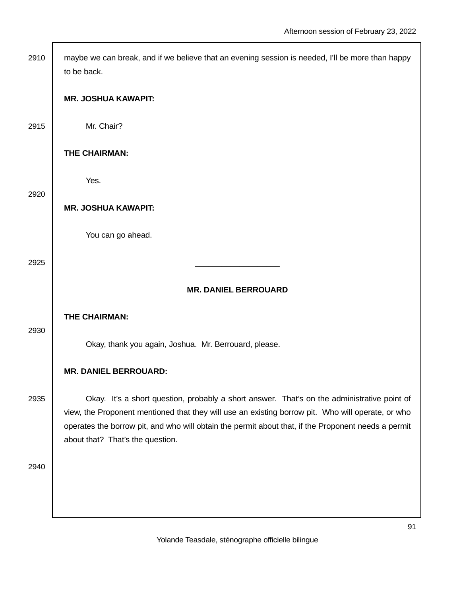| 2910 | maybe we can break, and if we believe that an evening session is needed, I'll be more than happy<br>to be back.                                                                                                                                                                                                                             |
|------|---------------------------------------------------------------------------------------------------------------------------------------------------------------------------------------------------------------------------------------------------------------------------------------------------------------------------------------------|
|      | <b>MR. JOSHUA KAWAPIT:</b>                                                                                                                                                                                                                                                                                                                  |
| 2915 | Mr. Chair?                                                                                                                                                                                                                                                                                                                                  |
|      | THE CHAIRMAN:                                                                                                                                                                                                                                                                                                                               |
| 2920 | Yes.                                                                                                                                                                                                                                                                                                                                        |
|      | <b>MR. JOSHUA KAWAPIT:</b>                                                                                                                                                                                                                                                                                                                  |
|      | You can go ahead.                                                                                                                                                                                                                                                                                                                           |
| 2925 |                                                                                                                                                                                                                                                                                                                                             |
|      | <b>MR. DANIEL BERROUARD</b>                                                                                                                                                                                                                                                                                                                 |
| 2930 | THE CHAIRMAN:                                                                                                                                                                                                                                                                                                                               |
|      | Okay, thank you again, Joshua. Mr. Berrouard, please.                                                                                                                                                                                                                                                                                       |
|      | <b>MR. DANIEL BERROUARD:</b>                                                                                                                                                                                                                                                                                                                |
| 2935 | Okay. It's a short question, probably a short answer. That's on the administrative point of<br>view, the Proponent mentioned that they will use an existing borrow pit. Who will operate, or who<br>operates the borrow pit, and who will obtain the permit about that, if the Proponent needs a permit<br>about that? That's the question. |
| 2940 |                                                                                                                                                                                                                                                                                                                                             |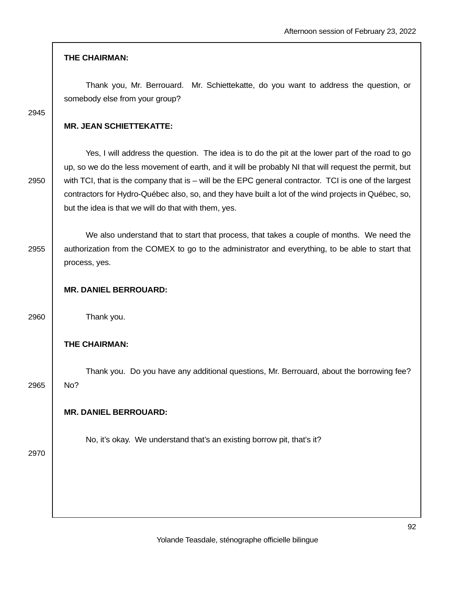## **THE CHAIRMAN:**

 Thank you, Mr. Berrouard. Mr. Schiettekatte, do you want to address the question, or somebody else from your group?

2945

# **MR. JEAN SCHIETTEKATTE:**

 Yes, I will address the question. The idea is to do the pit at the lower part of the road to go up, so we do the less movement of earth, and it will be probably NI that will request the permit, but  $2950$  with TCI, that is the company that is – will be the EPC general contractor. TCI is one of the largest contractors for Hydro-Québec also, so, and they have built a lot of the wind projects in Québec, so, but the idea is that we will do that with them, yes.

 We also understand that to start that process, that takes a couple of months. We need the 2955 authorization from the COMEX to go to the administrator and everything, to be able to start that process, yes.

### **MR. DANIEL BERROUARD:**

2960 Thank you.

## **THE CHAIRMAN:**

 Thank you. Do you have any additional questions, Mr. Berrouard, about the borrowing fee? 2965 No?

## **MR. DANIEL BERROUARD:**

No, it's okay. We understand that's an existing borrow pit, that's it?

2970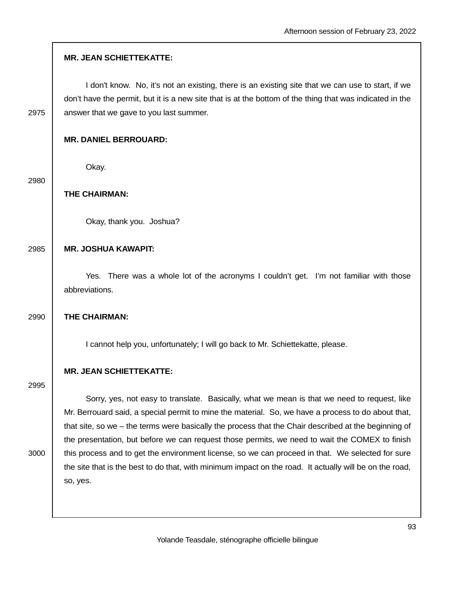|  | <b>MR. JEAN SCHIETTEKATTE:</b> |
|--|--------------------------------|
|--|--------------------------------|

 I don't know. No, it's not an existing, there is an existing site that we can use to start, if we don't have the permit, but it is a new site that is at the bottom of the thing that was indicated in the 2975  $\parallel$  answer that we gave to you last summer.

### **MR. DANIEL BERROUARD:**

Okay.

2980

## **THE CHAIRMAN:**

Okay, thank you. Joshua?

# 2985 **MR. JOSHUA KAWAPIT:**

 Yes. There was a whole lot of the acronyms I couldn't get. I'm not familiar with those abbreviations.

#### 2990 **THE CHAIRMAN:**

I cannot help you, unfortunately; I will go back to Mr. Schiettekatte, please.

#### **MR. JEAN SCHIETTEKATTE:**

2995

 Sorry, yes, not easy to translate. Basically, what we mean is that we need to request, like Mr. Berrouard said, a special permit to mine the material. So, we have a process to do about that, that site, so we – the terms were basically the process that the Chair described at the beginning of the presentation, but before we can request those permits, we need to wait the COMEX to finish 3000 | this process and to get the environment license, so we can proceed in that. We selected for sure the site that is the best to do that, with minimum impact on the road. It actually will be on the road, so, yes.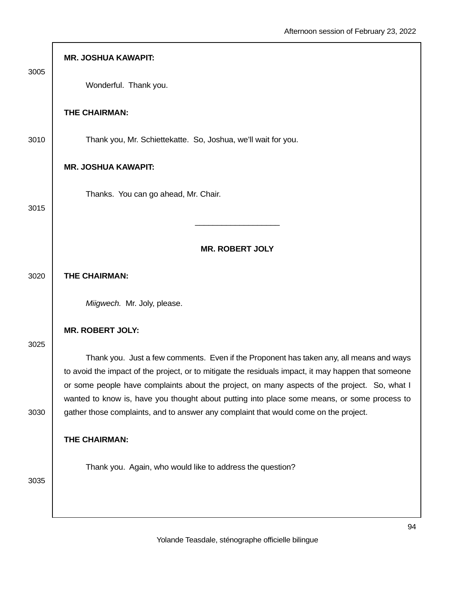| 3005 | <b>MR. JOSHUA KAWAPIT:</b>                                                                                                                                                                                                                                                          |
|------|-------------------------------------------------------------------------------------------------------------------------------------------------------------------------------------------------------------------------------------------------------------------------------------|
|      | Wonderful. Thank you.                                                                                                                                                                                                                                                               |
|      | THE CHAIRMAN:                                                                                                                                                                                                                                                                       |
| 3010 | Thank you, Mr. Schiettekatte. So, Joshua, we'll wait for you.                                                                                                                                                                                                                       |
|      | <b>MR. JOSHUA KAWAPIT:</b>                                                                                                                                                                                                                                                          |
|      | Thanks. You can go ahead, Mr. Chair.                                                                                                                                                                                                                                                |
| 3015 |                                                                                                                                                                                                                                                                                     |
|      | <b>MR. ROBERT JOLY</b>                                                                                                                                                                                                                                                              |
| 3020 | THE CHAIRMAN:                                                                                                                                                                                                                                                                       |
|      | Miigwech. Mr. Joly, please.                                                                                                                                                                                                                                                         |
|      | <b>MR. ROBERT JOLY:</b>                                                                                                                                                                                                                                                             |
| 3025 | Thank you. Just a few comments. Even if the Proponent has taken any, all means and ways<br>to avoid the impact of the project, or to mitigate the residuals impact, it may happen that someone                                                                                      |
| 3030 | or some people have complaints about the project, on many aspects of the project. So, what I<br>wanted to know is, have you thought about putting into place some means, or some process to<br>gather those complaints, and to answer any complaint that would come on the project. |
|      | THE CHAIRMAN:                                                                                                                                                                                                                                                                       |
| 3035 | Thank you. Again, who would like to address the question?                                                                                                                                                                                                                           |
|      |                                                                                                                                                                                                                                                                                     |

Г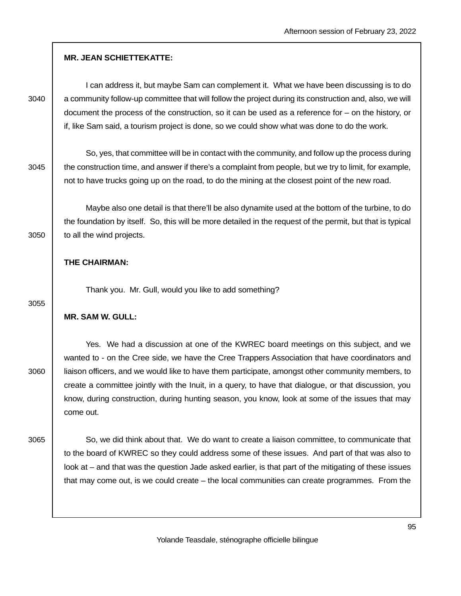|      | <b>MR. JEAN SCHIETTEKATTE:</b>                                                                                                                                                                                                                                                                                                                                                                                                                                                                                      |
|------|---------------------------------------------------------------------------------------------------------------------------------------------------------------------------------------------------------------------------------------------------------------------------------------------------------------------------------------------------------------------------------------------------------------------------------------------------------------------------------------------------------------------|
| 3040 | I can address it, but maybe Sam can complement it. What we have been discussing is to do<br>a community follow-up committee that will follow the project during its construction and, also, we will<br>document the process of the construction, so it can be used as a reference for $-$ on the history, or<br>if, like Sam said, a tourism project is done, so we could show what was done to do the work.                                                                                                        |
| 3045 | So, yes, that committee will be in contact with the community, and follow up the process during<br>the construction time, and answer if there's a complaint from people, but we try to limit, for example,<br>not to have trucks going up on the road, to do the mining at the closest point of the new road.                                                                                                                                                                                                       |
| 3050 | Maybe also one detail is that there'll be also dynamite used at the bottom of the turbine, to do<br>the foundation by itself. So, this will be more detailed in the request of the permit, but that is typical<br>to all the wind projects.                                                                                                                                                                                                                                                                         |
|      | THE CHAIRMAN:                                                                                                                                                                                                                                                                                                                                                                                                                                                                                                       |
| 3055 | Thank you. Mr. Gull, would you like to add something?                                                                                                                                                                                                                                                                                                                                                                                                                                                               |
|      | <b>MR. SAM W. GULL:</b>                                                                                                                                                                                                                                                                                                                                                                                                                                                                                             |
| 3060 | Yes. We had a discussion at one of the KWREC board meetings on this subject, and we<br>wanted to - on the Cree side, we have the Cree Trappers Association that have coordinators and<br>liaison officers, and we would like to have them participate, amongst other community members, to<br>create a committee jointly with the Inuit, in a query, to have that dialogue, or that discussion, you<br>know, during construction, during hunting season, you know, look at some of the issues that may<br>come out. |
| 3065 | So, we did think about that. We do want to create a liaison committee, to communicate that<br>to the board of KWREC so they could address some of these issues. And part of that was also to<br>look at – and that was the question Jade asked earlier, is that part of the mitigating of these issues<br>that may come out, is we could create - the local communities can create programmes. From the                                                                                                             |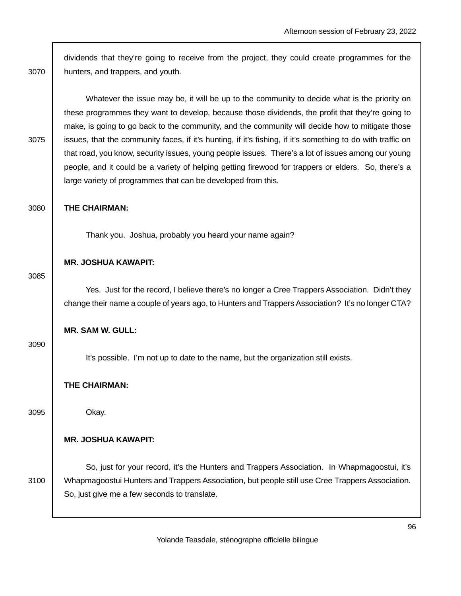| dividends that they're going to receive from the project, they could create programmes for the<br>hunters, and trappers, and youth.                                                                                                                                                                                                                                                                                                                                                                                                                                                                                                                                                            |
|------------------------------------------------------------------------------------------------------------------------------------------------------------------------------------------------------------------------------------------------------------------------------------------------------------------------------------------------------------------------------------------------------------------------------------------------------------------------------------------------------------------------------------------------------------------------------------------------------------------------------------------------------------------------------------------------|
| Whatever the issue may be, it will be up to the community to decide what is the priority on<br>these programmes they want to develop, because those dividends, the profit that they're going to<br>make, is going to go back to the community, and the community will decide how to mitigate those<br>issues, that the community faces, if it's hunting, if it's fishing, if it's something to do with traffic on<br>that road, you know, security issues, young people issues. There's a lot of issues among our young<br>people, and it could be a variety of helping getting firewood for trappers or elders. So, there's a<br>large variety of programmes that can be developed from this. |
| THE CHAIRMAN:                                                                                                                                                                                                                                                                                                                                                                                                                                                                                                                                                                                                                                                                                  |
| Thank you. Joshua, probably you heard your name again?                                                                                                                                                                                                                                                                                                                                                                                                                                                                                                                                                                                                                                         |
| <b>MR. JOSHUA KAWAPIT:</b>                                                                                                                                                                                                                                                                                                                                                                                                                                                                                                                                                                                                                                                                     |
| Yes. Just for the record, I believe there's no longer a Cree Trappers Association. Didn't they<br>change their name a couple of years ago, to Hunters and Trappers Association? It's no longer CTA?                                                                                                                                                                                                                                                                                                                                                                                                                                                                                            |
| <b>MR. SAM W. GULL:</b>                                                                                                                                                                                                                                                                                                                                                                                                                                                                                                                                                                                                                                                                        |
| It's possible. I'm not up to date to the name, but the organization still exists.                                                                                                                                                                                                                                                                                                                                                                                                                                                                                                                                                                                                              |
| THE CHAIRMAN:                                                                                                                                                                                                                                                                                                                                                                                                                                                                                                                                                                                                                                                                                  |
| Okay.                                                                                                                                                                                                                                                                                                                                                                                                                                                                                                                                                                                                                                                                                          |
| <b>MR. JOSHUA KAWAPIT:</b>                                                                                                                                                                                                                                                                                                                                                                                                                                                                                                                                                                                                                                                                     |
| So, just for your record, it's the Hunters and Trappers Association. In Whapmagoostui, it's<br>Whapmagoostui Hunters and Trappers Association, but people still use Cree Trappers Association.<br>So, just give me a few seconds to translate.                                                                                                                                                                                                                                                                                                                                                                                                                                                 |
|                                                                                                                                                                                                                                                                                                                                                                                                                                                                                                                                                                                                                                                                                                |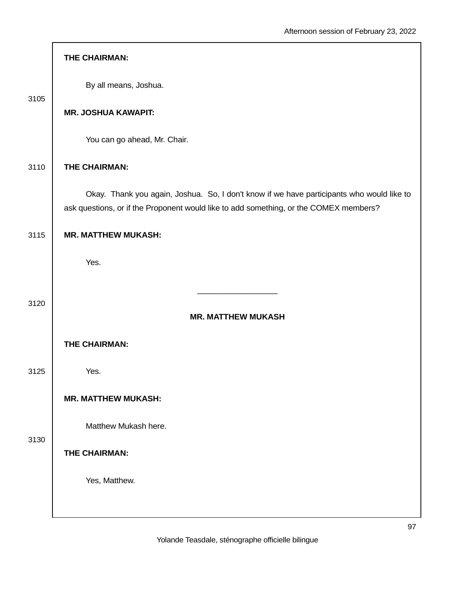|      | THE CHAIRMAN:                                                                                                                                                                      |
|------|------------------------------------------------------------------------------------------------------------------------------------------------------------------------------------|
| 3105 | By all means, Joshua.                                                                                                                                                              |
|      | <b>MR. JOSHUA KAWAPIT:</b>                                                                                                                                                         |
|      | You can go ahead, Mr. Chair.                                                                                                                                                       |
| 3110 | THE CHAIRMAN:                                                                                                                                                                      |
|      | Okay. Thank you again, Joshua. So, I don't know if we have participants who would like to<br>ask questions, or if the Proponent would like to add something, or the COMEX members? |
| 3115 | <b>MR. MATTHEW MUKASH:</b>                                                                                                                                                         |
|      | Yes.                                                                                                                                                                               |
| 3120 | <b>MR. MATTHEW MUKASH</b>                                                                                                                                                          |
|      |                                                                                                                                                                                    |
|      | THE CHAIRMAN:                                                                                                                                                                      |
| 3125 | Yes.                                                                                                                                                                               |
|      | <b>MR. MATTHEW MUKASH:</b>                                                                                                                                                         |
| 3130 | Matthew Mukash here.                                                                                                                                                               |
|      | THE CHAIRMAN:                                                                                                                                                                      |
|      | Yes, Matthew.                                                                                                                                                                      |
|      |                                                                                                                                                                                    |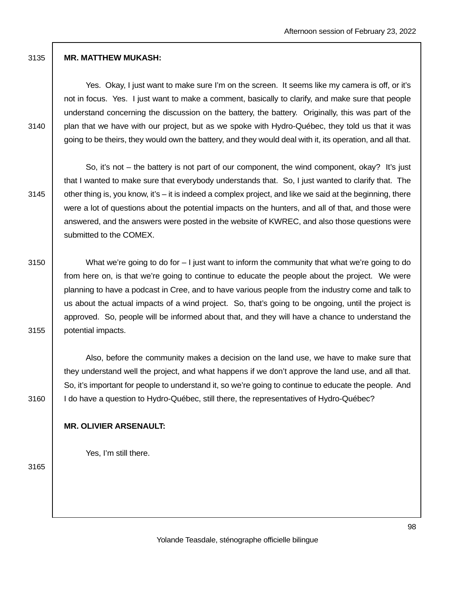## 3135 **MR. MATTHEW MUKASH:**

 Yes. Okay, I just want to make sure I'm on the screen. It seems like my camera is off, or it's not in focus. Yes. I just want to make a comment, basically to clarify, and make sure that people understand concerning the discussion on the battery, the battery. Originally, this was part of the  $3140$  plan that we have with our project, but as we spoke with Hydro-Québec, they told us that it was going to be theirs, they would own the battery, and they would deal with it, its operation, and all that.

 So, it's not – the battery is not part of our component, the wind component, okay? It's just that I wanted to make sure that everybody understands that. So, I just wanted to clarify that. The 3145  $\parallel$  other thing is, you know, it's – it is indeed a complex project, and like we said at the beginning, there were a lot of questions about the potential impacts on the hunters, and all of that, and those were answered, and the answers were posted in the website of KWREC, and also those questions were submitted to the COMEX.

3150 What we're going to do for – I just want to inform the community that what we're going to do from here on, is that we're going to continue to educate the people about the project. We were planning to have a podcast in Cree, and to have various people from the industry come and talk to us about the actual impacts of a wind project. So, that's going to be ongoing, until the project is approved. So, people will be informed about that, and they will have a chance to understand the 3155 potential impacts.

 Also, before the community makes a decision on the land use, we have to make sure that they understand well the project, and what happens if we don't approve the land use, and all that. So, it's important for people to understand it, so we're going to continue to educate the people. And 3160 | I do have a question to Hydro-Québec, still there, the representatives of Hydro-Québec?

# **MR. OLIVIER ARSENAULT:**

Yes, I'm still there.

3165

Yolande Teasdale, sténographe officielle bilingue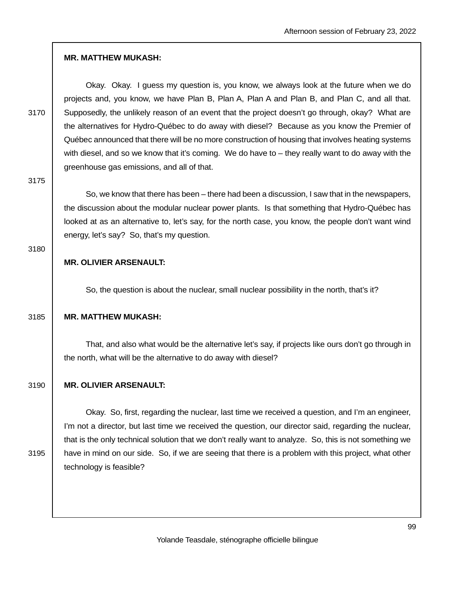## **MR. MATTHEW MUKASH:**

 Okay. Okay. I guess my question is, you know, we always look at the future when we do projects and, you know, we have Plan B, Plan A, Plan A and Plan B, and Plan C, and all that. 3170 Supposedly, the unlikely reason of an event that the project doesn't go through, okay? What are the alternatives for Hydro-Québec to do away with diesel? Because as you know the Premier of Québec announced that there will be no more construction of housing that involves heating systems with diesel, and so we know that it's coming. We do have to – they really want to do away with the greenhouse gas emissions, and all of that.

3175

 So, we know that there has been – there had been a discussion, I saw that in the newspapers, the discussion about the modular nuclear power plants. Is that something that Hydro-Québec has looked at as an alternative to, let's say, for the north case, you know, the people don't want wind energy, let's say? So, that's my question.

#### 3180

# **MR. OLIVIER ARSENAULT:**

So, the question is about the nuclear, small nuclear possibility in the north, that's it?

### 3185 **MR. MATTHEW MUKASH:**

 That, and also what would be the alternative let's say, if projects like ours don't go through in the north, what will be the alternative to do away with diesel?

# 3190 **MR. OLIVIER ARSENAULT:**

 Okay. So, first, regarding the nuclear, last time we received a question, and I'm an engineer, I'm not a director, but last time we received the question, our director said, regarding the nuclear, that is the only technical solution that we don't really want to analyze. So, this is not something we 3195 | have in mind on our side. So, if we are seeing that there is a problem with this project, what other technology is feasible?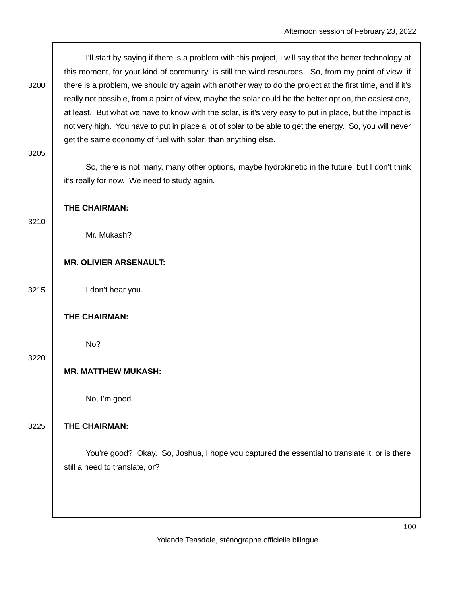| 3200 | I'll start by saying if there is a problem with this project, I will say that the better technology at<br>this moment, for your kind of community, is still the wind resources. So, from my point of view, if<br>there is a problem, we should try again with another way to do the project at the first time, and if it's<br>really not possible, from a point of view, maybe the solar could be the better option, the easiest one,<br>at least. But what we have to know with the solar, is it's very easy to put in place, but the impact is<br>not very high. You have to put in place a lot of solar to be able to get the energy. So, you will never<br>get the same economy of fuel with solar, than anything else. |
|------|-----------------------------------------------------------------------------------------------------------------------------------------------------------------------------------------------------------------------------------------------------------------------------------------------------------------------------------------------------------------------------------------------------------------------------------------------------------------------------------------------------------------------------------------------------------------------------------------------------------------------------------------------------------------------------------------------------------------------------|
| 3205 | So, there is not many, many other options, maybe hydrokinetic in the future, but I don't think<br>it's really for now. We need to study again.                                                                                                                                                                                                                                                                                                                                                                                                                                                                                                                                                                              |
|      | THE CHAIRMAN:                                                                                                                                                                                                                                                                                                                                                                                                                                                                                                                                                                                                                                                                                                               |
| 3210 | Mr. Mukash?                                                                                                                                                                                                                                                                                                                                                                                                                                                                                                                                                                                                                                                                                                                 |
|      | <b>MR. OLIVIER ARSENAULT:</b>                                                                                                                                                                                                                                                                                                                                                                                                                                                                                                                                                                                                                                                                                               |
| 3215 | I don't hear you.                                                                                                                                                                                                                                                                                                                                                                                                                                                                                                                                                                                                                                                                                                           |
|      | THE CHAIRMAN:                                                                                                                                                                                                                                                                                                                                                                                                                                                                                                                                                                                                                                                                                                               |
| 3220 | No?                                                                                                                                                                                                                                                                                                                                                                                                                                                                                                                                                                                                                                                                                                                         |
|      | <b>MR. MATTHEW MUKASH:</b>                                                                                                                                                                                                                                                                                                                                                                                                                                                                                                                                                                                                                                                                                                  |
|      | No, I'm good.                                                                                                                                                                                                                                                                                                                                                                                                                                                                                                                                                                                                                                                                                                               |
| 3225 | THE CHAIRMAN:                                                                                                                                                                                                                                                                                                                                                                                                                                                                                                                                                                                                                                                                                                               |
|      | You're good? Okay. So, Joshua, I hope you captured the essential to translate it, or is there<br>still a need to translate, or?                                                                                                                                                                                                                                                                                                                                                                                                                                                                                                                                                                                             |
|      |                                                                                                                                                                                                                                                                                                                                                                                                                                                                                                                                                                                                                                                                                                                             |

 $\overline{\phantom{a}}$ 

Yolande Teasdale, sténographe officielle bilingue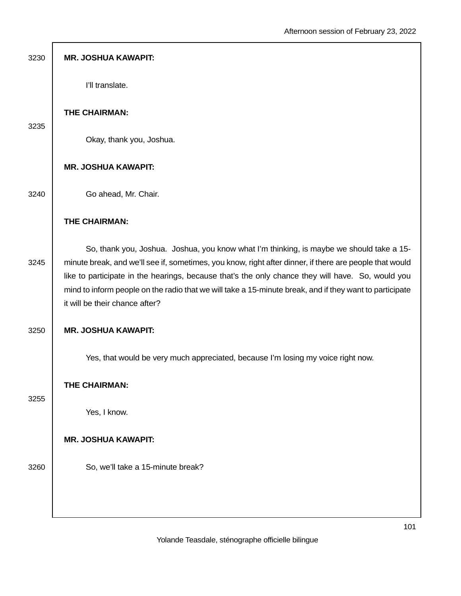| 3230 | <b>MR. JOSHUA KAWAPIT:</b>                                                                                                                                                                                                                                                                                                                                                                                                                            |
|------|-------------------------------------------------------------------------------------------------------------------------------------------------------------------------------------------------------------------------------------------------------------------------------------------------------------------------------------------------------------------------------------------------------------------------------------------------------|
|      | I'll translate.                                                                                                                                                                                                                                                                                                                                                                                                                                       |
| 3235 | THE CHAIRMAN:                                                                                                                                                                                                                                                                                                                                                                                                                                         |
|      | Okay, thank you, Joshua.                                                                                                                                                                                                                                                                                                                                                                                                                              |
|      | <b>MR. JOSHUA KAWAPIT:</b>                                                                                                                                                                                                                                                                                                                                                                                                                            |
| 3240 | Go ahead, Mr. Chair.                                                                                                                                                                                                                                                                                                                                                                                                                                  |
|      | THE CHAIRMAN:                                                                                                                                                                                                                                                                                                                                                                                                                                         |
| 3245 | So, thank you, Joshua. Joshua, you know what I'm thinking, is maybe we should take a 15-<br>minute break, and we'll see if, sometimes, you know, right after dinner, if there are people that would<br>like to participate in the hearings, because that's the only chance they will have. So, would you<br>mind to inform people on the radio that we will take a 15-minute break, and if they want to participate<br>it will be their chance after? |
| 3250 | <b>MR. JOSHUA KAWAPIT:</b>                                                                                                                                                                                                                                                                                                                                                                                                                            |
|      | Yes, that would be very much appreciated, because I'm losing my voice right now.                                                                                                                                                                                                                                                                                                                                                                      |
| 3255 | THE CHAIRMAN:                                                                                                                                                                                                                                                                                                                                                                                                                                         |
|      | Yes, I know.                                                                                                                                                                                                                                                                                                                                                                                                                                          |
|      | <b>MR. JOSHUA KAWAPIT:</b>                                                                                                                                                                                                                                                                                                                                                                                                                            |
| 3260 | So, we'll take a 15-minute break?                                                                                                                                                                                                                                                                                                                                                                                                                     |
|      |                                                                                                                                                                                                                                                                                                                                                                                                                                                       |
|      |                                                                                                                                                                                                                                                                                                                                                                                                                                                       |

I.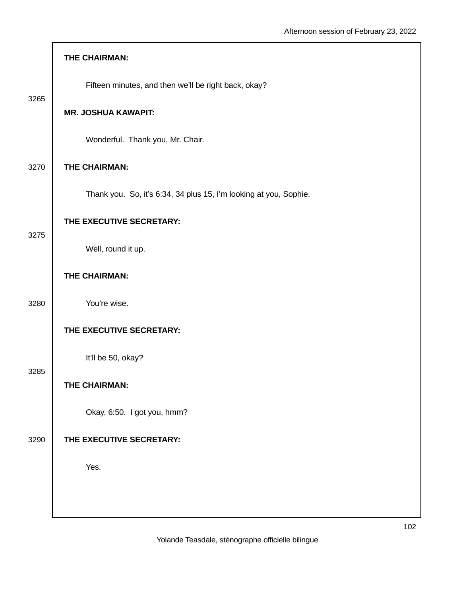|      | THE CHAIRMAN:                                                     |
|------|-------------------------------------------------------------------|
| 3265 | Fifteen minutes, and then we'll be right back, okay?              |
|      | <b>MR. JOSHUA KAWAPIT:</b>                                        |
|      | Wonderful. Thank you, Mr. Chair.                                  |
| 3270 | THE CHAIRMAN:                                                     |
|      | Thank you. So, it's 6:34, 34 plus 15, I'm looking at you, Sophie. |
| 3275 | THE EXECUTIVE SECRETARY:                                          |
|      | Well, round it up.                                                |
|      | THE CHAIRMAN:                                                     |
| 3280 | You're wise.                                                      |
|      | THE EXECUTIVE SECRETARY:                                          |
| 3285 | It'll be 50, okay?                                                |
|      | THE CHAIRMAN:                                                     |
|      | Okay, 6:50. I got you, hmm?                                       |
| 3290 | THE EXECUTIVE SECRETARY:                                          |
|      | Yes.                                                              |
|      |                                                                   |

Г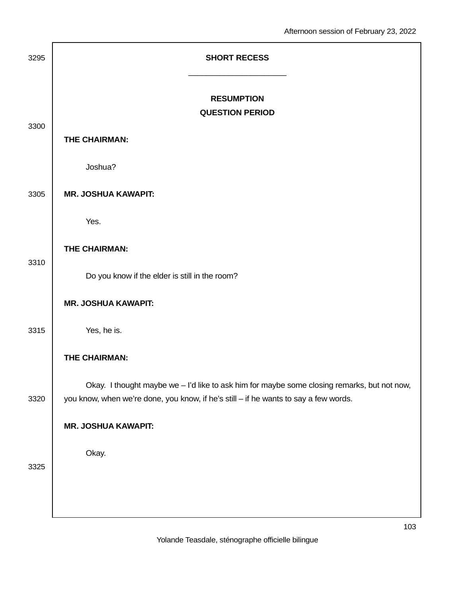| 3295 | <b>SHORT RECESS</b>                                                                                                                                                                 |
|------|-------------------------------------------------------------------------------------------------------------------------------------------------------------------------------------|
| 3300 | <b>RESUMPTION</b><br><b>QUESTION PERIOD</b>                                                                                                                                         |
|      | THE CHAIRMAN:                                                                                                                                                                       |
|      | Joshua?                                                                                                                                                                             |
| 3305 | <b>MR. JOSHUA KAWAPIT:</b>                                                                                                                                                          |
|      | Yes.                                                                                                                                                                                |
|      | THE CHAIRMAN:                                                                                                                                                                       |
| 3310 | Do you know if the elder is still in the room?                                                                                                                                      |
|      | <b>MR. JOSHUA KAWAPIT:</b>                                                                                                                                                          |
| 3315 | Yes, he is.                                                                                                                                                                         |
|      | THE CHAIRMAN:                                                                                                                                                                       |
| 3320 | Okay. I thought maybe we - I'd like to ask him for maybe some closing remarks, but not now,<br>you know, when we're done, you know, if he's still - if he wants to say a few words. |
|      | <b>MR. JOSHUA KAWAPIT:</b>                                                                                                                                                          |
| 3325 | Okay.                                                                                                                                                                               |
|      |                                                                                                                                                                                     |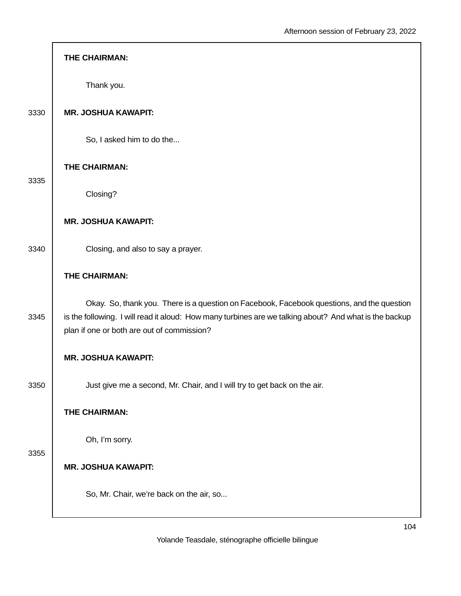| THE CHAIRMAN:                                                                                                                                                                                                                                      |
|----------------------------------------------------------------------------------------------------------------------------------------------------------------------------------------------------------------------------------------------------|
| Thank you.                                                                                                                                                                                                                                         |
| <b>MR. JOSHUA KAWAPIT:</b>                                                                                                                                                                                                                         |
| So, I asked him to do the                                                                                                                                                                                                                          |
| THE CHAIRMAN:                                                                                                                                                                                                                                      |
| Closing?                                                                                                                                                                                                                                           |
| <b>MR. JOSHUA KAWAPIT:</b>                                                                                                                                                                                                                         |
| Closing, and also to say a prayer.                                                                                                                                                                                                                 |
| THE CHAIRMAN:                                                                                                                                                                                                                                      |
| Okay. So, thank you. There is a question on Facebook, Facebook questions, and the question<br>is the following. I will read it aloud: How many turbines are we talking about? And what is the backup<br>plan if one or both are out of commission? |
| <b>MR. JOSHUA KAWAPIT:</b>                                                                                                                                                                                                                         |
| Just give me a second, Mr. Chair, and I will try to get back on the air.                                                                                                                                                                           |
| THE CHAIRMAN:                                                                                                                                                                                                                                      |
| Oh, I'm sorry.                                                                                                                                                                                                                                     |
| <b>MR. JOSHUA KAWAPIT:</b>                                                                                                                                                                                                                         |
| So, Mr. Chair, we're back on the air, so                                                                                                                                                                                                           |
|                                                                                                                                                                                                                                                    |

Г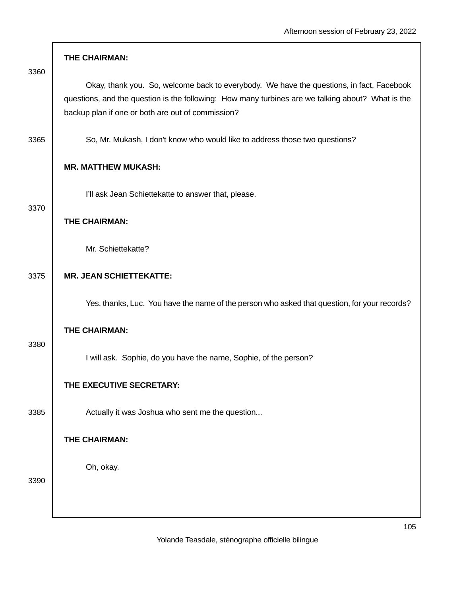|      | THE CHAIRMAN:                                                                                                                                                                                                                                      |
|------|----------------------------------------------------------------------------------------------------------------------------------------------------------------------------------------------------------------------------------------------------|
| 3360 | Okay, thank you. So, welcome back to everybody. We have the questions, in fact, Facebook<br>questions, and the question is the following: How many turbines are we talking about? What is the<br>backup plan if one or both are out of commission? |
| 3365 | So, Mr. Mukash, I don't know who would like to address those two questions?                                                                                                                                                                        |
|      | <b>MR. MATTHEW MUKASH:</b>                                                                                                                                                                                                                         |
| 3370 | I'll ask Jean Schiettekatte to answer that, please.                                                                                                                                                                                                |
|      | THE CHAIRMAN:                                                                                                                                                                                                                                      |
|      | Mr. Schiettekatte?                                                                                                                                                                                                                                 |
| 3375 | <b>MR. JEAN SCHIETTEKATTE:</b>                                                                                                                                                                                                                     |
|      | Yes, thanks, Luc. You have the name of the person who asked that question, for your records?                                                                                                                                                       |
|      | THE CHAIRMAN:                                                                                                                                                                                                                                      |
| 3380 | I will ask. Sophie, do you have the name, Sophie, of the person?                                                                                                                                                                                   |
|      | THE EXECUTIVE SECRETARY:                                                                                                                                                                                                                           |
| 3385 | Actually it was Joshua who sent me the question                                                                                                                                                                                                    |
|      | THE CHAIRMAN:                                                                                                                                                                                                                                      |
|      | Oh, okay.                                                                                                                                                                                                                                          |
| 3390 |                                                                                                                                                                                                                                                    |
|      |                                                                                                                                                                                                                                                    |

г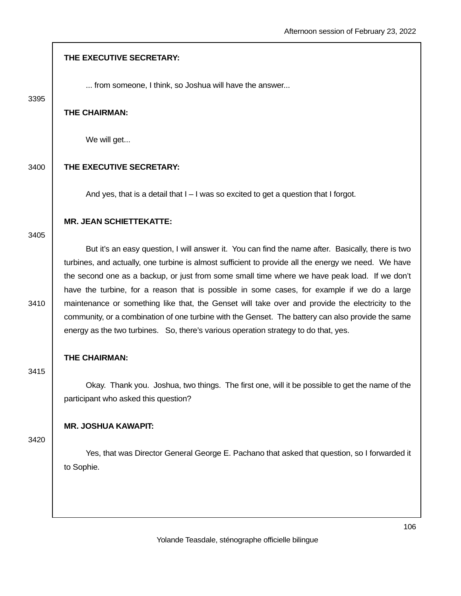|      | THE EXECUTIVE SECRETARY:                                                                                                                                                                                                                                                                                                                                                                                                                                                                                                                                                                                                                                                                                 |
|------|----------------------------------------------------------------------------------------------------------------------------------------------------------------------------------------------------------------------------------------------------------------------------------------------------------------------------------------------------------------------------------------------------------------------------------------------------------------------------------------------------------------------------------------------------------------------------------------------------------------------------------------------------------------------------------------------------------|
| 3395 | from someone, I think, so Joshua will have the answer                                                                                                                                                                                                                                                                                                                                                                                                                                                                                                                                                                                                                                                    |
|      | THE CHAIRMAN:                                                                                                                                                                                                                                                                                                                                                                                                                                                                                                                                                                                                                                                                                            |
|      | We will get                                                                                                                                                                                                                                                                                                                                                                                                                                                                                                                                                                                                                                                                                              |
| 3400 | THE EXECUTIVE SECRETARY:                                                                                                                                                                                                                                                                                                                                                                                                                                                                                                                                                                                                                                                                                 |
|      | And yes, that is a detail that $I - I$ was so excited to get a question that I forgot.                                                                                                                                                                                                                                                                                                                                                                                                                                                                                                                                                                                                                   |
| 3405 | <b>MR. JEAN SCHIETTEKATTE:</b>                                                                                                                                                                                                                                                                                                                                                                                                                                                                                                                                                                                                                                                                           |
| 3410 | But it's an easy question, I will answer it. You can find the name after. Basically, there is two<br>turbines, and actually, one turbine is almost sufficient to provide all the energy we need. We have<br>the second one as a backup, or just from some small time where we have peak load. If we don't<br>have the turbine, for a reason that is possible in some cases, for example if we do a large<br>maintenance or something like that, the Genset will take over and provide the electricity to the<br>community, or a combination of one turbine with the Genset. The battery can also provide the same<br>energy as the two turbines. So, there's various operation strategy to do that, yes. |
| 3415 | THE CHAIRMAN:                                                                                                                                                                                                                                                                                                                                                                                                                                                                                                                                                                                                                                                                                            |
|      | Okay. Thank you. Joshua, two things. The first one, will it be possible to get the name of the<br>participant who asked this question?                                                                                                                                                                                                                                                                                                                                                                                                                                                                                                                                                                   |
|      | <b>MR. JOSHUA KAWAPIT:</b>                                                                                                                                                                                                                                                                                                                                                                                                                                                                                                                                                                                                                                                                               |
| 3420 | Yes, that was Director General George E. Pachano that asked that question, so I forwarded it<br>to Sophie.                                                                                                                                                                                                                                                                                                                                                                                                                                                                                                                                                                                               |
|      |                                                                                                                                                                                                                                                                                                                                                                                                                                                                                                                                                                                                                                                                                                          |
|      | 10 <sub>0</sub>                                                                                                                                                                                                                                                                                                                                                                                                                                                                                                                                                                                                                                                                                          |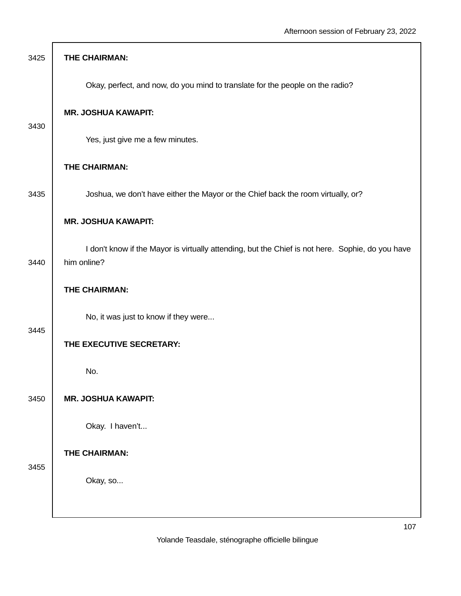| 3425 | THE CHAIRMAN:                                                                                                   |
|------|-----------------------------------------------------------------------------------------------------------------|
|      | Okay, perfect, and now, do you mind to translate for the people on the radio?                                   |
| 3430 | <b>MR. JOSHUA KAWAPIT:</b>                                                                                      |
|      | Yes, just give me a few minutes.                                                                                |
|      | THE CHAIRMAN:                                                                                                   |
| 3435 | Joshua, we don't have either the Mayor or the Chief back the room virtually, or?                                |
|      | <b>MR. JOSHUA KAWAPIT:</b>                                                                                      |
| 3440 | I don't know if the Mayor is virtually attending, but the Chief is not here. Sophie, do you have<br>him online? |
|      | THE CHAIRMAN:                                                                                                   |
| 3445 | No, it was just to know if they were                                                                            |
|      | THE EXECUTIVE SECRETARY:                                                                                        |
|      | No.                                                                                                             |
| 3450 | <b>MR. JOSHUA KAWAPIT:</b>                                                                                      |
|      | Okay. I haven't                                                                                                 |
| 3455 | THE CHAIRMAN:                                                                                                   |
|      | Okay, so                                                                                                        |
|      |                                                                                                                 |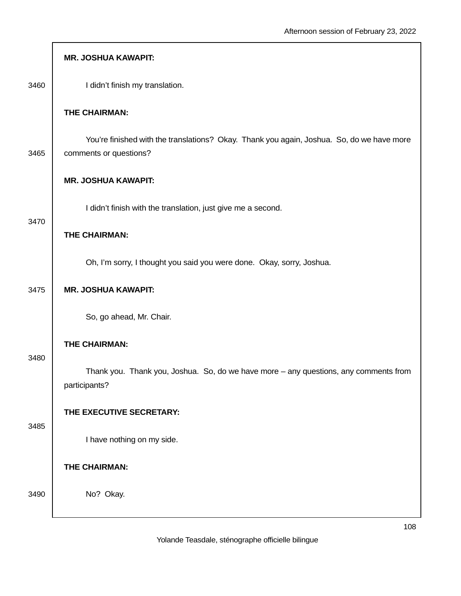|      | <b>MR. JOSHUA KAWAPIT:</b>                                                                                          |
|------|---------------------------------------------------------------------------------------------------------------------|
| 3460 | I didn't finish my translation.                                                                                     |
|      | THE CHAIRMAN:                                                                                                       |
| 3465 | You're finished with the translations? Okay. Thank you again, Joshua. So, do we have more<br>comments or questions? |
|      | <b>MR. JOSHUA KAWAPIT:</b>                                                                                          |
| 3470 | I didn't finish with the translation, just give me a second.                                                        |
|      | THE CHAIRMAN:                                                                                                       |
|      | Oh, I'm sorry, I thought you said you were done. Okay, sorry, Joshua.                                               |
| 3475 | <b>MR. JOSHUA KAWAPIT:</b>                                                                                          |
|      | So, go ahead, Mr. Chair.                                                                                            |
| 3480 | THE CHAIRMAN:                                                                                                       |
|      | Thank you. Thank you, Joshua. So, do we have more - any questions, any comments from<br>participants?               |
| 3485 | THE EXECUTIVE SECRETARY:                                                                                            |
|      | I have nothing on my side.                                                                                          |
|      | THE CHAIRMAN:                                                                                                       |
| 3490 | No? Okay.                                                                                                           |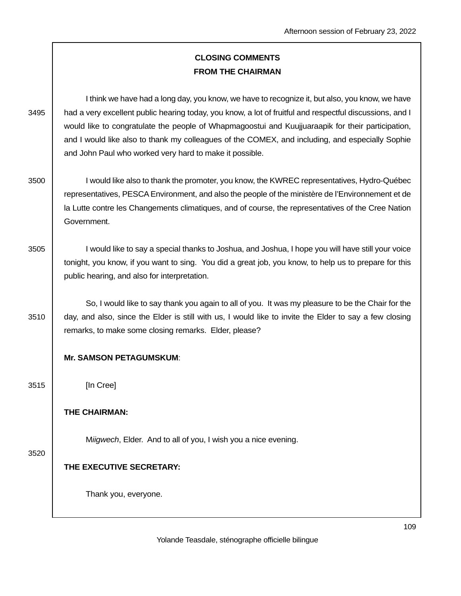# **CLOSING COMMENTS FROM THE CHAIRMAN**

 I think we have had a long day, you know, we have to recognize it, but also, you know, we have 3495 had a very excellent public hearing today, you know, a lot of fruitful and respectful discussions, and I would like to congratulate the people of Whapmagoostui and Kuujjuaraapik for their participation, and I would like also to thank my colleagues of the COMEX, and including, and especially Sophie and John Paul who worked very hard to make it possible.

- 3500 I would like also to thank the promoter, you know, the KWREC representatives, Hydro-Québec representatives, PESCA Environment, and also the people of the ministère de l'Environnement et de la Lutte contre les Changements climatiques, and of course, the representatives of the Cree Nation Government.
- 3505 I would like to say a special thanks to Joshua, and Joshua, I hope you will have still your voice tonight, you know, if you want to sing. You did a great job, you know, to help us to prepare for this public hearing, and also for interpretation.

 So, I would like to say thank you again to all of you. It was my pleasure to be the Chair for the 3510 day, and also, since the Elder is still with us, I would like to invite the Elder to say a few closing remarks, to make some closing remarks. Elder, please?

# **Mr. SAMSON PETAGUMSKUM**:

3515 [In Cree]

### **THE CHAIRMAN:**

Miigwech, Elder. And to all of you, I wish you a nice evening.

#### 3520

# **THE EXECUTIVE SECRETARY:**

Thank you, everyone.